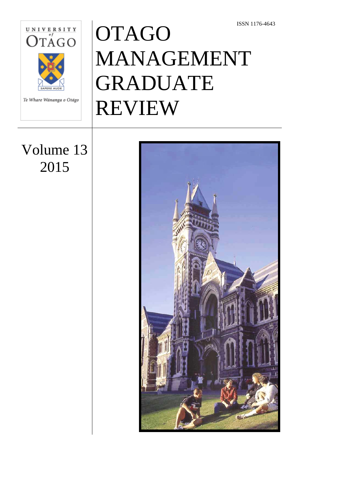

Te Whare Wānanga o Otāgo

# **OTAGO** MANAGEMENT GRADUATE REVIEW

## Volume 13 2015

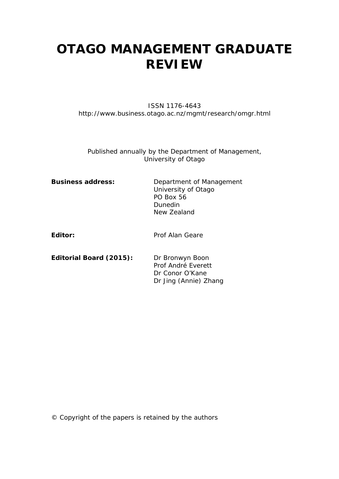## **OTAGO MANAGEMENT GRADUATE REVIEW**

#### ISSN 1176-4643 http://www.business.otago.ac.nz/mgmt/research/omgr.html

Published annually by the Department of Management, University of Otago

| <b>Business address:</b> | Department of Management<br>University of Otago<br>PO Box 56<br>Dunedin<br>New Zealand |
|--------------------------|----------------------------------------------------------------------------------------|
| Editor:                  | Prof Alan Geare                                                                        |

**Editorial Board (2015):** Dr Bronwyn Boon Prof André Everett Dr Conor O'Kane Dr Jing (Annie) Zhang

© Copyright of the papers is retained by the authors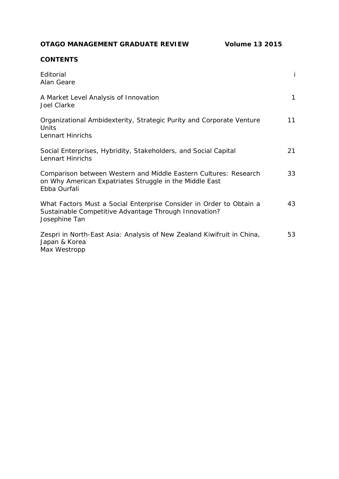**OTAGO MANAGEMENT GRADUATE REVIEW Volume 13 2015**

#### **CONTENTS**

| Editorial<br>Alan Geare                                                                                                                       |    |
|-----------------------------------------------------------------------------------------------------------------------------------------------|----|
| A Market Level Analysis of Innovation<br>Joel Clarke                                                                                          | 1  |
| Organizational Ambidexterity, Strategic Purity and Corporate Venture<br>Units<br>Lennart Hinrichs                                             | 11 |
| Social Enterprises, Hybridity, Stakeholders, and Social Capital<br>Lennart Hinrichs                                                           | 21 |
| Comparison between Western and Middle Eastern Cultures: Research<br>on Why American Expatriates Struggle in the Middle East<br>Ebba Ourfali   | 33 |
| What Factors Must a Social Enterprise Consider in Order to Obtain a<br>Sustainable Competitive Advantage Through Innovation?<br>Josephine Tan | 43 |
| Zespri in North-East Asia: Analysis of New Zealand Kiwifruit in China,<br>Japan & Korea<br>Max Westropp                                       | 53 |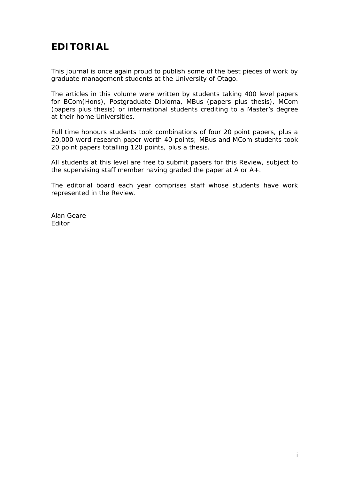## **EDITORIAL**

This journal is once again proud to publish some of the best pieces of work by graduate management students at the University of Otago.

The articles in this volume were written by students taking 400 level papers for BCom(Hons), Postgraduate Diploma, MBus (papers plus thesis), MCom (papers plus thesis) or international students crediting to a Master's degree at their home Universities.

Full time honours students took combinations of four 20 point papers, plus a 20,000 word research paper worth 40 points; MBus and MCom students took 20 point papers totalling 120 points, plus a thesis.

All students at this level are free to submit papers for this Review, subject to the supervising staff member having graded the paper at A or A+.

The editorial board each year comprises staff whose students have work represented in the Review.

Alan Geare Editor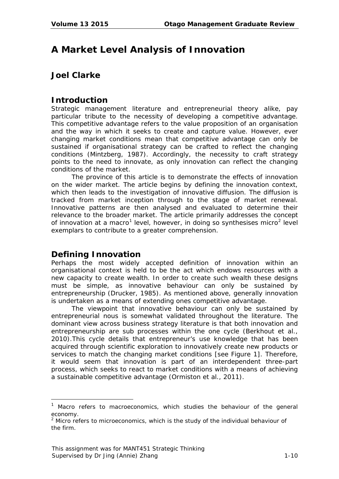## **A Market Level Analysis of Innovation**

#### **Joel Clarke**

#### **Introduction**

Strategic management literature and entrepreneurial theory alike, pay particular tribute to the necessity of developing a competitive advantage. This competitive advantage refers to the value proposition of an organisation and the way in which it seeks to create and capture value. However, ever changing market conditions mean that competitive advantage can only be sustained if organisational strategy can be crafted to reflect the changing conditions (Mintzberg, 1987). Accordingly, the necessity to craft strategy points to the need to innovate, as only innovation can reflect the changing conditions of the market.

The province of this article is to demonstrate the effects of innovation on the wider market. The article begins by defining the innovation context, which then leads to the investigation of innovative diffusion. The diffusion is tracked from market inception through to the stage of market renewal. Innovative patterns are then analysed and evaluated to determine their relevance to the broader market. The article primarily addresses the concept of innovation at a macro<sup>[1](#page-4-0)</sup> level, however, in doing so synthesises micro<sup>[2](#page-4-1)</sup> level exemplars to contribute to a greater comprehension.

#### **Defining Innovation**

-

Perhaps the most widely accepted definition of innovation within an organisational context is held to be the act which endows resources with a new capacity to create wealth. In order to create such wealth these designs must be simple, as innovative behaviour can only be sustained by entrepreneurship (Drucker, 1985). As mentioned above, generally innovation is undertaken as a means of extending ones competitive advantage.

The viewpoint that innovative behaviour can only be sustained by entrepreneurial nous is somewhat validated throughout the literature. The dominant view across business strategy literature is that both innovation and entrepreneurship are sub processes within the one cycle (Berkhout et al., 2010).This cycle details that entrepreneur's use knowledge that has been acquired through scientific exploration to innovatively create new products or services to match the changing market conditions [see Figure 1]. Therefore, it would seem that innovation is part of an interdependent three-part process, which seeks to react to market conditions with a means of achieving a sustainable competitive advantage (Ormiston et al., 2011).

<span id="page-4-0"></span>Macro refers to macroeconomics, which studies the behaviour of the general economy.

<span id="page-4-1"></span> $2$  Micro refers to microeconomics, which is the study of the individual behaviour of the firm.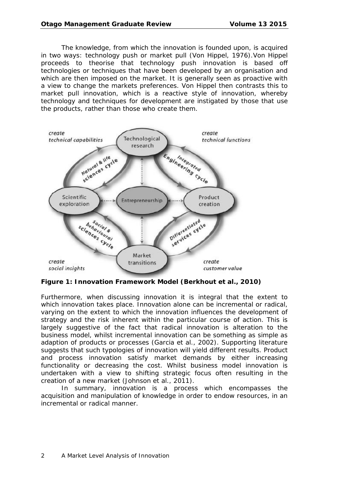The knowledge, from which the innovation is founded upon, is acquired in two ways: technology push or market pull (Von Hippel, 1976).Von Hippel proceeds to theorise that technology push innovation is based off technologies or techniques that have been developed by an organisation and which are then imposed on the market. It is generally seen as proactive with a view to change the markets preferences. Von Hippel then contrasts this to market pull innovation, which is a reactive style of innovation, whereby technology and techniques for development are instigated by those that use the products, rather than those who create them.



**Figure 1: Innovation Framework Model (Berkhout et al., 2010)**

Furthermore, when discussing innovation it is integral that the extent to which innovation takes place. Innovation alone can be incremental or radical, varying on the extent to which the innovation influences the development of strategy and the risk inherent within the particular course of action. This is largely suggestive of the fact that radical innovation is alteration to the business model, whilst incremental innovation can be something as simple as adaption of products or processes (Garcia et al., 2002). Supporting literature suggests that such typologies of innovation will yield different results. Product and process innovation satisfy market demands by either increasing functionality or decreasing the cost. Whilst business model innovation is undertaken with a view to shifting strategic focus often resulting in the creation of a new market (Johnson et al., 2011).

In summary, innovation is a process which encompasses the acquisition and manipulation of knowledge in order to endow resources, in an incremental or radical manner.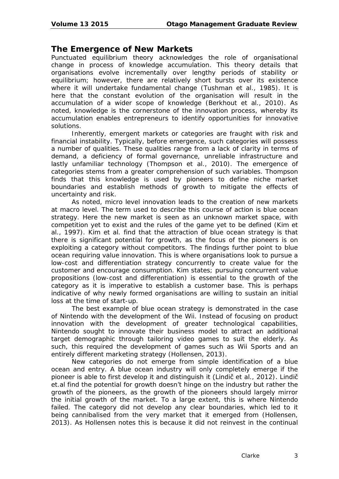#### **The Emergence of New Markets**

Punctuated equilibrium theory acknowledges the role of organisational change in process of knowledge accumulation. This theory details that organisations evolve incrementally over lengthy periods of stability or equilibrium; however, there are relatively short bursts over its existence where it will undertake fundamental change (Tushman et al., 1985). It is here that the constant evolution of the organisation will result in the accumulation of a wider scope of knowledge (Berkhout et al., 2010). As noted, knowledge is the cornerstone of the innovation process, whereby its accumulation enables entrepreneurs to identify opportunities for innovative solutions.

Inherently, emergent markets or categories are fraught with risk and financial instability. Typically, before emergence, such categories will possess a number of qualities. These qualities range from a lack of clarity in terms of demand, a deficiency of formal governance, unreliable infrastructure and lastly unfamiliar technology (Thompson et al., 2010). The emergence of categories stems from a greater comprehension of such variables. Thompson finds that this knowledge is used by pioneers to define niche market boundaries and establish methods of growth to mitigate the effects of uncertainty and risk.

As noted, micro level innovation leads to the creation of new markets at macro level. The term used to describe this course of action is blue ocean strategy. Here the new market is seen as an unknown market space, with competition yet to exist and the rules of the game yet to be defined (Kim et al., 1997). Kim et al. find that the attraction of blue ocean strategy is that there is significant potential for growth, as the focus of the pioneers is on exploiting a category without competitors. The findings further point to blue ocean requiring value innovation. This is where organisations look to pursue a low-cost and differentiation strategy concurrently to create value for the customer and encourage consumption. Kim states; pursuing concurrent value propositions (low-cost and differentiation) is essential to the growth of the category as it is imperative to establish a customer base. This is perhaps indicative of why newly formed organisations are willing to sustain an initial loss at the time of start-up.

The best example of blue ocean strategy is demonstrated in the case of Nintendo with the development of the Wii. Instead of focusing on product innovation with the development of greater technological capabilities, Nintendo sought to innovate their business model to attract an additional target demographic through tailoring video games to suit the elderly. As such, this required the development of games such as Wii Sports and an entirely different marketing strategy (Hollensen, 2013).

New categories do not emerge from simple identification of a blue ocean and entry. A blue ocean industry will only completely emerge if the pioneer is able to first develop it and distinguish it (Lindič et al., 2012). Lindič et.al find the potential for growth doesn't hinge on the industry but rather the growth of the pioneers, as the growth of the pioneers should largely mirror the initial growth of the market. To a large extent, this is where Nintendo failed. The category did not develop any clear boundaries, which led to it being cannibalised from the very market that it emerged from (Hollensen, 2013). As Hollensen notes this is because it did not reinvest in the continual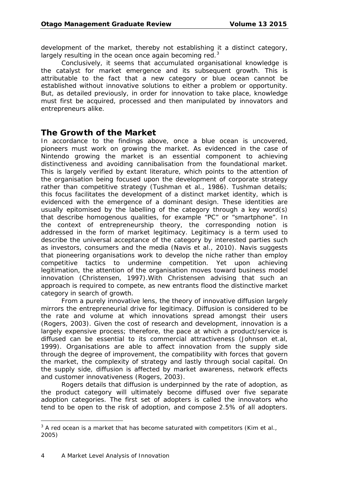development of the market, thereby not establishing it a distinct category, largely resulting in the ocean once again becoming red.<sup>[3](#page-7-0)</sup>

Conclusively, it seems that accumulated organisational knowledge is the catalyst for market emergence and its subsequent growth. This is attributable to the fact that a new category or blue ocean cannot be established without innovative solutions to either a problem or opportunity. But, as detailed previously, in order for innovation to take place, knowledge must first be acquired, processed and then manipulated by innovators and entrepreneurs alike.

#### **The Growth of the Market**

In accordance to the findings above, once a blue ocean is uncovered, pioneers must work on growing the market. As evidenced in the case of Nintendo growing the market is an essential component to achieving distinctiveness and avoiding cannibalisation from the foundational market. This is largely verified by extant literature, which points to the attention of the organisation being focused upon the development of corporate strategy rather than competitive strategy (Tushman et al., 1986). Tushman details; this focus facilitates the development of a distinct market identity, which is evidenced with the emergence of a dominant design. These identities are usually epitomised by the labelling of the category through a key word(s) that describe homogenous qualities, for example "PC" or "smartphone". In the context of entrepreneurship theory, the corresponding notion is addressed in the form of market legitimacy. Legitimacy is a term used to describe the universal acceptance of the category by interested parties such as investors, consumers and the media (Navis et al., 2010). Navis suggests that pioneering organisations work to develop the niche rather than employ competitive tactics to undermine competition. Yet upon achieving legitimation, the attention of the organisation moves toward business model innovation (Christensen, 1997).With Christensen advising that such an approach is required to compete, as new entrants flood the distinctive market category in search of growth.

From a purely innovative lens, the theory of innovative diffusion largely mirrors the entrepreneurial drive for legitimacy. Diffusion is considered to be the rate and volume at which innovations spread amongst their users (Rogers, 2003). Given the cost of research and development, innovation is a largely expensive process; therefore, the pace at which a product/service is diffused can be essential to its commercial attractiveness (Johnson et.al, 1999). Organisations are able to affect innovation from the supply side through the degree of improvement, the compatibility with forces that govern the market, the complexity of strategy and lastly through social capital. On the supply side, diffusion is affected by market awareness, network effects and customer innovativeness (Rogers, 2003).

Rogers details that diffusion is underpinned by the rate of adoption, as the product category will ultimately become diffused over five separate adoption categories. The first set of adopters is called the innovators who tend to be open to the risk of adoption, and compose 2.5% of all adopters.

j.

<span id="page-7-0"></span> $3$  A red ocean is a market that has become saturated with competitors (Kim et al., 2005)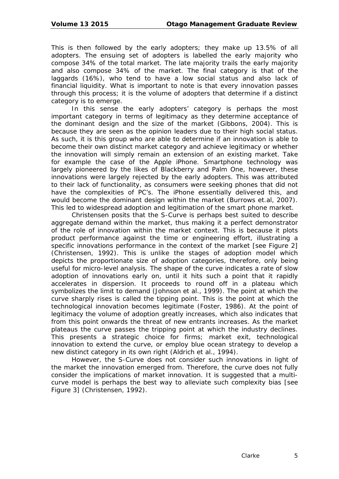This is then followed by the early adopters; they make up 13.5% of all adopters. The ensuing set of adopters is labelled the early majority who compose 34% of the total market. The late majority trails the early majority and also compose 34% of the market. The final category is that of the laggards (16%), who tend to have a low social status and also lack of financial liquidity. What is important to note is that every innovation passes through this process; it is the volume of adopters that determine if a distinct category is to emerge.

In this sense the early adopters' category is perhaps the most important category in terms of legitimacy as they determine acceptance of the dominant design and the size of the market (Gibbons, 2004). This is because they are seen as the opinion leaders due to their high social status. As such, it is this group who are able to determine if an innovation is able to become their own distinct market category and achieve legitimacy or whether the innovation will simply remain an extension of an existing market. Take for example the case of the Apple iPhone. Smartphone technology was largely pioneered by the likes of Blackberry and Palm One, however, these innovations were largely rejected by the early adopters. This was attributed to their lack of functionality, as consumers were seeking phones that did not have the complexities of PC's. The iPhone essentially delivered this, and would become the dominant design within the market (Burrows et.al, 2007). This led to widespread adoption and legitimation of the smart phone market.

Christensen posits that the S-Curve is perhaps best suited to describe aggregate demand within the market, thus making it a perfect demonstrator of the role of innovation within the market context. This is because it plots product performance against the time or engineering effort, illustrating a specific innovations performance in the context of the market [see Figure 2] (Christensen, 1992). This is unlike the stages of adoption model which depicts the proportionate size of adoption categories, therefore, only being useful for micro-level analysis. The shape of the curve indicates a rate of slow adoption of innovations early on, until it hits such a point that it rapidly accelerates in dispersion. It proceeds to round off in a plateau which symbolizes the limit to demand (Johnson et al., 1999). The point at which the curve sharply rises is called the tipping point. This is the point at which the technological innovation becomes legitimate (Foster, 1986). At the point of legitimacy the volume of adoption greatly increases, which also indicates that from this point onwards the threat of new entrants increases. As the market plateaus the curve passes the tripping point at which the industry declines. This presents a strategic choice for firms; market exit, technological innovation to extend the curve, or employ blue ocean strategy to develop a new distinct category in its own right (Aldrich et al., 1994).

However, the S-Curve does not consider such innovations in light of the market the innovation emerged from. Therefore, the curve does not fully consider the implications of market innovation. It is suggested that a multicurve model is perhaps the best way to alleviate such complexity bias [see Figure 3] (Christensen, 1992).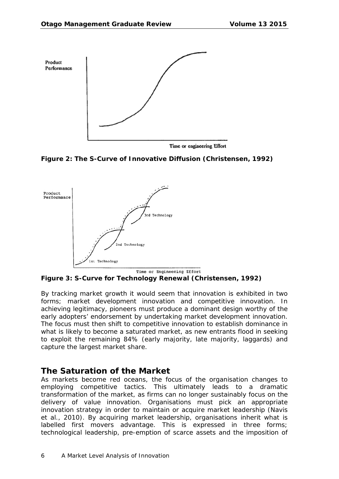





**Figure 3: S-Curve for Technology Renewal (Christensen, 1992)**

By tracking market growth it would seem that innovation is exhibited in two forms; market development innovation and competitive innovation. In achieving legitimacy, pioneers must produce a dominant design worthy of the early adopters' endorsement by undertaking market development innovation. The focus must then shift to competitive innovation to establish dominance in what is likely to become a saturated market, as new entrants flood in seeking to exploit the remaining 84% (early majority, late majority, laggards) and capture the largest market share.

#### **The Saturation of the Market**

As markets become red oceans, the focus of the organisation changes to employing competitive tactics. This ultimately leads to a dramatic transformation of the market, as firms can no longer sustainably focus on the delivery of value innovation. Organisations must pick an appropriate innovation strategy in order to maintain or acquire market leadership (Navis et al., 2010). By acquiring market leadership, organisations inherit what is labelled first movers advantage. This is expressed in three forms; technological leadership, pre-emption of scarce assets and the imposition of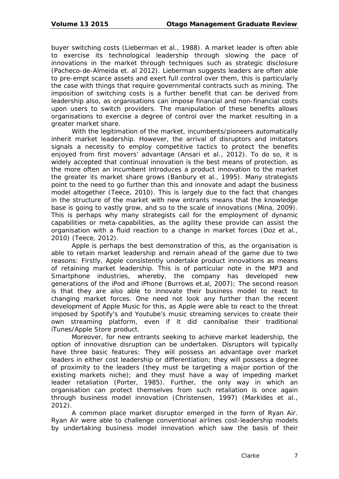buyer switching costs (Lieberman et al., 1988). A market leader is often able to exercise its technological leadership through slowing the pace of innovations in the market through techniques such as strategic disclosure (Pacheco-de-Almeida et. al 2012). Lieberman suggests leaders are often able to pre-empt scarce assets and exert full control over them, this is particularly the case with things that require governmental contracts such as mining. The imposition of switching costs is a further benefit that can be derived from leadership also, as organisations can impose financial and non-financial costs upon users to switch providers. The manipulation of these benefits allows organisations to exercise a degree of control over the market resulting in a greater market share.

With the legitimation of the market, incumbents/pioneers automatically inherit market leadership. However, the arrival of disruptors and imitators signals a necessity to employ competitive tactics to protect the benefits enjoyed from first movers' advantage (Ansari et al., 2012). To do so, it is widely accepted that continual innovation is the best means of protection, as the more often an incumbent introduces a product innovation to the market the greater its market share grows (Banbury et al., 1995). Many strategists point to the need to go further than this and innovate and adapt the business model altogether (Teece, 2010). This is largely due to the fact that changes in the structure of the market with new entrants means that the knowledge base is going to vastly grow, and so to the scale of innovations (Mina, 2009). This is perhaps why many strategists call for the employment of dynamic capabilities or meta-capabilities, as the agility these provide can assist the organisation with a fluid reaction to a change in market forces (Doz et al., 2010) (Teece, 2012).

Apple is perhaps the best demonstration of this, as the organisation is able to retain market leadership and remain ahead of the game due to two reasons: Firstly, Apple consistently undertake product innovations as means of retaining market leadership. This is of particular note in the MP3 and Smartphone industries, whereby, the company has developed new generations of the iPod and iPhone (Burrows et.al, 2007); The second reason is that they are also able to innovate their business model to react to changing market forces. One need not look any further than the recent development of Apple Music for this, as Apple were able to react to the threat imposed by Spotify's and Youtube's music streaming services to create their own streaming platform, even if it did cannibalise their traditional iTunes/Apple Store product.

Moreover, for new entrants seeking to achieve market leadership, the option of innovative disruption can be undertaken. Disruptors will typically have three basic features: They will possess an advantage over market leaders in either cost leadership or differentiation; they will possess a degree of proximity to the leaders (they must be targeting a major portion of the existing markets niche); and they must have a way of impeding market leader retaliation (Porter, 1985). Further, the only way in which an organisation can protect themselves from such retaliation is once again through business model innovation (Christensen, 1997) (Markides et al., 2012).

A common place market disruptor emerged in the form of Ryan Air. Ryan Air were able to challenge conventional airlines cost-leadership models by undertaking business model innovation which saw the basis of their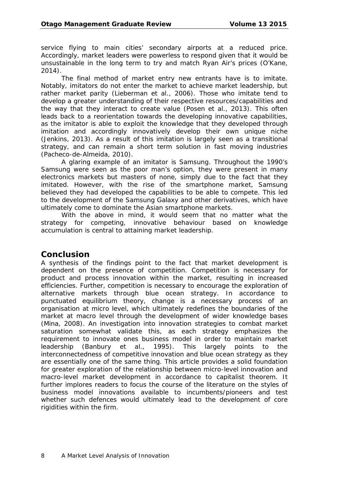service flying to main cities' secondary airports at a reduced price. Accordingly, market leaders were powerless to respond given that it would be unsustainable in the long term to try and match Ryan Air's prices (O'Kane, 2014).

The final method of market entry new entrants have is to imitate. Notably, imitators do not enter the market to achieve market leadership, but rather market parity (Lieberman et al., 2006). Those who imitate tend to develop a greater understanding of their respective resources/capabilities and the way that they interact to create value (Posen et al., 2013). This often leads back to a reorientation towards the developing innovative capabilities, as the imitator is able to exploit the knowledge that they developed through imitation and accordingly innovatively develop their own unique niche (Jenkins, 2013). As a result of this imitation is largely seen as a transitional strategy, and can remain a short term solution in fast moving industries (Pacheco-de-Almeida, 2010).

A glaring example of an imitator is Samsung. Throughout the 1990's Samsung were seen as the poor man's option, they were present in many electronics markets but masters of none, simply due to the fact that they imitated. However, with the rise of the smartphone market, Samsung believed they had developed the capabilities to be able to compete. This led to the development of the Samsung Galaxy and other derivatives, which have ultimately come to dominate the Asian smartphone markets.

With the above in mind, it would seem that no matter what the strategy for competing, innovative behaviour based on knowledge accumulation is central to attaining market leadership.

#### **Conclusion**

A synthesis of the findings point to the fact that market development is dependent on the presence of competition. Competition is necessary for product and process innovation within the market, resulting in increased efficiencies. Further, competition is necessary to encourage the exploration of alternative markets through blue ocean strategy. In accordance to punctuated equilibrium theory, change is a necessary process of an organisation at micro level, which ultimately redefines the boundaries of the market at macro level through the development of wider knowledge bases (Mina, 2008). An investigation into innovation strategies to combat market saturation somewhat validate this, as each strategy emphasizes the requirement to innovate ones business model in order to maintain market leadership (Banbury et al., 1995). This largely points to the interconnectedness of competitive innovation and blue ocean strategy as they are essentially one of the same thing. This article provides a solid foundation for greater exploration of the relationship between micro-level innovation and macro-level market development in accordance to capitalist theorem. It further implores readers to focus the course of the literature on the styles of business model innovations available to incumbents/pioneers and test whether such defences would ultimately lead to the development of core rigidities within the firm.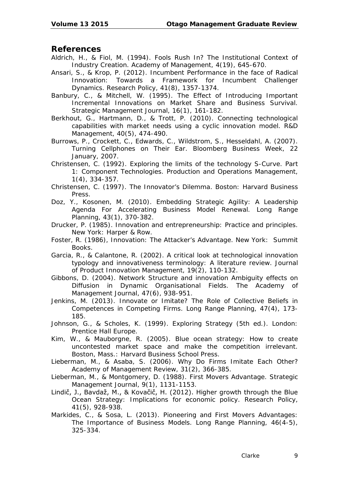#### **References**

- Aldrich, H., & Fiol, M. (1994). Fools Rush In? The Institutional Context of Industry Creation. *Academy of Management, 4*(19), 645-670.
- Ansari, S., & Krop, P. (2012). Incumbent Performance in the face of Radical Innovation: Towards a Framework for Incumbent Challenger Dynamics. *Research Policy, 41*(8), 1357-1374.
- Banbury, C., & Mitchell, W. (1995). The Effect of Introducing Important Incremental Innovations on Market Share and Business Survival. *Strategic Management Journal, 16*(1), 161-182.
- Berkhout, G., Hartmann, D., & Trott, P. (2010). Connecting technological capabilities with market needs using a cyclic innovation model. *R&D Management, 40*(5), 474-490.
- Burrows, P., Crockett, C., Edwards, C., Wildstrom, S., Hesseldahl, A. (2007). Turning Cellphones on Their Ear. *Bloomberg Business Week,* 22 January, 2007.
- Christensen, C. (1992). Exploring the limits of the technology S-Curve. Part 1: Component Technologies. *Production and Operations Management, 1*(4), 334-357.
- Christensen, C. (1997). The Innovator's Dilemma. Boston: Harvard Business Press.
- Doz, Y., Kosonen, M. (2010). Embedding Strategic Agility: A Leadership Agenda For Accelerating Business Model Renewal. *Long Range Planning, 43*(1), 370-382.
- Drucker, P. (1985). *Innovation and entrepreneurship: Practice and principles.*  New York: Harper & Row.
- Foster, R. (1986), *Innovation: The Attacker's Advantage.* New York: Summit Books.
- Garcia, R., & Calantone, R. (2002). A critical look at technological innovation typology and innovativeness terminology: A literature review. *Journal of Product Innovation Management, 19*(2), 110-132.
- Gibbons, D. (2004). Network Structure and innovation Ambiguity effects on Diffusion in Dynamic Organisational Fields. *The Academy of Management Journal, 47*(6), 938-951.
- Jenkins, M. (2013). Innovate or Imitate? The Role of Collective Beliefs in Competences in Competing Firms. *Long Range Planning, 47*(4), 173- 185.
- Johnson, G., & Scholes, K. (1999). *Exploring Strategy* (5th ed.). London: Prentice Hall Europe.
- Kim, W., & Mauborgne, R. (2005). *Blue ocean strategy: How to create uncontested market space and make the competition irrelevant.*  Boston, Mass.: Harvard Business School Press.
- Lieberman, M., & Asaba, S. (2006). Why Do Firms Imitate Each Other? *Academy of Management Review, 31*(2), 366-385.
- Lieberman, M., & Montgomery, D. (1988). First Movers Advantage. *Strategic Management Journal, 9*(1), 1131-1153.
- Lindič, J., Bavdaž, M., & Kovačič, H. (2012). Higher growth through the Blue Ocean Strategy: Implications for economic policy. *Research Policy, 41*(5), 928-938.
- Markides, C., & Sosa, L. (2013). Pioneering and First Movers Advantages: The Importance of Business Models. *Long Range Planning, 46*(4-5), 325-334.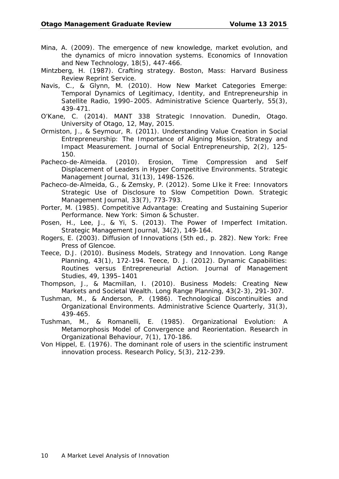- Mina, A. (2009). The emergence of new knowledge, market evolution, and the dynamics of micro innovation systems. *Economics of Innovation and New Technology, 18*(5), 447-466.
- Mintzberg, H. (1987). *Crafting strategy.* Boston, Mass: Harvard Business Review Reprint Service.
- Navis, C., & Glynn, M. (2010). How New Market Categories Emerge: Temporal Dynamics of Legitimacy, Identity, and Entrepreneurship in Satellite Radio, 1990–2005. *Administrative Science Quarterly, 55*(3), 439-471.
- O'Kane, C. (2014). *MANT 338 Strategic Innovation*. Dunedin, Otago. University of Otago, 12, May, 2015.
- Ormiston, J., & Seymour, R. (2011). Understanding Value Creation in Social Entrepreneurship: The Importance of Aligning Mission, Strategy and Impact Measurement. *Journal of Social Entrepreneurship, 2*(2), 125- 150.
- Pacheco-de-Almeida. (2010). Erosion, Time Compression and Self Displacement of Leaders in Hyper Competitive Environments. *Strategic Management Journal, 31*(13), 1498-1526.
- Pacheco-de-Almeida, G., & Zemsky, P. (2012). Some LIke it Free: Innovators Strategic Use of Disclosure to Slow Competition Down. *Strategic Management Journal, 33*(7), 773-793.
- Porter, M. (1985). *Competitive Advantage: Creating and Sustaining Superior Performance*. New York: Simon & Schuster.
- Posen, H., Lee, J., & Yi, S. (2013). The Power of Imperfect Imitation. *Strategic Management Journal, 34*(2), 149-164.
- Rogers, E. (2003). *Diffusion of Innovations* (5th ed., p. 282). New York: Free Press of Glencoe.
- Teece, D.J. (2010). Business Models, Strategy and Innovation. Long Range Planning, 43(1), 172-194. Teece, D. J. (2012). Dynamic Capabilities: Routines versus Entrepreneurial Action. *Journal of Management Studies, 49*, 1395–1401
- Thompson, J., & Macmillan, I. (2010). Business Models: Creating New Markets and Societal Wealth. *Long Range Planning, 43*(2-3), 291-307.
- Tushman, M., & Anderson, P. (1986). Technological Discontinuities and Organizational Environments. *Administrative Science Quarterly, 31*(3), 439-465.
- Tushman, M., & Romanelli, E. (1985). Organizational Evolution: A Metamorphosis Model of Convergence and Reorientation. *Research in Organizational Behaviour, 7*(1), 170-186.
- Von Hippel, E. (1976). The dominant role of users in the scientific instrument innovation process. *Research Policy, 5*(3), 212-239.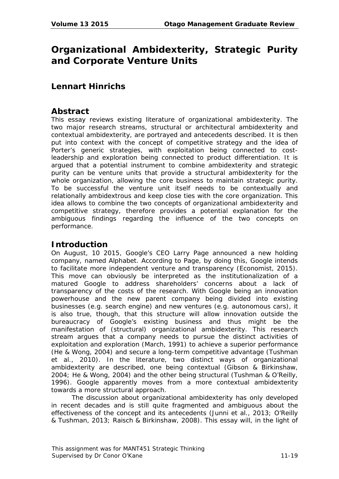## **Organizational Ambidexterity, Strategic Purity and Corporate Venture Units**

### **Lennart Hinrichs**

#### **Abstract**

This essay reviews existing literature of organizational ambidexterity. The two major research streams, structural or architectural ambidexterity and contextual ambidexterity, are portrayed and antecedents described. It is then put into context with the concept of competitive strategy and the idea of Porter's generic strategies, with exploitation being connected to costleadership and exploration being connected to product differentiation. It is argued that a potential instrument to combine ambidexterity and strategic purity can be venture units that provide a structural ambidexterity for the whole organization, allowing the core business to maintain strategic purity. To be successful the venture unit itself needs to be contextually and relationally ambidextrous and keep close ties with the core organization. This idea allows to combine the two concepts of organizational ambidexterity and competitive strategy, therefore provides a potential explanation for the ambiguous findings regarding the influence of the two concepts on performance.

#### **Introduction**

On August, 10 2015, Google's CEO Larry Page announced a new holding company, named Alphabet. According to Page, by doing this, Google intends to facilitate more independent venture and transparency (Economist, 2015). This move can obviously be interpreted as the institutionalization of a matured Google to address shareholders' concerns about a lack of transparency of the costs of the research. With Google being an innovation powerhouse and the new parent company being divided into existing businesses (e.g. search engine) and new ventures (e.g. autonomous cars), it is also true, though, that this structure will allow innovation outside the bureaucracy of Google's existing business and thus might be the manifestation of (structural) organizational ambidexterity. This research stream argues that a company needs to pursue the distinct activities of exploitation and exploration (March, 1991) to achieve a superior performance (He & Wong, 2004) and secure a long-term competitive advantage (Tushman et al., 2010). In the literature, two distinct ways of organizational ambidexterity are described, one being contextual (Gibson & Birkinshaw, 2004; He & Wong, 2004) and the other being structural (Tushman & O'Reilly, 1996). Google apparently moves from a more contextual ambidexterity towards a more structural approach.

The discussion about organizational ambidexterity has only developed in recent decades and is still quite fragmented and ambiguous about the effectiveness of the concept and its antecedents (Junni et al., 2013; O'Reilly & Tushman, 2013; Raisch & Birkinshaw, 2008). This essay will, in the light of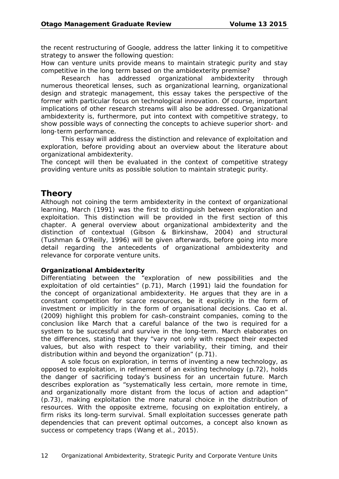the recent restructuring of Google, address the latter linking it to competitive strategy to answer the following question:

*How can venture units provide means to maintain strategic purity and stay competitive in the long term based on the ambidexterity premise?*

Research has addressed organizational ambidexterity through numerous theoretical lenses, such as organizational learning, organizational design and strategic management, this essay takes the perspective of the former with particular focus on technological innovation. Of course, important implications of other research streams will also be addressed. Organizational ambidexterity is, furthermore, put into context with competitive strategy, to show possible ways of connecting the concepts to achieve superior short- and long-term performance.

This essay will address the distinction and relevance of exploitation and exploration, before providing about an overview about the literature about organizational ambidexterity.

The concept will then be evaluated in the context of competitive strategy providing venture units as possible solution to maintain strategic purity.

#### **Theory**

Although not coining the term ambidexterity in the context of organizational learning, March (1991) was the first to distinguish between exploration and exploitation. This distinction will be provided in the first section of this chapter. A general overview about organizational ambidexterity and the distinction of contextual (Gibson & Birkinshaw, 2004) and structural (Tushman & O'Reilly, 1996) will be given afterwards, before going into more detail regarding the antecedents of organizational ambidexterity and relevance for corporate venture units.

#### **Organizational Ambidexterity**

Differentiating between the "exploration of new possibilities and the exploitation of old certainties" (p.71), March (1991) laid the foundation for the concept of organizational ambidexterity. He argues that they are in a constant competition for scarce resources, be it explicitly in the form of investment or implicitly in the form of organisational decisions. Cao et al. (2009) highlight this problem for cash-constraint companies, coming to the conclusion like March that a careful balance of the two is required for a system to be successful and survive in the long-term. March elaborates on the differences, stating that they "vary not only with respect their expected values, but also with respect to their variability, their timing, and their distribution within and beyond the organization" (p.71).

A sole focus on exploration, in terms of inventing a new technology, as opposed to exploitation, in refinement of an existing technology (p.72), holds the danger of sacrificing today's business for an uncertain future. March describes exploration as "systematically less certain, more remote in time, and organizationally more distant from the locus of action and adaption" (p.73), making exploitation the more natural choice in the distribution of resources. With the opposite extreme, focusing on exploitation entirely, a firm risks its long-term survival. Small exploitation successes generate path dependencies that can prevent optimal outcomes, a concept also known as success or competency traps (Wang et al., 2015).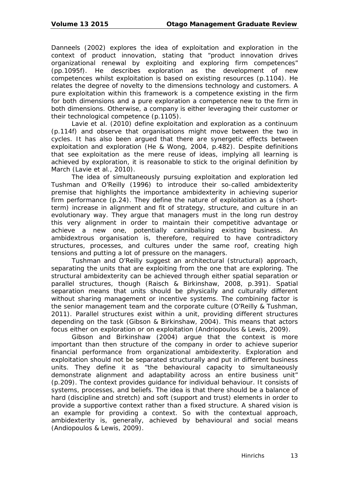Danneels (2002) explores the idea of exploitation and exploration in the context of product innovation, stating that "product innovation drives organizational renewal by exploiting and exploring firm competences" (pp.1095f). He describes exploration as the development of new competences whilst exploitation is based on existing resources (p.1104). He relates the degree of novelty to the dimensions technology and customers. A pure exploitation within this framework is a competence existing in the firm for both dimensions and a pure exploration a competence new to the firm in both dimensions. Otherwise, a company is either leveraging their customer or their technological competence (p.1105).

Lavie et al. (2010) define exploitation and exploration as a continuum (p.114f) and observe that organisations might move between the two in cycles. It has also been argued that there are synergetic effects between exploitation and exploration (He & Wong, 2004, p.482). Despite definitions that see exploitation as the mere reuse of ideas, implying all learning is achieved by exploration, it is reasonable to stick to the original definition by March (Lavie et al., 2010).

The idea of simultaneously pursuing exploitation and exploration led Tushman and O'Reilly (1996) to introduce their so-called ambidexterity premise that highlights the importance ambidexterity in achieving superior firm performance (p.24). They define the nature of exploitation as a (shortterm) increase in alignment and fit of strategy, structure, and culture in an evolutionary way. They argue that managers must in the long run destroy this very alignment in order to maintain their competitive advantage or achieve a new one, potentially cannibalising existing business. An ambidextrous organisation is, therefore, required to have contradictory structures, processes, and cultures under the same roof, creating high tensions and putting a lot of pressure on the managers.

Tushman and O'Reilly suggest an architectural (structural) approach, separating the units that are exploiting from the one that are exploring. The structural ambidexterity can be achieved through either spatial separation or parallel structures, though (Raisch & Birkinshaw, 2008, p.391). Spatial separation means that units should be physically and culturally different without sharing management or incentive systems. The combining factor is the senior management team and the corporate culture (O'Reilly & Tushman, 2011). Parallel structures exist within a unit, providing different structures depending on the task (Gibson & Birkinshaw, 2004). This means that actors focus either on exploration or on exploitation (Andriopoulos & Lewis, 2009).

Gibson and Birkinshaw (2004) argue that the context is more important than then structure of the company in order to achieve superior financial performance from organizational ambidexterity. Exploration and exploitation should not be separated structurally and put in different business units. They define it as "the behavioural capacity to simultaneously demonstrate alignment and adaptability across an entire business unit" (p.209). The context provides guidance for individual behaviour. It consists of systems, processes, and beliefs. The idea is that there should be a balance of hard (discipline and stretch) and soft (support and trust) elements in order to provide a supportive context rather than a fixed structure. A shared vision is an example for providing a context. So with the contextual approach, ambidexterity is, generally, achieved by behavioural and social means (Andiopoulos & Lewis, 2009).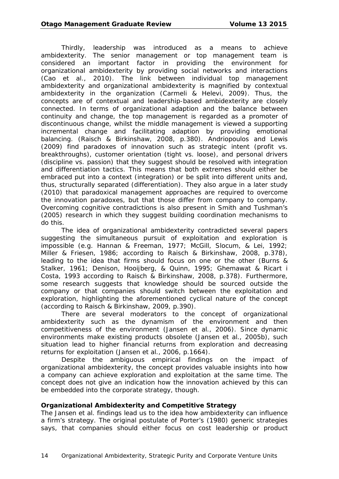Thirdly, leadership was introduced as a means to achieve ambidexterity. The senior management or top management team is considered an important factor in providing the environment for organizational ambidexterity by providing social networks and interactions (Cao et al., 2010). The link between individual top management ambidexterity and organizational ambidexterity is magnified by contextual ambidexterity in the organization (Carmeli & Helevi, 2009). Thus, the concepts are of contextual and leadership-based ambidexterity are closely connected. In terms of organizational adaption and the balance between continuity and change, the top management is regarded as a promoter of discontinuous change, whilst the middle management is viewed a supporting incremental change and facilitating adaption by providing emotional balancing. (Raisch & Birkinshaw, 2008, p.380). Andriopoulos and Lewis (2009) find paradoxes of innovation such as strategic intent (profit vs. breakthroughs), customer orientation (tight vs. loose), and personal drivers (discipline vs. passion) that they suggest should be resolved with integration and differentiation tactics. This means that both extremes should either be embraced put into a context (integration) or be split into different units and, thus, structurally separated (differentiation). They also argue in a later study (2010) that paradoxical management approaches are required to overcome the innovation paradoxes, but that those differ from company to company. Overcoming cognitive contradictions is also present in Smith and Tushman's (2005) research in which they suggest building coordination mechanisms to do this.

The idea of organizational ambidexterity contradicted several papers suggesting the simultaneous pursuit of exploitation and exploration is impossible (e.g. Hannan & Freeman, 1977; McGill, Slocum, & Lei, 1992; Miller & Friesen, 1986; according to Raisch & Birkinshaw, 2008, p.378), leading to the idea that firms should focus on one or the other (Burns & Stalker, 1961; Denison, Hooijberg, & Quinn, 1995; Ghemawat & Ricart i Costa, 1993 according to Raisch & Birkinshaw, 2008, p.378). Furthermore, some research suggests that knowledge should be sourced outside the company or that companies should switch between the exploitation and exploration, highlighting the aforementioned cyclical nature of the concept (according to Raisch & Birkinshaw, 2009, p.390).

There are several moderators to the concept of organizational ambidexterity such as the dynamism of the environment and then competitiveness of the environment (Jansen et al., 2006). Since dynamic environments make existing products obsolete (Jansen et al., 2005b), such situation lead to higher financial returns from exploration and decreasing returns for exploitation (Jansen et al., 2006, p.1664).

Despite the ambiguous empirical findings on the impact of organizational ambidexterity, the concept provides valuable insights into how a company can achieve exploration and exploitation at the same time. The concept does not give an indication how the innovation achieved by this can be embedded into the corporate strategy, though.

#### **Organizational Ambidexterity and Competitive Strategy**

The Jansen et al. findings lead us to the idea how ambidexterity can influence a firm's strategy. The original postulate of Porter's (1980) generic strategies says, that companies should either focus on cost leadership or product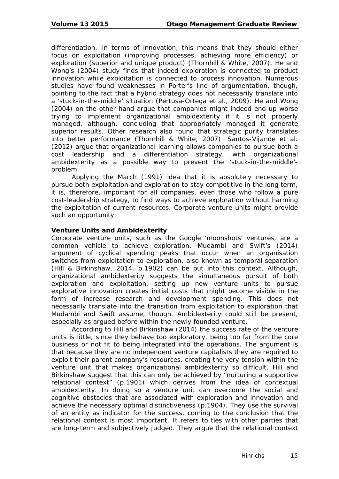differentiation. In terms of innovation, this means that they should either focus on exploitation (improving processes, achieving more efficiency) or exploration (superior and unique product) (Thornhill & White, 2007). He and Wong's (2004) study finds that indeed exploration is connected to product innovation while exploitation is connected to process innovation. Numerous studies have found weaknesses in Porter's line of argumentation, though, pointing to the fact that a hybrid strategy does not necessarily translate into a 'stuck-in-the-middle' situation (Pertusa-Ortega et al., 2009). He and Wong (2004) on the other hand argue that companies might indeed end up worse trying to implement organizational ambidexterity if it is not properly managed, although, concluding that appropriately managed it generate superior results. Other research also found that strategic purity translates into better performance (Thornhill & White, 2007). Santos-Vijande et al. (2012) argue that organizational learning allows companies to pursue both a cost leadership and a differentiation strategy, with organizational ambidexterity as a possible way to prevent the 'stuck-in-the-middle' problem.

Applying the March (1991) idea that it is absolutely necessary to pursue both exploitation and exploration to stay competitive in the long term, it is, therefore, important for all companies, even those who follow a pure cost-leadership strategy, to find ways to achieve exploration without harming the exploitation of current resources. Corporate venture units might provide such an opportunity.

#### **Venture Units and Ambidexterity**

Corporate venture units, such as the Google 'moonshots' ventures, are a common vehicle to achieve exploration. Mudambi and Swift's (2014) argument of cyclical spending peaks that occur when an organisation switches from exploitation to exploration, also known as temporal separation (Hill & Birkinshaw, 2014, p.1902) can be put into this context. Although, organizational ambidexterity suggests the simultaneous pursuit of both exploration and exploitation, setting up new venture units to pursue explorative innovation creates initial costs that might become visible in the form of increase research and development spending. This does not necessarily translate into the transition from exploitation to exploration that Mudambi and Swift assume, though. Ambidexterity could still be present, especially as argued before within the newly founded venture.

According to Hill and Birkinshaw (2014) the success rate of the venture units is little, since they behave too exploratory, being too far from the core business or not fit to being integrated into the operations. The argument is that because they are no independent venture capitalists they are required to exploit their parent company's resources, creating the very tension within the venture unit that makes organizational ambidexterity so difficult. Hill and Birkinshaw suggest that this can only be achieved by "nurturing a supportive relational context" (p.1901) which derives from the idea of contextual ambidexterity. In doing so a venture unit can overcome the social and cognitive obstacles that are associated with exploration and innovation and achieve the necessary optimal distinctiveness (p.1904). They use the survival of an entity as indicator for the success, coming to the conclusion that the relational context is most important. It refers to ties with other parties that are long-term and subjectively judged. They argue that the relational context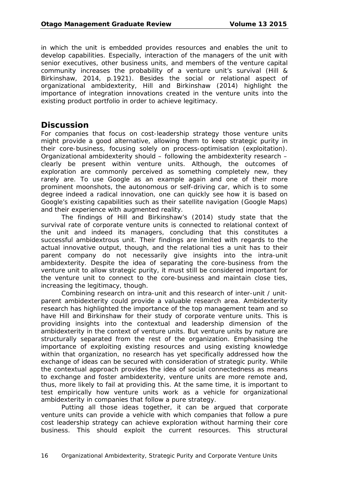in which the unit is embedded provides resources and enables the unit to develop capabilities. Especially, interaction of the managers of the unit with senior executives, other business units, and members of the venture capital community increases the probability of a venture unit's survival (Hill & Birkinshaw, 2014, p.1921). Besides the social or relational aspect of organizational ambidexterity, Hill and Birkinshaw (2014) highlight the importance of integration innovations created in the venture units into the existing product portfolio in order to achieve legitimacy.

#### **Discussion**

For companies that focus on cost-leadership strategy those venture units might provide a good alternative, allowing them to keep strategic purity in their core-business, focusing solely on process-optimisation (exploitation). Organizational ambidexterity should – following the ambidexterity research – clearly be present within venture units. Although, the outcomes of exploration are commonly perceived as something completely new, they rarely are. To use Google as an example again and one of their more prominent moonshots, the autonomous or self-driving car, which is to some degree indeed a radical innovation, one can quickly see how it is based on Google's existing capabilities such as their satellite navigation (Google Maps) and their experience with augmented reality.

The findings of Hill and Birkinshaw's (2014) study state that the survival rate of corporate venture units is connected to relational context of the unit and indeed its managers, concluding that this constitutes a successful ambidextrous unit. Their findings are limited with regards to the actual innovative output, though, and the relational ties a unit has to their parent company do not necessarily give insights into the intra-unit ambidexterity. Despite the idea of separating the core-business from the venture unit to allow strategic purity, it must still be considered important for the venture unit to connect to the core-business and maintain close ties, increasing the legitimacy, though.

Combining research on intra-unit and this research of inter-unit / unitparent ambidexterity could provide a valuable research area. Ambidexterity research has highlighted the importance of the top management team and so have Hill and Birkinshaw for their study of corporate venture units. This is providing insights into the contextual and leadership dimension of the ambidexterity in the context of venture units. But venture units by nature are structurally separated from the rest of the organization. Emphasising the importance of exploiting existing resources and using existing knowledge within that organization, no research has yet specifically addressed how the exchange of ideas can be secured with consideration of strategic purity. While the contextual approach provides the idea of social connectedness as means to exchange and foster ambidexterity, venture units are more remote and, thus, more likely to fail at providing this. At the same time, it is important to test empirically how venture units work as a vehicle for organizational ambidexterity in companies that follow a pure strategy.

Putting all those ideas together, it can be argued that corporate venture units can provide a vehicle with which companies that follow a pure cost leadership strategy can achieve exploration without harming their core business. This should exploit the current resources. This structural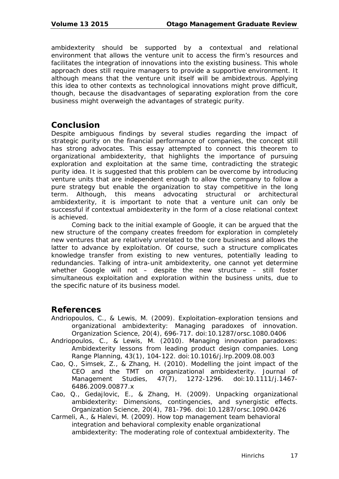ambidexterity should be supported by a contextual and relational environment that allows the venture unit to access the firm's resources and facilitates the integration of innovations into the existing business. This whole approach does still require managers to provide a supportive environment. It although means that the venture unit itself will be ambidextrous. Applying this idea to other contexts as technological innovations might prove difficult, though, because the disadvantages of separating exploration from the core business might overweigh the advantages of strategic purity.

#### **Conclusion**

Despite ambiguous findings by several studies regarding the impact of strategic purity on the financial performance of companies, the concept still has strong advocates. This essay attempted to connect this theorem to organizational ambidexterity, that highlights the importance of pursuing exploration and exploitation at the same time, contradicting the strategic purity idea. It is suggested that this problem can be overcome by introducing venture units that are independent enough to allow the company to follow a pure strategy but enable the organization to stay competitive in the long term. Although, this means advocating structural or architectural ambidexterity, it is important to note that a venture unit can only be successful if contextual ambidexterity in the form of a close relational context is achieved.

Coming back to the initial example of Google, it can be argued that the new structure of the company creates freedom for exploration in completely new ventures that are relatively unrelated to the core business and allows the latter to advance by exploitation. Of course, such a structure complicates knowledge transfer from existing to new ventures, potentially leading to redundancies. Talking of intra-unit ambidexterity, one cannot yet determine whether Google will not – despite the new structure – still foster simultaneous exploitation and exploration within the business units, due to the specific nature of its business model.

#### **References**

- Andriopoulos, C., & Lewis, M. (2009). Exploitation-exploration tensions and organizational ambidexterity: Managing paradoxes of innovation. *Organization Science, 20*(4), 696-717. doi:10.1287/orsc.1080.0406
- Andriopoulos, C., & Lewis, M. (2010). Managing innovation paradoxes: Ambidexterity lessons from leading product design companies. *Long Range Planning, 43*(1), 104-122. doi:10.1016/j.lrp.2009.08.003
- Cao, Q., Simsek, Z., & Zhang, H. (2010). Modelling the joint impact of the CEO and the TMT on organizational ambidexterity. *Journal of Management Studies, 47*(7), 1272-1296. doi:10.1111/j.1467- 6486.2009.00877.x
- Cao, Q., Gedajlovic, E., & Zhang, H. (2009). Unpacking organizational ambidexterity: Dimensions, contingencies, and synergistic effects. *Organization Science, 20*(4), 781-796. doi:10.1287/orsc.1090.0426
- Carmeli, A., & Halevi, M. (2009). How top management team behavioral integration and behavioral complexity enable organizational ambidexterity: The moderating role of contextual ambidexterity. *The*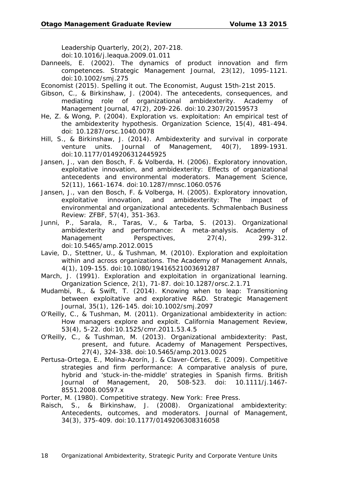*Leadership Quarterly, 20*(2), 207-218. doi:10.1016/j.leaqua.2009.01.011

- Danneels, E. (2002). The dynamics of product innovation and firm competences. *Strategic Management Journal, 23*(12), 1095-1121. doi:10.1002/smj.275
- Economist (2015). Spelling it out. *The Economist*, August 15th-21st 2015.
- Gibson, C., & Birkinshaw, J. (2004). The antecedents, consequences, and mediating role of organizational ambidexterity. *Academy of Management Journal, 47*(2), 209-226. doi:10.2307/20159573
- He, Z. & Wong, P. (2004). Exploration vs. exploitation: An empirical test of the ambidexterity hypothesis. *Organization Science, 15*(4), 481-494. doi: 10.1287/orsc.1040.0078
- Hill, S., & Birkinshaw, J. (2014). Ambidexterity and survival in corporate venture units. *Journal of Management, 40*(7), 1899-1931. doi:10.1177/0149206312445925
- Jansen, J., van den Bosch, F. & Volberda, H. (2006). Exploratory innovation, exploitative innovation, and ambidexterity: Effects of organizational antecedents and environmental moderators. *Management Science, 52*(11), 1661-1674. doi:10.1287/mnsc.1060.0576
- Jansen, J., van den Bosch, F. & Volberga, H. (2005). Exploratory innovation, exploitative innovation, and ambidexterity: The impact of environmental and organizational antecedents. *Schmalenbach Business Review: ZFBF, 57*(4), 351-363.
- Junni, P., Sarala, R., Taras, V., & Tarba, S. (2013). Organizational ambidexterity and performance: A meta-analysis. *Academy of Management Perspectives, 27*(4), 299-312. doi:10.5465/amp.2012.0015
- Lavie, D., Stettner, U., & Tushman, M. (2010). Exploration and exploitation within and across organizations. *The Academy of Management Annals, 4*(1), 109-155. doi:10.1080/19416521003691287
- March, J. (1991). Exploration and exploitation in organizational learning. *Organization Science, 2*(1), 71-87. doi:10.1287/orsc.2.1.71
- Mudambi, R., & Swift, T. (2014). Knowing when to leap: Transitioning between exploitative and explorative R&D. *Strategic Management Journal, 35*(1), 126-145. doi:10.1002/smj.2097
- O'Reilly, C., & Tushman, M. (2011). Organizational ambidexterity in action: How managers explore and exploit. *California Management Review, 53*(4), 5-22. doi:10.1525/cmr.2011.53.4.5
- O'Reilly, C., & Tushman, M. (2013). Organizational ambidexterity: Past, present, and future. *Academy of Management Perspectives, 27*(4), 324-338. doi:10.5465/amp.2013.0025
- Pertusa-Ortega, E., Molina-Azorín, J. & Claver-Córtes, E. (2009). Competitive strategies and firm performance: A comparative analysis of pure, hybrid and 'stuck-in-the-middle' strategies in Spanish firms. *British Journal of Management, 20*, 508-523. doi: 10.1111/j.1467- 8551.2008.00597.x
- Porter, M. (1980). *Competitive strategy.* New York: Free Press.
- Raisch, S., & Birkinshaw, J. (2008). Organizational ambidexterity: Antecedents, outcomes, and moderators. J*ournal of Management, 34*(3), 375-409. doi:10.1177/0149206308316058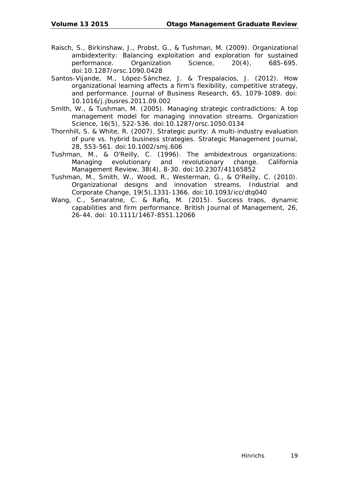- Raisch, S., Birkinshaw, J., Probst, G., & Tushman, M. (2009). Organizational ambidexterity: Balancing exploitation and exploration for sustained performance. *Organization Science, 20*(4), 685-695. doi:10.1287/orsc.1090.0428
- Santos-Vijande, M., López-Sánchez, J. & Trespalacios, J. (2012). How organizational learning affects a firm's flexibility, competitive strategy, and performance. *Journal of Business Research, 65*, 1079-1089. doi: 10.1016/j.jbusres.2011.09.002
- Smith, W., & Tushman, M. (2005). Managing strategic contradictions: A top management model for managing innovation streams. *Organization Science, 16*(5), 522-536. doi:10.1287/orsc.1050.0134
- Thornhill, S. & White, R. (2007). Strategic purity: A multi-industry evaluation of pure vs. hybrid business strategies. *Strategic Management Journal, 28*, 553-561. doi:10.1002/smj.606
- Tushman, M., & O'Reilly, C. (1996). The ambidextrous organizations: Managing evolutionary and revolutionary change. *California Management Review, 38*(4), 8-30. doi:10.2307/41165852
- Tushman, M., Smith, W., Wood, R., Westerman, G., & O'Reilly, C. (2010). Organizational designs and innovation streams. *Industrial and Corporate Change, 19*(5),1331-1366. doi:10.1093/icc/dtq040
- Wang, C., Senaratne, C. & Rafiq, M. (2015). Success traps, dynamic capabilities and firm performance. *British Journal of Management, 26*, 26-44. doi: 10.1111/1467-8551.12066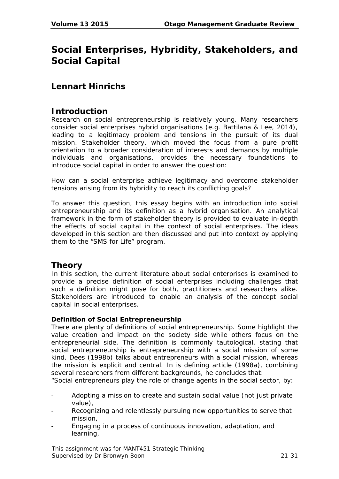## **Social Enterprises, Hybridity, Stakeholders, and Social Capital**

#### **Lennart Hinrichs**

#### **Introduction**

Research on social entrepreneurship is relatively young. Many researchers consider social enterprises hybrid organisations (e.g. Battilana & Lee, 2014), leading to a legitimacy problem and tensions in the pursuit of its dual mission. Stakeholder theory, which moved the focus from a pure profit orientation to a broader consideration of interests and demands by multiple individuals and organisations, provides the necessary foundations to introduce social capital in order to answer the question:

*How can a social enterprise achieve legitimacy and overcome stakeholder tensions arising from its hybridity to reach its conflicting goals?*

To answer this question, this essay begins with an introduction into social entrepreneurship and its definition as a hybrid organisation. An analytical framework in the form of stakeholder theory is provided to evaluate in-depth the effects of social capital in the context of social enterprises. The ideas developed in this section are then discussed and put into context by applying them to the "SMS for Life" program.

#### **Theory**

In this section, the current literature about social enterprises is examined to provide a precise definition of social enterprises including challenges that such a definition might pose for both, practitioners and researchers alike. Stakeholders are introduced to enable an analysis of the concept social capital in social enterprises.

#### **Definition of Social Entrepreneurship**

There are plenty of definitions of social entrepreneurship. Some highlight the value creation and impact on the society side while others focus on the entrepreneurial side. The definition is commonly tautological, stating that social entrepreneurship is entrepreneurship with a social mission of some kind. Dees (1998b) talks about entrepreneurs with a social mission, whereas the mission is explicit and central. In is defining article (1998a), combining several researchers from different backgrounds, he concludes that:

"Social entrepreneurs play the role of change agents in the social sector, by:

- Adopting a mission to create and sustain social value (not just private value),
- Recognizing and relentlessly pursuing new opportunities to serve that mission,
- Engaging in a process of continuous innovation, adaptation, and learning,

This assignment was for MANT451 Strategic Thinking Supervised by Dr Bronwyn Boon 21-31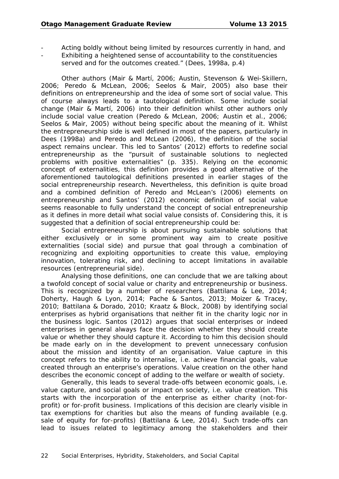- Acting boldly without being limited by resources currently in hand, and
- Exhibiting a heightened sense of accountability to the constituencies served and for the outcomes created." (Dees, 1998a, p.4)

Other authors (Mair & Martí, 2006; Austin, Stevenson & Wei-Skillern, 2006; Peredo & McLean, 2006; Seelos & Mair, 2005) also base their definitions on entrepreneurship and the idea of some sort of social value. This of course always leads to a tautological definition. Some include social change (Mair & Martí, 2006) into their definition whilst other authors only include social value creation (Peredo & McLean, 2006; Austin et al., 2006; Seelos & Mair, 2005) without being specific about the meaning of it. Whilst the entrepreneurship side is well defined in most of the papers, particularly in Dees (1998a) and Peredo and McLean (2006), the definition of the social aspect remains unclear. This led to Santos' (2012) efforts to redefine social entrepreneurship as the "pursuit of sustainable solutions to neglected problems with positive externalities" (p. 335). Relying on the economic concept of externalities, this definition provides a good alternative of the aforementioned tautological definitions presented in earlier stages of the social entrepreneurship research. Nevertheless, this definition is quite broad and a combined definition of Peredo and McLean's (2006) elements on entrepreneurship and Santos' (2012) economic definition of social value seems reasonable to fully understand the concept of social entrepreneurship as it defines in more detail what social value consists of. Considering this, it is suggested that a definition of social entrepreneurship could be:

Social entrepreneurship is about pursuing sustainable solutions that either exclusively or in some prominent way aim to create positive externalities (social side) and pursue that goal through a combination of recognizing and exploiting opportunities to create this value, employing innovation, tolerating risk, and declining to accept limitations in available resources (entrepreneurial side).

Analysing those definitions, one can conclude that we are talking about a twofold concept of social value or charity and entrepreneurship or business. This is recognized by a number of researchers (Battilana & Lee, 2014; Doherty, Haugh & Lyon, 2014; Pache & Santos, 2013; Moizer & Tracey, 2010; Battilana & Dorado, 2010; Kraatz & Block, 2008) by identifying social enterprises as hybrid organisations that neither fit in the charity logic nor in the business logic. Santos (2012) argues that social enterprises or indeed enterprises in general always face the decision whether they should create value or whether they should capture it. According to him this decision should be made early on in the development to prevent unnecessary confusion about the mission and identity of an organisation. Value capture in this concept refers to the ability to internalise, i.e. achieve financial goals, value created through an enterprise's operations. Value creation on the other hand describes the economic concept of adding to the welfare or wealth of society.

Generally, this leads to several trade-offs between economic goals, i.e. value capture, and social goals or impact on society, i.e. value creation. This starts with the incorporation of the enterprise as either charity (not-forprofit) or for-profit business. Implications of this decision are clearly visible in tax exemptions for charities but also the means of funding available (e.g. sale of equity for for-profits) (Battilana & Lee, 2014). Such trade-offs can lead to issues related to legitimacy among the stakeholders and their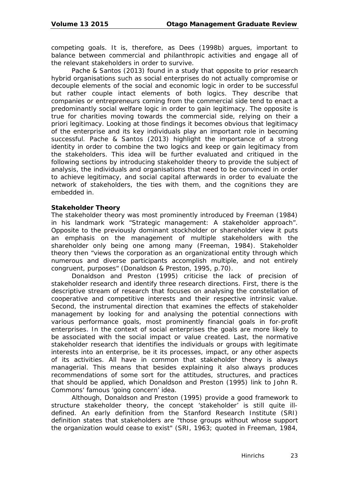competing goals. It is, therefore, as Dees (1998b) argues, important to balance between commercial and philanthropic activities and engage all of the relevant stakeholders in order to survive.

Pache & Santos (2013) found in a study that opposite to prior research hybrid organisations such as social enterprises do not actually compromise or decouple elements of the social and economic logic in order to be successful but rather couple intact elements of both logics. They describe that companies or entrepreneurs coming from the commercial side tend to enact a predominantly social welfare logic in order to gain legitimacy. The opposite is true for charities moving towards the commercial side, relying on their a priori legitimacy. Looking at those findings it becomes obvious that legitimacy of the enterprise and its key individuals play an important role in becoming successful. Pache & Santos (2013) highlight the importance of a strong identity in order to combine the two logics and keep or gain legitimacy from the stakeholders. This idea will be further evaluated and critiqued in the following sections by introducing stakeholder theory to provide the subject of analysis, the individuals and organisations that need to be convinced in order to achieve legitimacy, and social capital afterwards in order to evaluate the network of stakeholders, the ties with them, and the cognitions they are embedded in.

#### **Stakeholder Theory**

The stakeholder theory was most prominently introduced by Freeman (1984) in his landmark work "Strategic management: A stakeholder approach". Opposite to the previously dominant stockholder or shareholder view it puts an emphasis on the management of multiple stakeholders with the shareholder only being one among many (Freeman, 1984). Stakeholder theory then "views the corporation as an organizational entity through which numerous and diverse participants accomplish multiple, and not entirely congruent, purposes" (Donaldson & Preston, 1995, p.70).

Donaldson and Preston (1995) criticise the lack of precision of stakeholder research and identify three research directions. First, there is the descriptive stream of research that focuses on analysing the constellation of cooperative and competitive interests and their respective intrinsic value. Second, the instrumental direction that examines the effects of stakeholder management by looking for and analysing the potential connections with various performance goals, most prominently financial goals in for-profit enterprises. In the context of social enterprises the goals are more likely to be associated with the social impact or value created. Last, the normative stakeholder research that identifies the individuals or groups with legitimate interests into an enterprise, be it its processes, impact, or any other aspects of its activities. All have in common that stakeholder theory is always managerial. This means that besides explaining it also always produces recommendations of some sort for the attitudes, structures, and practices that should be applied, which Donaldson and Preston (1995) link to John R. Commons' famous 'going concern' idea.

Although, Donaldson and Preston (1995) provide a good framework to structure stakeholder theory, the concept 'stakeholder' is still quite illdefined. An early definition from the Stanford Research Institute (SRI) definition states that stakeholders are "those groups without whose support the organization would cease to exist" (SRI, 1963; quoted in Freeman, 1984,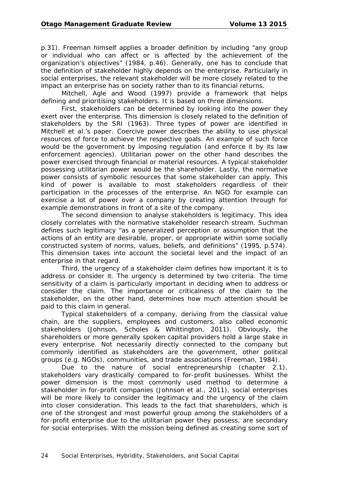p.31). Freeman himself applies a broader definition by including "any group or individual who can affect or is affected by the achievement of the organization's objectives" (1984, p.46). Generally, one has to conclude that the definition of stakeholder highly depends on the enterprise. Particularly in social enterprises, the relevant stakeholder will be more closely related to the impact an enterprise has on society rather than to its financial returns.

Mitchell, Agle and Wood (1997) provide a framework that helps defining and prioritising stakeholders. It is based on three dimensions.

First, stakeholders can be determined by looking into the power they exert over the enterprise. This dimension is closely related to the definition of stakeholders by the SRI (1963). Three types of power are identified in Mitchell et al.'s paper. Coercive power describes the ability to use physical resources of force to achieve the respective goals. An example of such force would be the government by imposing regulation (and enforce it by its law enforcement agencies). Utilitarian power on the other hand describes the power exercised through financial or material resources. A typical stakeholder possessing utilitarian power would be the shareholder. Lastly, the normative power consists of symbolic resources that some stakeholder can apply. This kind of power is available to most stakeholders regardless of their participation in the processes of the enterprise. An NGO for example can exercise a lot of power over a company by creating attention through for example demonstrations in front of a site of the company.

The second dimension to analyse stakeholders is legitimacy. This idea closely correlates with the normative stakeholder research stream. Suchman defines such legitimacy "as a generalized perception or assumption that the actions of an entity are desirable, proper, or appropriate within some socially constructed system of norms, values, beliefs, and definitions" (1995, p.574). This dimension takes into account the societal level and the impact of an enterprise in that regard.

Third, the urgency of a stakeholder claim defines how important it is to address or consider it. The urgency is determined by two criteria. The time sensitivity of a claim is particularly important in deciding when to address or consider the claim. The importance or criticalness of the claim to the stakeholder, on the other hand, determines how much attention should be paid to this claim in general.

Typical stakeholders of a company, deriving from the classical value chain, are the suppliers, employees and customers, also called economic stakeholders (Johnson, Scholes & Whittington, 2011). Obviously, the shareholders or more generally spoken capital providers hold a large stake in every enterprise. Not necessarily directly connected to the company but commonly identified as stakeholders are the government, other political groups (e.g. NGOs), communities, and trade associations (Freeman, 1984).

Due to the nature of social entrepreneurship (chapter 2.1), stakeholders vary drastically compared to for-profit businesses. Whilst the power dimension is the most commonly used method to determine a stakeholder in for-profit companies (Johnson et al., 2011), social enterprises will be more likely to consider the legitimacy and the urgency of the claim into closer consideration. This leads to the fact that shareholders, which is one of the strongest and most powerful group among the stakeholders of a for-profit enterprise due to the utilitarian power they possess, are secondary for social enterprises. With the mission being defined as creating some sort of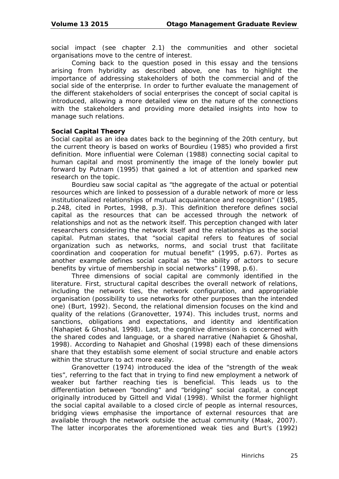social impact (see chapter 2.1) the communities and other societal organisations move to the centre of interest.

Coming back to the question posed in this essay and the tensions arising from hybridity as described above, one has to highlight the importance of addressing stakeholders of both the commercial and of the social side of the enterprise. In order to further evaluate the management of the different stakeholders of social enterprises the concept of social capital is introduced, allowing a more detailed view on the nature of the connections with the stakeholders and providing more detailed insights into how to manage such relations.

#### **Social Capital Theory**

Social capital as an idea dates back to the beginning of the 20th century, but the current theory is based on works of Bourdieu (1985) who provided a first definition. More influential were Coleman (1988) connecting social capital to human capital and most prominently the image of the lonely bowler put forward by Putnam (1995) that gained a lot of attention and sparked new research on the topic.

Bourdieu saw social capital as "the aggregate of the actual or potential resources which are linked to possession of a durable network of more or less institutionalized relationships of mutual acquaintance and recognition" (1985, p.248, cited in Portes, 1998, p.3). This definition therefore defines social capital as the resources that can be accessed through the network of relationships and not as the network itself. This perception changed with later researchers considering the network itself and the relationships as the social capital. Putman states, that "social capital refers to features of social organization such as networks, norms, and social trust that facilitate coordination and cooperation for mutual benefit" (1995, p.67). Portes as another example defines social capital as "the ability of actors to secure benefits by virtue of membership in social networks" (1998, p.6).

Three dimensions of social capital are commonly identified in the literature. First, structural capital describes the overall network of relations, including the network ties, the network configuration, and appropriable organisation (possibility to use networks for other purposes than the intended one) (Burt, 1992). Second, the relational dimension focuses on the kind and quality of the relations (Granovetter, 1974). This includes trust, norms and sanctions, obligations and expectations, and identity and identification (Nahapiet & Ghoshal, 1998). Last, the cognitive dimension is concerned with the shared codes and language, or a shared narrative (Nahapiet & Ghoshal, 1998). According to Nahapiet and Ghoshal (1998) each of these dimensions share that they establish some element of social structure and enable actors within the structure to act more easily.

Granovetter (1974) introduced the idea of the "strength of the weak ties", referring to the fact that in trying to find new employment a network of weaker but farther reaching ties is beneficial. This leads us to the differentiation between "bonding" and "bridging" social capital, a concept originally introduced by Gittell and Vidal (1998). Whilst the former highlight the social capital available to a closed circle of people as internal resources, bridging views emphasise the importance of external resources that are available through the network outside the actual community (Maak, 2007). The latter incorporates the aforementioned weak ties and Burt's (1992)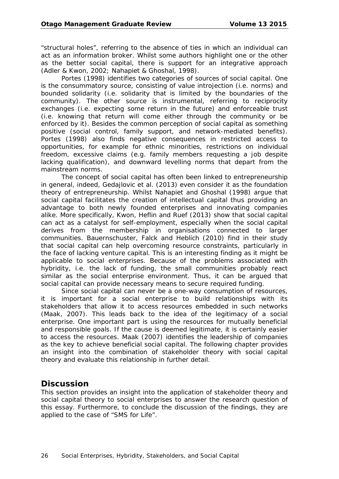"structural holes", referring to the absence of ties in which an individual can act as an information broker. Whilst some authors highlight one or the other as the better social capital, there is support for an integrative approach (Adler & Kwon, 2002; Nahapiet & Ghoshal, 1998).

Portes (1998) identifies two categories of sources of social capital. One is the consummatory source, consisting of value introjection (i.e. norms) and bounded solidarity (i.e. solidarity that is limited by the boundaries of the community). The other source is instrumental, referring to reciprocity exchanges (i.e. expecting some return in the future) and enforceable trust (i.e. knowing that return will come either through the community or be enforced by it). Besides the common perception of social capital as something positive (social control, family support, and network-mediated benefits). Portes (1998) also finds negative consequences in restricted access to opportunities, for example for ethnic minorities, restrictions on individual freedom, excessive claims (e.g. family members requesting a job despite lacking qualification), and downward levelling norms that depart from the mainstream norms.

The concept of social capital has often been linked to entrepreneurship in general, indeed, Gedajlovic et al. (2013) even consider it as the foundation theory of entrepreneurship. Whilst Nahapiet and Ghoshal (1998) argue that social capital facilitates the creation of intellectual capital thus providing an advantage to both newly founded enterprises and innovating companies alike. More specifically, Kwon, Heflin and Ruef (2013) show that social capital can act as a catalyst for self-employment, especially when the social capital derives from the membership in organisations connected to larger communities. Bauernschuster, Falck and Heblich (2010) find in their study that social capital can help overcoming resource constraints, particularly in the face of lacking venture capital. This is an interesting finding as it might be applicable to social enterprises. Because of the problems associated with hybridity, i.e. the lack of funding, the small communities probably react similar as the social enterprise environment. Thus, it can be argued that social capital can provide necessary means to secure required funding.

Since social capital can never be a one-way consumption of resources, it is important for a social enterprise to build relationships with its stakeholders that allow it to access resources embedded in such networks (Maak, 2007). This leads back to the idea of the legitimacy of a social enterprise. One important part is using the resources for mutually beneficial and responsible goals. If the cause is deemed legitimate, it is certainly easier to access the resources. Maak (2007) identifies the leadership of companies as the key to achieve beneficial social capital. The following chapter provides an insight into the combination of stakeholder theory with social capital theory and evaluate this relationship in further detail.

#### **Discussion**

This section provides an insight into the application of stakeholder theory and social capital theory to social enterprises to answer the research question of this essay. Furthermore, to conclude the discussion of the findings, they are applied to the case of "SMS for Life".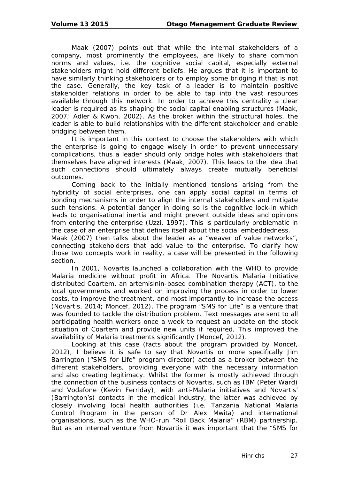Maak (2007) points out that while the internal stakeholders of a company, most prominently the employees, are likely to share common norms and values, i.e. the cognitive social capital, especially external stakeholders might hold different beliefs. He argues that it is important to have similarly thinking stakeholders or to employ some bridging if that is not the case. Generally, the key task of a leader is to maintain positive stakeholder relations in order to be able to tap into the vast resources available through this network. In order to achieve this centrality a clear leader is required as its shaping the social capital enabling structures (Maak, 2007; Adler & Kwon, 2002). As the broker within the structural holes, the leader is able to build relationships with the different stakeholder and enable bridging between them.

It is important in this context to choose the stakeholders with which the enterprise is going to engage wisely in order to prevent unnecessary complications, thus a leader should only bridge holes with stakeholders that themselves have aligned interests (Maak, 2007). This leads to the idea that such connections should ultimately always create mutually beneficial outcomes.

Coming back to the initially mentioned tensions arising from the hybridity of social enterprises, one can apply social capital in terms of bonding mechanisms in order to align the internal stakeholders and mitigate such tensions. A potential danger in doing so is the cognitive lock-in which leads to organisational inertia and might prevent outside ideas and opinions from entering the enterprise (Uzzi, 1997). This is particularly problematic in the case of an enterprise that defines itself about the social embeddedness.

Maak (2007) then talks about the leader as a "weaver of value networks", connecting stakeholders that add value to the enterprise. To clarify how those two concepts work in reality, a case will be presented in the following section.

In 2001, Novartis launched a collaboration with the WHO to provide Malaria medicine without profit in Africa. The Novartis Malaria Initiative distributed Coartem, an artemisinin-based combination therapy (ACT), to the local governments and worked on improving the process in order to lower costs, to improve the treatment, and most importantly to increase the access (Novartis, 2014; Moncef, 2012). The program "SMS for Life" is a venture that was founded to tackle the distribution problem. Text messages are sent to all participating health workers once a week to request an update on the stock situation of Coartem and provide new units if required. This improved the availability of Malaria treatments significantly (Moncef, 2012).

Looking at this case (facts about the program provided by Moncef, 2012), I believe it is safe to say that Novartis or more specifically Jim Barrington ("SMS for Life" program director) acted as a broker between the different stakeholders, providing everyone with the necessary information and also creating legitimacy. Whilst the former is mostly achieved through the connection of the business contacts of Novartis, such as IBM (Peter Ward) and Vodafone (Kevin Ferriday), with anti-Malaria initiatives and Novartis' (Barrington's) contacts in the medical industry, the latter was achieved by closely involving local health authorities (i.e. Tanzania National Malaria Control Program in the person of Dr Alex Mwita) and international organisations, such as the WHO-run "Roll Back Malaria" (RBM) partnership. But as an internal venture from Novartis it was important that the "SMS for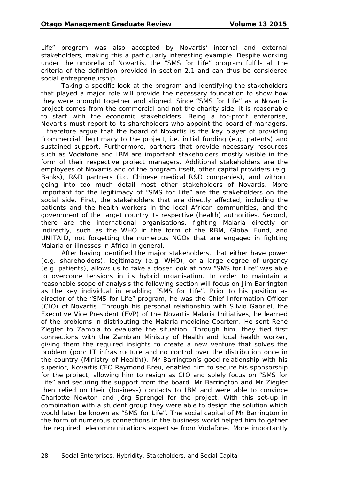Life" program was also accepted by Novartis' internal and external stakeholders, making this a particularly interesting example. Despite working under the umbrella of Novartis, the "SMS for Life" program fulfils all the criteria of the definition provided in section 2.1 and can thus be considered social entrepreneurship.

Taking a specific look at the program and identifying the stakeholders that played a major role will provide the necessary foundation to show how they were brought together and aligned. Since "SMS for Life" as a Novartis project comes from the commercial and not the charity side, it is reasonable to start with the economic stakeholders. Being a for-profit enterprise, Novartis must report to its shareholders who appoint the board of managers. I therefore argue that the board of Novartis is the key player of providing "commercial" legitimacy to the project, i.e. initial funding (e.g. patents) and sustained support. Furthermore, partners that provide necessary resources such as Vodafone and IBM are important stakeholders mostly visible in the form of their respective project managers. Additional stakeholders are the employees of Novartis and of the program itself, other capital providers (e.g. Banks), R&D partners (i.c. Chinese medical R&D companies), and without going into too much detail most other stakeholders of Novartis. More important for the legitimacy of "SMS for Life" are the stakeholders on the social side. First, the stakeholders that are directly affected, including the patients and the health workers in the local African communities, and the government of the target country its respective (health) authorities. Second, there are the international organisations, fighting Malaria directly or indirectly, such as the WHO in the form of the RBM, Global Fund, and UNITAID, not forgetting the numerous NGOs that are engaged in fighting Malaria or illnesses in Africa in general.

After having identified the major stakeholders, that either have power (e.g. shareholders), legitimacy (e.g. WHO), or a large degree of urgency (e.g. patients), allows us to take a closer look at how "SMS for Life" was able to overcome tensions in its hybrid organisation. In order to maintain a reasonable scope of analysis the following section will focus on Jim Barrington as the key individual in enabling "SMS for Life". Prior to his position as director of the "SMS for Life" program, he was the Chief Information Officer (CIO) of Novartis. Through his personal relationship with Silvio Gabriel, the Executive Vice President (EVP) of the Novartis Malaria Initiatives, he learned of the problems in distributing the Malaria medicine Coartem. He sent René Ziegler to Zambia to evaluate the situation. Through him, they tied first connections with the Zambian Ministry of Health and local health worker, giving them the required insights to create a new venture that solves the problem (poor IT infrastructure and no control over the distribution once in the country (Ministry of Health)). Mr Barrington's good relationship with his superior, Novartis CFO Raymond Breu, enabled him to secure his sponsorship for the project, allowing him to resign as CIO and solely focus on "SMS for Life" and securing the support from the board. Mr Barrington and Mr Ziegler then relied on their (business) contacts to IBM and were able to convince Charlotte Newton and Jörg Sprengel for the project. With this set-up in combination with a student group they were able to design the solution which would later be known as "SMS for Life". The social capital of Mr Barrington in the form of numerous connections in the business world helped him to gather the required telecommunications expertise from Vodafone. More importantly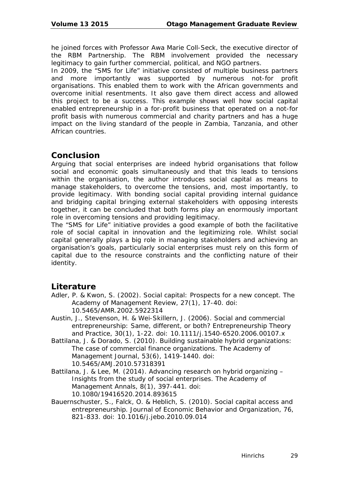he joined forces with Professor Awa Marie Coll-Seck, the executive director of the RBM Partnership. The RBM involvement provided the necessary legitimacy to gain further commercial, political, and NGO partners.

In 2009, the "SMS for Life" initiative consisted of multiple business partners and more importantly was supported by numerous not-for profit organisations. This enabled them to work with the African governments and overcome initial resentments. It also gave them direct access and allowed this project to be a success. This example shows well how social capital enabled entrepreneurship in a for-profit business that operated on a not-for profit basis with numerous commercial and charity partners and has a huge impact on the living standard of the people in Zambia, Tanzania, and other African countries.

#### **Conclusion**

Arguing that social enterprises are indeed hybrid organisations that follow social and economic goals simultaneously and that this leads to tensions within the organisation, the author introduces social capital as means to manage stakeholders, to overcome the tensions, and, most importantly, to provide legitimacy. With bonding social capital providing internal guidance and bridging capital bringing external stakeholders with opposing interests together, it can be concluded that both forms play an enormously important role in overcoming tensions and providing legitimacy.

The "SMS for Life" initiative provides a good example of both the facilitative role of social capital in innovation and the legitimizing role. Whilst social capital generally plays a big role in managing stakeholders and achieving an organisation's goals, particularly social enterprises must rely on this form of capital due to the resource constraints and the conflicting nature of their identity.

#### **Literature**

- Adler, P. & Kwon, S. (2002). Social capital: Prospects for a new concept. *The Academy of Management Review, 27*(1), 17-40. doi: 10.5465/AMR.2002.5922314
- Austin, J., Stevenson, H. & Wei-Skillern, J. (2006). Social and commercial entrepreneurship: Same, different, or both? *Entrepreneurship Theory and Practice, 30*(1), 1-22. doi: 10.1111/j.1540-6520.2006.00107.x
- Battilana, J. & Dorado, S. (2010). Building sustainable hybrid organizations: The case of commercial finance organizations. *The Academy of Management Journal, 53*(6), 1419-1440. doi: 10.5465/AMJ.2010.57318391
- Battilana, J. & Lee, M. (2014). Advancing research on hybrid organizing Insights from the study of social enterprises. *The Academy of Management Annals, 8*(1), 397-441. doi: 10.1080/19416520.2014.893615
- Bauernschuster, S., Falck, O. & Heblich, S. (2010). Social capital access and entrepreneurship. *Journal of Economic Behavior and Organization, 76*, 821-833. doi: 10.1016/j.jebo.2010.09.014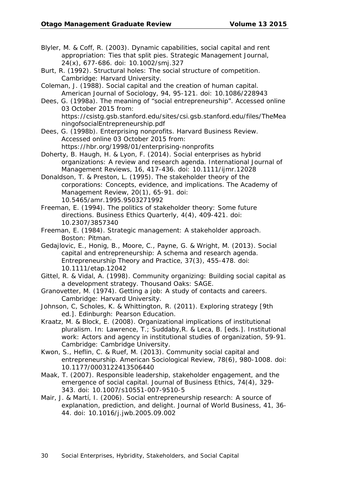Blyler, M. & Coff, R. (2003). Dynamic capabilities, social capital and rent appropriation: Ties that split pies. *Strategic Management Journal, 24*(x), 677-686. doi: 10.1002/smj.327

- Burt, R. (1992). *Structural holes: The social structure of competition.*  Cambridge: Harvard University.
- Coleman, J. (1988). Social capital and the creation of human capital. *American Journal of Sociology, 94*, 95-121. doi: 10.1086/228943

Dees, G. (1998a). *The meaning of "social entrepreneurship".* Accessed online 03 October 2015 from: https://csistg.gsb.stanford.edu/sites/csi.gsb.stanford.edu/files/TheMea ningofsocialEntrepreneurship.pdf

Dees, G. (1998b). Enterprising nonprofits. *Harvard Business Review.*  Accessed online 03 October 2015 from: https://hbr.org/1998/01/enterprising-nonprofits

Doherty, B. Haugh, H. & Lyon, F. (2014). Social enterprises as hybrid organizations: A review and research agenda. *International Journal of Management Reviews, 16*, 417-436. doi: 10.1111/ijmr.12028

Donaldson, T. & Preston, L. (1995). The stakeholder theory of the corporations: Concepts, evidence, and implications. *The Academy of Management Review, 20*(1), 65-91. doi: 10.5465/amr.1995.9503271992

Freeman, E. (1994). The politics of stakeholder theory: Some future directions. *Business Ethics Quarterly, 4*(4), 409-421. doi: 10.2307/3857340

- Freeman, E. (1984). *Strategic management: A stakeholder approach.*  Boston: Pitman.
- Gedajlovic, E., Honig, B., Moore, C., Payne, G. & Wright, M. (2013). Social capital and entrepreneurship: A schema and research agenda. *Entrepreneurship Theory and Practice, 37*(3), 455-478. doi: 10.1111/etap.12042
- Gittel, R. & Vidal, A. (1998). *Community organizing: Building social capital as a development strategy.* Thousand Oaks: SAGE.
- Granovetter, M. (1974). *Getting a job: A study of contacts and careers.*  Cambridge: Harvard University.

Johnson, C, Scholes, K. & Whittington, R. (2011). *Exploring strategy* [9th ed.]. Edinburgh: Pearson Education.

Kraatz, M. & Block, E. (2008). Organizational implications of institutional pluralism. In: Lawrence, T.; Suddaby,R. & Leca, B. [eds.]. *Institutional work: Actors and agency in institutional studies of organization*, 59-91. Cambridge: Cambridge University.

Kwon, S., Heflin, C. & Ruef, M. (2013). Community social capital and entrepreneurship. *American Sociological Review, 78*(6), 980-1008. doi: 10.1177/0003122413506440

Maak, T. (2007). Responsible leadership, stakeholder engagement, and the emergence of social capital. *Journal of Business Ethics, 74*(4), 329- 343. doi: 10.1007/s10551-007-9510-5

Mair, J. & Martí, I. (2006). Social entrepreneurship research: A source of explanation, prediction, and delight. *Journal of World Business, 41*, 36- 44. doi: 10.1016/j.jwb.2005.09.002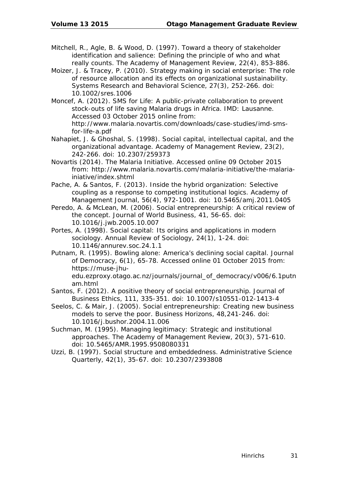- Mitchell, R., Agle, B. & Wood, D. (1997). Toward a theory of stakeholder identification and salience: Defining the principle of who and what really counts. *The Academy of Management Review, 22*(4), 853-886.
- Moizer, J. & Tracey, P. (2010). Strategy making in social enterprise: The role of resource allocation and its effects on organizational sustainability. *Systems Research and Behavioral Science, 27*(3), 252-266. doi: 10.1002/sres.1006
- Moncef, A. (2012). *SMS for Life: A public-private collaboration to prevent stock-outs of life saving Malaria drugs in Africa.* IMD: Lausanne. Accessed 03 October 2015 online from: http://www.malaria.novartis.com/downloads/case-studies/imd-smsfor-life-a.pdf
- Nahapiet, J. & Ghoshal, S. (1998). Social capital, intellectual capital, and the organizational advantage. *Academy of Management Review, 23*(2), 242-266. doi: 10.2307/259373
- Novartis (2014). *The Malaria Initiative*. Accessed online 09 October 2015 from: http://www.malaria.novartis.com/malaria-initiative/the-malariainiative/index.shtml
- Pache, A. & Santos, F. (2013). Inside the hybrid organization: Selective coupling as a response to competing institutional logics. *Academy of Management Journal, 56*(4), 972-1001. doi: 10.5465/amj.2011.0405
- Peredo, A. & McLean, M. (2006). Social entrepreneurship: A critical review of the concept. *Journal of World Business, 41*, 56-65. doi: 10.1016/j.jwb.2005.10.007
- Portes, A. (1998). Social capital: Its origins and applications in modern sociology. *Annual Review of Sociology, 24*(1), 1-24. doi: 10.1146/annurev.soc.24.1.1
- Putnam, R. (1995). Bowling alone: America's declining social capital. *Journal of Democracy, 6*(1), 65-78. Accessed online 01 October 2015 from: https://muse-jhuedu.ezproxy.otago.ac.nz/journals/journal\_of\_democracy/v006/6.1putn am.html
- Santos, F. (2012). A positive theory of social entrepreneurship. *Journal of Business Ethics, 111*, 335-351. doi: 10.1007/s10551-012-1413-4
- Seelos, C. & Mair, J. (2005). Social entrepreneurship: Creating new business models to serve the poor. *Business Horizons, 48*,241-246. doi: 10.1016/j.bushor.2004.11.006
- Suchman, M. (1995). Managing legitimacy: Strategic and institutional approaches. *The Academy of Management Review, 20*(3), 571-610. doi: 10.5465/AMR.1995.9508080331
- Uzzi, B. (1997). Social structure and embeddedness. *Administrative Science Quarterly, 42*(1), 35-67. doi: 10.2307/2393808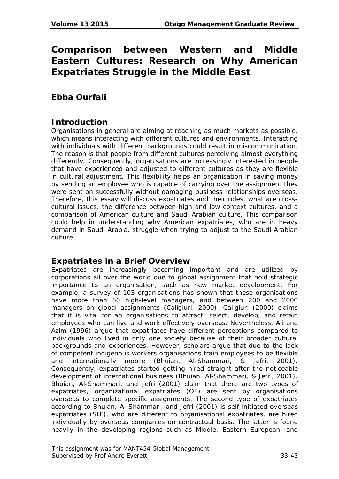## **Comparison between Western and Middle Eastern Cultures: Research on Why American Expatriates Struggle in the Middle East**

## **Ebba Ourfali**

### **Introduction**

Organisations in general are aiming at reaching as much markets as possible, which means interacting with different cultures and environments. Interacting with individuals with different backgrounds could result in miscommunication. The reason is that people from different cultures perceiving almost everything differently. Consequently, organisations are increasingly interested in people that have experienced and adjusted to different cultures as they are flexible in cultural adjustment. This flexibility helps an organisation in saving money by sending an employee who is capable of carrying over the assignment they were sent on successfully without damaging business relationships overseas. Therefore, this essay will discuss expatriates and their roles, what are crosscultural issues, the difference between high and low context cultures, and a comparison of American culture and Saudi Arabian culture. This comparison could help in understanding why American expatriates, who are in heavy demand in Saudi Arabia, struggle when trying to adjust to the Saudi Arabian culture.

#### **Expatriates in a Brief Overview**

Expatriates are increasingly becoming important and are utilized by corporations all over the world due to global assignment that hold strategic importance to an organisation, such as new market development. For example, a survey of 103 organisations has shown that these organisations have more than 50 high-level managers, and between 200 and 2000 managers on global assignments (Caligiuri, 2000). Caligiuri (2000) claims that it is vital for an organisations to attract, select, develop, and retain employees who can live and work effectively overseas. Nevertheless, Ali and Azim (1996) argue that expatriates have different perceptions compared to individuals who lived in only one society because of their broader cultural backgrounds and experiences. However, scholars argue that due to the lack of competent indigenous workers organisations train employees to be flexible and internationally mobile (Bhuian, Al-Shammari, & Jefri, 2001). Consequently, expatriates started getting hired straight after the noticeable development of international business (Bhuian, Al-Shammari, & Jefri, 2001). Bhuian, Al-Shammari, and Jefri (2001) claim that there are two types of expatriates, organizational expatriates (OE) are sent by organisations overseas to complete specific assignments. The second type of expatriates according to Bhuian, Al-Shammari, and Jefri (2001) is self-initiated overseas expatriates (SIE), who are different to organisational expatriates, are hired individually by overseas companies on contractual basis. The latter is found heavily in the developing regions such as Middle, Eastern European, and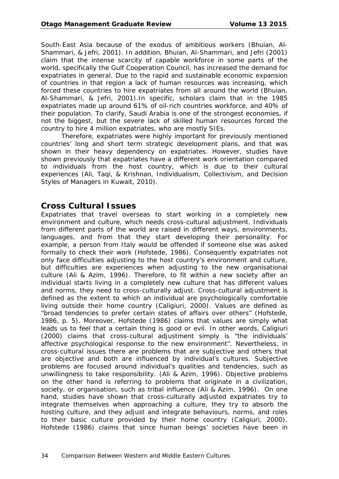South-East Asia because of the exodus of ambitious workers (Bhuian, Al-Shammari, & Jefri, 2001). In addition, Bhuian, Al-Shammari, and Jefri (2001) claim that the intense scarcity of capable workforce in some parts of the world, specifically the Gulf Cooperation Council, has increased the demand for expatriates in general. Due to the rapid and sustainable economic expansion of countries in that region a lack of human resources was increasing, which forced these countries to hire expatriates from all around the world (Bhuian, Al-Shammari, & Jefri, 2001).In specific, scholars claim that in the 1985 expatriates made up around 61% of oil-rich countries workforce, and 40% of their population. To clarify, Saudi Arabia is one of the strongest economies, if not the biggest, but the severe lack of skilled human resources forced the country to hire 4 million expatriates, who are mostly SIEs.

Therefore, expatriates were highly important for previously mentioned countries' long and short term strategic development plans, and that was shown in their heavy dependency on expatriates. However, studies have shown previously that expatriates have a different work orientation compared to individuals from the host country, which is due to their cultural experiences (Ali, Taqi, & Krishnan, Individualism, Collectivism, and Decision Styles of Managers in Kuwait, 2010).

#### **Cross Cultural Issues**

Expatriates that travel overseas to start working in a completely new environment and culture, which needs cross-cultural adjustment. Individuals from different parts of the world are raised in different ways, environments, languages, and from that they start developing their personality. For example, a person from Italy would be offended if someone else was asked formally to check their work (Hofstede, 1986). Consequently expatriates not only face difficulties adjusting to the host country's environment and culture, but difficulties are experiences when adjusting to the new organisational culture (Ali & Azim, 1996). Therefore, to fit within a new society after an individual starts living in a completely new culture that has different values and norms, they need to cross-culturally adjust. Cross-cultural adjustment is defined as the extent to which an individual are psychologically comfortable living outside their home country (Caligiuri, 2000). Values are defined as "broad tendencies to prefer certain states of affairs over others" (Hofstede, 1986, p. 5). Moreover, Hofstede (1986) claims that values are simply what leads us to feel that a certain thing is good or evil. In other words, Caligiuri (2000) claims that cross-cultural adjustment simply is "the individuals' affective psychological response to the new environment". Nevertheless, in cross-cultural issues there are problems that are subjective and others that are objective and both are influenced by individual's cultures. Subjective problems are focused around individual's qualities and tendencies, such as unwillingness to take responsibility. (Ali & Azim, 1996). Objective problems on the other hand is referring to problems that originate in a civilization, society, or organisation, such as tribal influence (Ali & Azim, 1996). On one hand, studies have shown that cross-culturally adjusted expatriates try to integrate themselves when approaching a culture, they try to absorb the hosting culture, and they adjust and integrate behaviours, norms, and roles to their basic culture provided by their home country (Caligiuri, 2000). Hofstede (1986) claims that since human beings' societies have been in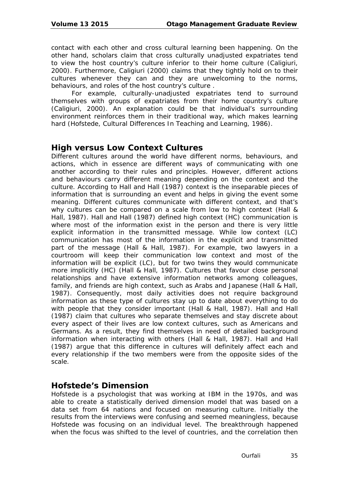contact with each other and cross cultural learning been happening. On the other hand, scholars claim that cross culturally unadjusted expatriates tend to view the host country's culture inferior to their home culture (Caligiuri, 2000). Furthermore, Caligiuri (2000) claims that they tightly hold on to their cultures whenever they can and they are unwelcoming to the norms, behaviours, and roles of the host country's culture .

For example, culturally-unadjusted expatriates tend to surround themselves with groups of expatriates from their home country's culture (Caligiuri, 2000). An explanation could be that individual's surrounding environment reinforces them in their traditional way, which makes learning hard (Hofstede, Cultural Differences In Teaching and Learning, 1986).

# **High versus Low Context Cultures**

Different cultures around the world have different norms, behaviours, and actions, which in essence are different ways of communicating with one another according to their rules and principles. However, different actions and behaviours carry different meaning depending on the context and the culture. According to Hall and Hall (1987) context is the inseparable pieces of information that is surrounding an event and helps in giving the event some meaning. Different cultures communicate with different context, and that's why cultures can be compared on a scale from low to high context (Hall & Hall, 1987). Hall and Hall (1987) defined high context (HC) communication is where most of the information exist in the person and there is very little explicit information in the transmitted message. While low context (LC) communication has most of the information in the explicit and transmitted part of the message (Hall & Hall, 1987). For example, two lawyers in a courtroom will keep their communication low context and most of the information will be explicit (LC), but for two twins they would communicate more implicitly (HC) (Hall & Hall, 1987). Cultures that favour close personal relationships and have extensive information networks among colleagues, family, and friends are high context, such as Arabs and Japanese (Hall & Hall, 1987). Consequently, most daily activities does not require background information as these type of cultures stay up to date about everything to do with people that they consider important (Hall & Hall, 1987). Hall and Hall (1987) claim that cultures who separate themselves and stay discrete about every aspect of their lives are low context cultures, such as Americans and Germans. As a result, they find themselves in need of detailed background information when interacting with others (Hall & Hall, 1987). Hall and Hall (1987) argue that this difference in cultures will definitely affect each and every relationship if the two members were from the opposite sides of the scale.

## **Hofstede's Dimension**

Hofstede is a psychologist that was working at IBM in the 1970s, and was able to create a statistically derived dimension model that was based on a data set from 64 nations and focused on measuring culture. Initially the results from the interviews were confusing and seemed meaningless, because Hofstede was focusing on an individual level. The breakthrough happened when the focus was shifted to the level of countries, and the correlation then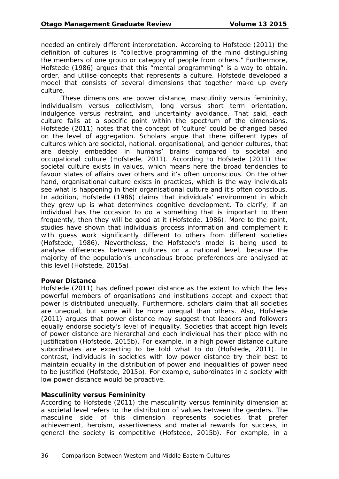needed an entirely different interpretation. According to Hofstede (2011) the definition of cultures is "collective programming of the mind distinguishing the members of one group or category of people from others." Furthermore, Hofstede (1986) argues that this "mental programming" is a way to obtain, order, and utilise concepts that represents a culture. Hofstede developed a model that consists of several dimensions that together make up every culture.

These dimensions are power distance, masculinity versus femininity, individualism versus collectivism, long versus short term orientation, indulgence versus restraint, and uncertainty avoidance. That said, each culture falls at a specific point within the spectrum of the dimensions. Hofstede (2011) notes that the concept of 'culture' could be changed based on the level of aggregation. Scholars argue that there different types of cultures which are societal, national, organisational, and gender cultures, that are deeply embedded in humans' brains compared to societal and occupational culture (Hofstede, 2011). According to Hofstede (2011) that societal culture exists in values, which means here the broad tendencies to favour states of affairs over others and it's often unconscious. On the other hand, organisational culture exists in practices, which is the way individuals see what is happening in their organisational culture and it's often conscious. In addition, Hofstede (1986) claims that individuals' environment in which they grew up is what determines cognitive development. To clarify, if an individual has the occasion to do a something that is important to them frequently, then they will be good at it (Hofstede, 1986). More to the point, studies have shown that individuals process information and complement it with quess work significantly different to others from different societies (Hofstede, 1986). Nevertheless, the Hofstede's model is being used to analyse differences between cultures on a national level, because the majority of the population's unconscious broad preferences are analysed at this level (Hofstede, 2015a).

#### **Power Distance**

Hofstede (2011) has defined power distance as the extent to which the less powerful members of organisations and institutions accept and expect that power is distributed unequally. Furthermore, scholars claim that all societies are unequal, but some will be more unequal than others. Also, Hofstede (2011) argues that power distance may suggest that leaders and followers equally endorse society's level of inequality. Societies that accept high levels of power distance are hierarchal and each individual has their place with no justification (Hofstede, 2015b). For example, in a high power distance culture subordinates are expecting to be told what to do (Hofstede, 2011). In contrast, individuals in societies with low power distance try their best to maintain equality in the distribution of power and inequalities of power need to be justified (Hofstede, 2015b). For example, subordinates in a society with low power distance would be proactive.

### **Masculinity versus Femininity**

According to Hofstede (2011) the masculinity versus femininity dimension at a societal level refers to the distribution of values between the genders. The masculine side of this dimension represents societies that prefer achievement, heroism, assertiveness and material rewards for success, in general the society is competitive (Hofstede, 2015b). For example, in a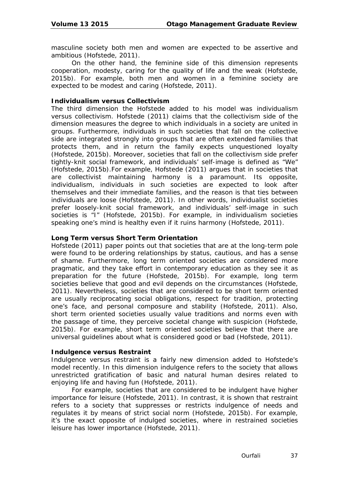masculine society both men and women are expected to be assertive and ambitious (Hofstede, 2011).

On the other hand, the feminine side of this dimension represents cooperation, modesty, caring for the quality of life and the weak (Hofstede, 2015b). For example, both men and women in a feminine society are expected to be modest and caring (Hofstede, 2011).

### **Individualism versus Collectivism**

The third dimension the Hofstede added to his model was individualism versus collectivism. Hofstede (2011) claims that the collectivism side of the dimension measures the degree to which individuals in a society are united in groups. Furthermore, individuals in such societies that fall on the collective side are integrated strongly into groups that are often extended families that protects them, and in return the family expects unquestioned loyalty (Hofstede, 2015b). Moreover, societies that fall on the collectivism side prefer tightly-knit social framework, and individuals' self-image is defined as "We" (Hofstede, 2015b).For example, Hofstede (2011) argues that in societies that are collectivist maintaining harmony is a paramount. Its opposite, individualism, individuals in such societies are expected to look after themselves and their immediate families, and the reason is that ties between individuals are loose (Hofstede, 2011). In other words, individualist societies prefer loosely-knit social framework, and individuals' self-image in such societies is "I" (Hofstede, 2015b). For example, in individualism societies speaking one's mind is healthy even if it ruins harmony (Hofstede, 2011).

### **Long Term versus Short Term Orientation**

Hofstede (2011) paper points out that societies that are at the long-term pole were found to be ordering relationships by status, cautious, and has a sense of shame. Furthermore, long term oriented societies are considered more pragmatic, and they take effort in contemporary education as they see it as preparation for the future (Hofstede, 2015b). For example, long term societies believe that good and evil depends on the circumstances (Hofstede, 2011). Nevertheless, societies that are considered to be short term oriented are usually reciprocating social obligations, respect for tradition, protecting one's face, and personal composure and stability (Hofstede, 2011). Also, short term oriented societies usually value traditions and norms even with the passage of time, they perceive societal change with suspicion (Hofstede, 2015b). For example, short term oriented societies believe that there are universal guidelines about what is considered good or bad (Hofstede, 2011).

#### **Indulgence versus Restraint**

Indulgence versus restraint is a fairly new dimension added to Hofstede's model recently. In this dimension indulgence refers to the society that allows unrestricted gratification of basic and natural human desires related to enjoying life and having fun (Hofstede, 2011).

For example, societies that are considered to be indulgent have higher importance for leisure (Hofstede, 2011). In contrast, it is shown that restraint refers to a society that suppresses or restricts indulgence of needs and regulates it by means of strict social norm (Hofstede, 2015b). For example, it's the exact opposite of indulged societies, where in restrained societies leisure has lower importance (Hofstede, 2011).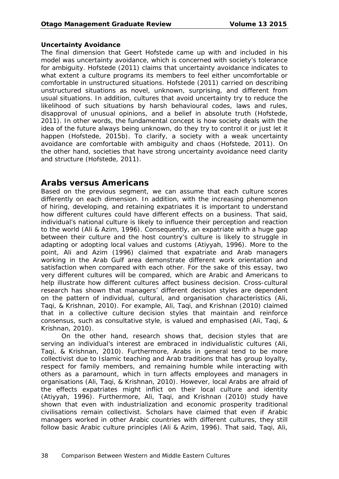#### **Uncertainty Avoidance**

The final dimension that Geert Hofstede came up with and included in his model was uncertainty avoidance, which is concerned with society's tolerance for ambiguity. Hofstede (2011) claims that uncertainty avoidance indicates to what extent a culture programs its members to feel either uncomfortable or comfortable in unstructured situations. Hofstede (2011) carried on describing unstructured situations as novel, unknown, surprising, and different from usual situations. In addition, cultures that avoid uncertainty try to reduce the likelihood of such situations by harsh behavioural codes, laws and rules, disapproval of unusual opinions, and a belief in absolute truth (Hofstede, 2011). In other words, the fundamental concept is how society deals with the idea of the future always being unknown, do they try to control it or just let it happen (Hofstede, 2015b). To clarify, a society with a weak uncertainty avoidance are comfortable with ambiguity and chaos (Hofstede, 2011). On the other hand, societies that have strong uncertainty avoidance need clarity and structure (Hofstede, 2011).

## **Arabs versus Americans**

Based on the previous segment, we can assume that each culture scores differently on each dimension. In addition, with the increasing phenomenon of hiring, developing, and retaining expatriates it is important to understand how different cultures could have different effects on a business. That said, individual's national culture is likely to influence their perception and reaction to the world (Ali & Azim, 1996). Consequently, an expatriate with a huge gap between their culture and the host country's culture is likely to struggle in adapting or adopting local values and customs (Atiyyah, 1996). More to the point, Ali and Azim (1996) claimed that expatriate and Arab managers working in the Arab Gulf area demonstrate different work orientation and satisfaction when compared with each other. For the sake of this essay, two very different cultures will be compared, which are Arabic and Americans to help illustrate how different cultures affect business decision. Cross-cultural research has shown that managers' different decision styles are dependent on the pattern of individual, cultural, and organisation characteristics (Ali, Taqi, & Krishnan, 2010). For example, Ali, Taqi, and Krishnan (2010) claimed that in a collective culture decision styles that maintain and reinforce consensus, such as consultative style, is valued and emphasised (Ali, Taqi, & Krishnan, 2010).

On the other hand, research shows that, decision styles that are serving an individual's interest are embraced in individualistic cultures (Ali, Taqi, & Krishnan, 2010). Furthermore, Arabs in general tend to be more collectivist due to Islamic teaching and Arab traditions that has group loyalty, respect for family members, and remaining humble while interacting with others as a paramount, which in turn affects employees and managers in organisations (Ali, Taqi, & Krishnan, 2010). However, local Arabs are afraid of the effects expatriates might inflict on their local culture and identity (Atiyyah, 1996). Furthermore, Ali, Taqi, and Krishnan (2010) study have shown that even with industrialization and economic prosperity traditional civilisations remain collectivist. Scholars have claimed that even if Arabic managers worked in other Arabic countries with different cultures, they still follow basic Arabic culture principles (Ali & Azim, 1996). That said, Taqi, Ali,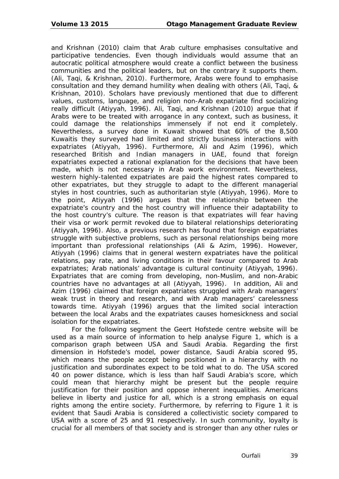and Krishnan (2010) claim that Arab culture emphasises consultative and participative tendencies. Even though individuals would assume that an autocratic political atmosphere would create a conflict between the business communities and the political leaders, but on the contrary it supports them. (Ali, Taqi, & Krishnan, 2010). Furthermore, Arabs were found to emphasise consultation and they demand humility when dealing with others (Ali, Taqi, & Krishnan, 2010). Scholars have previously mentioned that due to different values, customs, language, and religion non-Arab expatriate find socializing really difficult (Atiyyah, 1996). Ali, Taqi, and Krishnan (2010) argue that if Arabs were to be treated with arrogance in any context, such as business, it could damage the relationships immensely if not end it completely. Nevertheless, a survey done in Kuwait showed that 60% of the 8,500 Kuwaitis they surveyed had limited and strictly business interactions with expatriates (Atiyyah, 1996). Furthermore, Ali and Azim (1996), which researched British and Indian managers in UAE, found that foreign expatriates expected a rational explanation for the decisions that have been made, which is not necessary in Arab work environment. Nevertheless, western highly-talented expatriates are paid the highest rates compared to other expatriates, but they struggle to adapt to the different managerial styles in host countries, such as authoritarian style (Atiyyah, 1996). More to the point, Atiyyah (1996) argues that the relationship between the expatriate's country and the host country will influence their adaptability to the host country's culture. The reason is that expatriates will fear having their visa or work permit revoked due to bilateral relationships deteriorating (Atiyyah, 1996). Also, a previous research has found that foreign expatriates struggle with subjective problems, such as personal relationships being more important than professional relationships (Ali & Azim, 1996). However, Atiyyah (1996) claims that in general western expatriates have the political relations, pay rate, and living conditions in their favour compared to Arab expatriates; Arab nationals' advantage is cultural continuity (Atiyyah, 1996). Expatriates that are coming from developing, non-Muslim, and non-Arabic countries have no advantages at all (Atiyyah, 1996). In addition, Ali and Azim (1996) claimed that foreign expatriates struggled with Arab managers' weak trust in theory and research, and with Arab managers' carelessness towards time. Atiyyah (1996) argues that the limited social interaction between the local Arabs and the expatriates causes homesickness and social isolation for the expatriates.

For the following segment the Geert Hofstede centre website will be used as a main source of information to help analyse Figure 1, which is a comparison graph between USA and Saudi Arabia. Regarding the first dimension in Hofstede's model, power distance, Saudi Arabia scored 95, which means the people accept being positioned in a hierarchy with no justification and subordinates expect to be told what to do. The USA scored 40 on power distance, which is less than half Saudi Arabia's score, which could mean that hierarchy might be present but the people require justification for their position and oppose inherent inequalities. Americans believe in liberty and justice for all, which is a strong emphasis on equal rights among the entire society. Furthermore, by referring to Figure 1 it is evident that Saudi Arabia is considered a collectivistic society compared to USA with a score of 25 and 91 respectively. In such community, loyalty is crucial for all members of that society and is stronger than any other rules or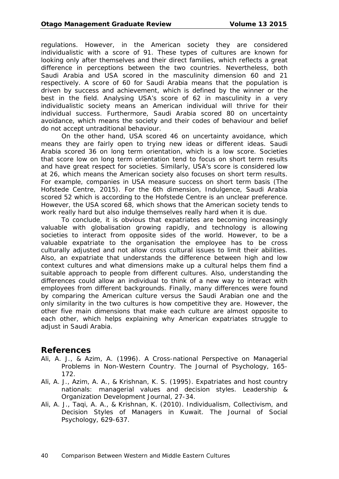regulations. However, in the American society they are considered individualistic with a score of 91. These types of cultures are known for looking only after themselves and their direct families, which reflects a great difference in perceptions between the two countries. Nevertheless, both Saudi Arabia and USA scored in the masculinity dimension 60 and 21 respectively. A score of 60 for Saudi Arabia means that the population is driven by success and achievement, which is defined by the winner or the best in the field. Analysing USA's score of 62 in masculinity in a very individualistic society means an American individual will thrive for their individual success. Furthermore, Saudi Arabia scored 80 on uncertainty avoidance, which means the society and their codes of behaviour and belief do not accept untraditional behaviour.

On the other hand, USA scored 46 on uncertainty avoidance, which means they are fairly open to trying new ideas or different ideas. Saudi Arabia scored 36 on long term orientation, which is a low score. Societies that score low on long term orientation tend to focus on short term results and have great respect for societies. Similarly, USA's score is considered low at 26, which means the American society also focuses on short term results. For example, companies in USA measure success on short term basis (The Hofstede Centre, 2015). For the 6th dimension, Indulgence, Saudi Arabia scored 52 which is according to the Hofstede Centre is an unclear preference. However, the USA scored 68, which shows that the American society tends to work really hard but also indulge themselves really hard when it is due.

To conclude, it is obvious that expatriates are becoming increasingly valuable with globalisation growing rapidly, and technology is allowing societies to interact from opposite sides of the world. However, to be a valuable expatriate to the organisation the employee has to be cross culturally adjusted and not allow cross cultural issues to limit their abilities. Also, an expatriate that understands the difference between high and low context cultures and what dimensions make up a cultural helps them find a suitable approach to people from different cultures. Also, understanding the differences could allow an individual to think of a new way to interact with employees from different backgrounds. Finally, many differences were found by comparing the American culture versus the Saudi Arabian one and the only similarity in the two cultures is how competitive they are. However, the other five main dimensions that make each culture are almost opposite to each other, which helps explaining why American expatriates struggle to adjust in Saudi Arabia.

## **References**

- Ali, A. J., & Azim, A. (1996). A Cross-national Perspective on Managerial Problems in Non-Western Country. *The Journal of Psychology*, 165- 172.
- Ali, A. J., Azim, A. A., & Krishnan, K. S. (1995). Expatriates and host country nationals: managerial values and decision styles. *Leadership & Organization Development Journal,* 27-34.
- Ali, A. J., Taqi, A. A., & Krishnan, K. (2010). Individualism, Collectivism, and Decision Styles of Managers in Kuwait. *The Journal of Social Psychology*, 629-637.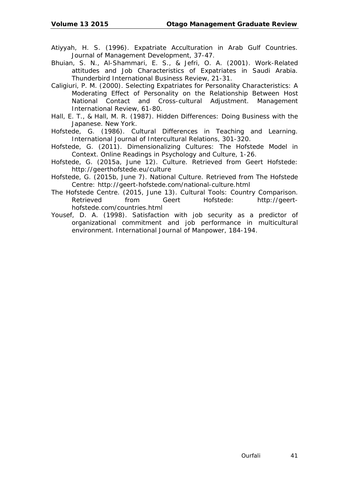- Atiyyah, H. S. (1996). Expatriate Acculturation in Arab Gulf Countries. *Journal of Management Development,* 37-47.
- Bhuian, S. N., Al-Shammari, E. S., & Jefri, O. A. (2001). Work-Related attitudes and Job Characteristics of Expatriates in Saudi Arabia. *Thunderbird International Business Review,* 21-31.
- Caligiuri, P. M. (2000). Selecting Expatriates for Personality Characteristics: A Moderating Effect of Personality on the Relationship Between Host National Contact and Cross-cultural Adjustment. *Management International Review,* 61-80.
- Hall, E. T., & Hall, M. R. (1987). *Hidden Differences: Doing Business with the Japanese.* New York.
- Hofstede, G. (1986). Cultural Differences in Teaching and Learning. *International Journal of Intercultural Relations*, 301-320.
- Hofstede, G. (2011). Dimensionalizing Cultures: The Hofstede Model in Context. *Online Readings in Psychology and Culture*, 1-26.
- Hofstede, G. (2015a, June 12). *Culture.* Retrieved from Geert Hofstede: http://geerthofstede.eu/culture
- Hofstede, G. (2015b, June 7). *National Culture.* Retrieved from The Hofstede Centre: http://geert-hofstede.com/national-culture.html
- The Hofstede Centre. (2015, June 13). *Cultural Tools: Country Comparison.*  Retrieved from Geert Hofstede: http://geerthofstede.com/countries.html
- Yousef, D. A. (1998). Satisfaction with job security as a predictor of organizational commitment and job performance in multicultural environment. *International Journal of Manpower,* 184-194.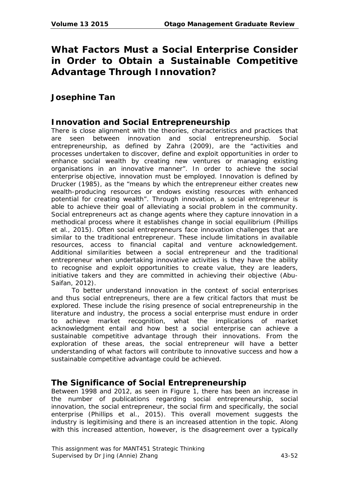# **What Factors Must a Social Enterprise Consider in Order to Obtain a Sustainable Competitive Advantage Through Innovation?**

# **Josephine Tan**

# **Innovation and Social Entrepreneurship**

There is close alignment with the theories, characteristics and practices that are seen between innovation and social entrepreneurship. Social entrepreneurship, as defined by Zahra (2009), are the "activities and processes undertaken to discover, define and exploit opportunities in order to enhance social wealth by creating new ventures or managing existing organisations in an innovative manner". In order to achieve the social enterprise objective, innovation must be employed. Innovation is defined by Drucker (1985), as the "means by which the entrepreneur either creates new wealth-producing resources or endows existing resources with enhanced potential for creating wealth". Through innovation, a social entrepreneur is able to achieve their goal of alleviating a social problem in the community. Social entrepreneurs act as change agents where they capture innovation in a methodical process where it establishes change in social equilibrium (Phillips et al., 2015). Often social entrepreneurs face innovation challenges that are similar to the traditional entrepreneur. These include limitations in available resources, access to financial capital and venture acknowledgement. Additional similarities between a social entrepreneur and the traditional entrepreneur when undertaking innovative activities is they have the ability to recognise and exploit opportunities to create value, they are leaders, initiative takers and they are committed in achieving their objective (Abu-Saifan, 2012).

To better understand innovation in the context of social enterprises and thus social entrepreneurs, there are a few critical factors that must be explored. These include the rising presence of social entrepreneurship in the literature and industry, the process a social enterprise must endure in order to achieve market recognition, what the implications of market acknowledgment entail and how best a social enterprise can achieve a sustainable competitive advantage through their innovations. From the exploration of these areas, the social entrepreneur will have a better understanding of what factors will contribute to innovative success and how a sustainable competitive advantage could be achieved.

# **The Significance of Social Entrepreneurship**

Between 1998 and 2012, as seen in Figure 1, there has been an increase in the number of publications regarding social entrepreneurship, social innovation, the social entrepreneur, the social firm and specifically, the social enterprise (Phillips et al., 2015). This overall movement suggests the industry is legitimising and there is an increased attention in the topic. Along with this increased attention, however, is the disagreement over a typically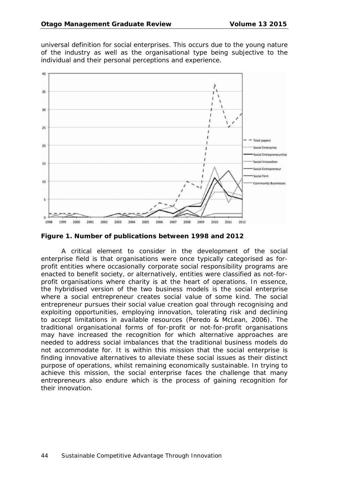universal definition for social enterprises. This occurs due to the young nature of the industry as well as the organisational type being subjective to the individual and their personal perceptions and experience.



**Figure 1. Number of publications between 1998 and 2012**

A critical element to consider in the development of the social enterprise field is that organisations were once typically categorised as forprofit entities where occasionally corporate social responsibility programs are enacted to benefit society, or alternatively, entities were classified as not-forprofit organisations where charity is at the heart of operations. In essence, the hybridised version of the two business models is the social enterprise where a social entrepreneur creates social value of some kind. The social entrepreneur pursues their social value creation goal through recognising and exploiting opportunities, employing innovation, tolerating risk and declining to accept limitations in available resources (Peredo & McLean, 2006). The traditional organisational forms of for-profit or not-for-profit organisations may have increased the recognition for which alternative approaches are needed to address social imbalances that the traditional business models do not accommodate for. It is within this mission that the social enterprise is finding innovative alternatives to alleviate these social issues as their distinct purpose of operations, whilst remaining economically sustainable. In trying to achieve this mission, the social enterprise faces the challenge that many entrepreneurs also endure which is the process of gaining recognition for their innovation.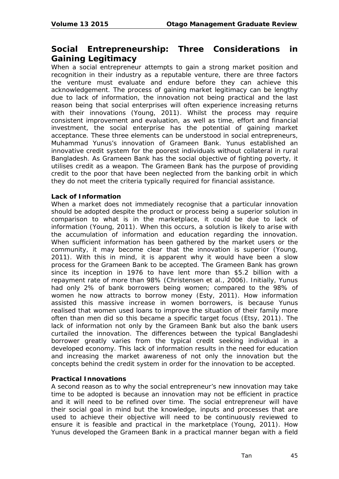# **Social Entrepreneurship: Three Considerations in Gaining Legitimacy**

When a social entrepreneur attempts to gain a strong market position and recognition in their industry as a reputable venture, there are three factors the venture must evaluate and endure before they can achieve this acknowledgement. The process of gaining market legitimacy can be lengthy due to lack of information, the innovation not being practical and the last reason being that social enterprises will often experience increasing returns with their innovations (Young, 2011). Whilst the process may require consistent improvement and evaluation, as well as time, effort and financial investment, the social enterprise has the potential of gaining market acceptance. These three elements can be understood in social entrepreneurs, Muhammad Yunus's innovation of Grameen Bank. Yunus established an innovative credit system for the poorest individuals without collateral in rural Bangladesh. As Grameen Bank has the social objective of fighting poverty, it utilises credit as a weapon. The Grameen Bank has the purpose of providing credit to the poor that have been neglected from the banking orbit in which they do not meet the criteria typically required for financial assistance.

### **Lack of Information**

When a market does not immediately recognise that a particular innovation should be adopted despite the product or process being a superior solution in comparison to what is in the marketplace, it could be due to lack of information (Young, 2011). When this occurs, a solution is likely to arise with the accumulation of information and education regarding the innovation. When sufficient information has been gathered by the market users or the community, it may become clear that the innovation is superior (Young, 2011). With this in mind, it is apparent why it would have been a slow process for the Grameen Bank to be accepted. The Grameen Bank has grown since its inception in 1976 to have lent more than \$5.2 billion with a repayment rate of more than 98% (Christensen et al., 2006). Initially, Yunus had only 2% of bank borrowers being women; compared to the 98% of women he now attracts to borrow money (Esty, 2011). How information assisted this massive increase in women borrowers, is because Yunus realised that women used loans to improve the situation of their family more often than men did so this became a specific target focus (Etsy, 2011). The lack of information not only by the Grameen Bank but also the bank users curtailed the innovation. The differences between the typical Bangladeshi borrower greatly varies from the typical credit seeking individual in a developed economy. This lack of information results in the need for education and increasing the market awareness of not only the innovation but the concepts behind the credit system in order for the innovation to be accepted.

### **Practical Innovations**

A second reason as to why the social entrepreneur's new innovation may take time to be adopted is because an innovation may not be efficient in practice and it will need to be refined over time. The social entrepreneur will have their social goal in mind but the knowledge, inputs and processes that are used to achieve their objective will need to be continuously reviewed to ensure it is feasible and practical in the marketplace (Young, 2011). How Yunus developed the Grameen Bank in a practical manner began with a field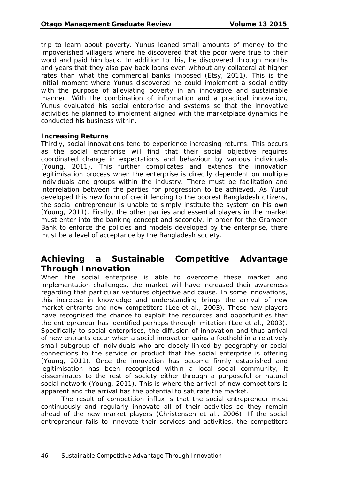trip to learn about poverty. Yunus loaned small amounts of money to the impoverished villagers where he discovered that the poor were true to their word and paid him back. In addition to this, he discovered through months and years that they also pay back loans even without any collateral at higher rates than what the commercial banks imposed (Etsy, 2011). This is the initial moment where Yunus discovered he could implement a social entity with the purpose of alleviating poverty in an innovative and sustainable manner. With the combination of information and a practical innovation, Yunus evaluated his social enterprise and systems so that the innovative activities he planned to implement aligned with the marketplace dynamics he conducted his business within.

#### **Increasing Returns**

Thirdly, social innovations tend to experience increasing returns. This occurs as the social enterprise will find that their social objective requires coordinated change in expectations and behaviour by various individuals (Young, 2011). This further complicates and extends the innovation legitimisation process when the enterprise is directly dependent on multiple individuals and groups within the industry. There must be facilitation and interrelation between the parties for progression to be achieved. As Yusuf developed this new form of credit lending to the poorest Bangladesh citizens, the social entrepreneur is unable to simply institute the system on his own (Young, 2011). Firstly, the other parties and essential players in the market must enter into the banking concept and secondly, in order for the Grameen Bank to enforce the policies and models developed by the enterprise, there must be a level of acceptance by the Bangladesh society.

# **Achieving a Sustainable Competitive Advantage Through Innovation**

When the social enterprise is able to overcome these market and implementation challenges, the market will have increased their awareness regarding that particular ventures objective and cause. In some innovations, this increase in knowledge and understanding brings the arrival of new market entrants and new competitors (Lee et al., 2003). These new players have recognised the chance to exploit the resources and opportunities that the entrepreneur has identified perhaps through imitation (Lee et al., 2003). Specifically to social enterprises, the diffusion of innovation and thus arrival of new entrants occur when a social innovation gains a foothold in a relatively small subgroup of individuals who are closely linked by geography or social connections to the service or product that the social enterprise is offering (Young, 2011). Once the innovation has become firmly established and legitimisation has been recognised within a local social community, it disseminates to the rest of society either through a purposeful or natural social network (Young, 2011). This is where the arrival of new competitors is apparent and the arrival has the potential to saturate the market.

The result of competition influx is that the social entrepreneur must continuously and regularly innovate all of their activities so they remain ahead of the new market players (Christensen et al., 2006). If the social entrepreneur fails to innovate their services and activities, the competitors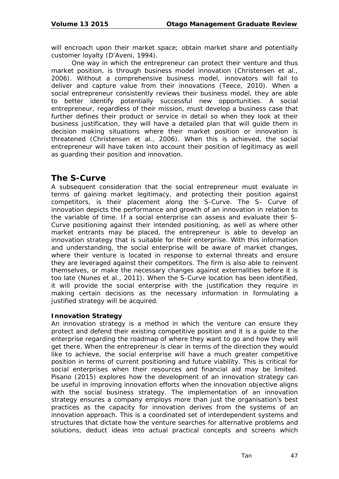will encroach upon their market space; obtain market share and potentially customer loyalty (D'Aveni, 1994).

One way in which the entrepreneur can protect their venture and thus market position, is through business model innovation (Christensen et al., 2006). Without a comprehensive business model, innovators will fail to deliver and capture value from their innovations (Teece, 2010). When a social entrepreneur consistently reviews their business model, they are able to better identify potentially successful new opportunities. A social entrepreneur, regardless of their mission, must develop a business case that further defines their product or service in detail so when they look at their business justification, they will have a detailed plan that will guide them in decision making situations where their market position or innovation is threatened (Christensen et al., 2006). When this is achieved, the social entrepreneur will have taken into account their position of legitimacy as well as guarding their position and innovation.

# **The S-Curve**

A subsequent consideration that the social entrepreneur must evaluate in terms of gaining market legitimacy, and protecting their position against competitors, is their placement along the S-Curve. The S- Curve of innovation depicts the performance and growth of an innovation in relation to the variable of time. If a social enterprise can assess and evaluate their S-Curve positioning against their intended positioning, as well as where other market entrants may be placed, the entrepreneur is able to develop an innovation strategy that is suitable for their enterprise. With this information and understanding, the social enterprise will be aware of market changes, where their venture is located in response to external threats and ensure they are leveraged against their competitors. The firm is also able to reinvent themselves, or make the necessary changes against externalities before it is too late (Nunes et al., 2011). When the S-Curve location has been identified, it will provide the social enterprise with the justification they require in making certain decisions as the necessary information in formulating a justified strategy will be acquired.

### **Innovation Strategy**

An innovation strategy is a method in which the venture can ensure they protect and defend their existing competitive position and it is a guide to the enterprise regarding the roadmap of where they want to go and how they will get there. When the entrepreneur is clear in terms of the direction they would like to achieve, the social enterprise will have a much greater competitive position in terms of current positioning and future viability. This is critical for social enterprises when their resources and financial aid may be limited. Pisano (2015) explores how the development of an innovation strategy can be useful in improving innovation efforts when the innovation objective aligns with the social business strategy. The implementation of an innovation strategy ensures a company employs more than just the organisation's best practices as the capacity for innovation derives from the systems of an innovation approach. This is a coordinated set of interdependent systems and structures that dictate how the venture searches for alternative problems and solutions, deduct ideas into actual practical concepts and screens which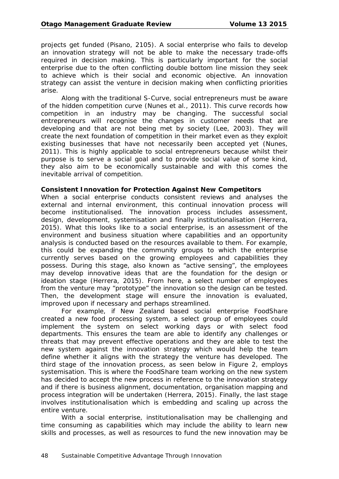projects get funded (Pisano, 2105). A social enterprise who fails to develop an innovation strategy will not be able to make the necessary trade-offs required in decision making. This is particularly important for the social enterprise due to the often conflicting double bottom line mission they seek to achieve which is their social and economic objective. An innovation strategy can assist the venture in decision making when conflicting priorities arise.

Along with the traditional S-Curve, social entrepreneurs must be aware of the hidden competition curve (Nunes et al., 2011). This curve records how competition in an industry may be changing. The successful social entrepreneurs will recognise the changes in customer needs that are developing and that are not being met by society (Lee, 2003). They will create the next foundation of competition in their market even as they exploit existing businesses that have not necessarily been accepted yet (Nunes, 2011). This is highly applicable to social entrepreneurs because whilst their purpose is to serve a social goal and to provide social value of some kind, they also aim to be economically sustainable and with this comes the inevitable arrival of competition.

#### **Consistent Innovation for Protection Against New Competitors**

When a social enterprise conducts consistent reviews and analyses the external and internal environment, this continual innovation process will become institutionalised. The innovation process includes assessment, design, development, systemisation and finally institutionalisation (Herrera, 2015). What this looks like to a social enterprise, is an assessment of the environment and business situation where capabilities and an opportunity analysis is conducted based on the resources available to them. For example, this could be expanding the community groups to which the enterprise currently serves based on the growing employees and capabilities they possess. During this stage, also known as "active sensing", the employees may develop innovative ideas that are the foundation for the design or ideation stage (Herrera, 2015). From here, a select number of employees from the venture may "prototype" the innovation so the design can be tested. Then, the development stage will ensure the innovation is evaluated, improved upon if necessary and perhaps streamlined.

For example, if New Zealand based social enterprise FoodShare created a new food processing system, a select group of employees could implement the system on select working days or with select food departments. This ensures the team are able to identify any challenges or threats that may prevent effective operations and they are able to test the new system against the innovation strategy which would help the team define whether it aligns with the strategy the venture has developed. The third stage of the innovation process, as seen below in Figure 2, employs systemisation. This is where the FoodShare team working on the new system has decided to accept the new process in reference to the innovation strategy and if there is business alignment, documentation, organisation mapping and process integration will be undertaken (Herrera, 2015). Finally, the last stage involves institutionalisation which is embedding and scaling up across the entire venture.

With a social enterprise, institutionalisation may be challenging and time consuming as capabilities which may include the ability to learn new skills and processes, as well as resources to fund the new innovation may be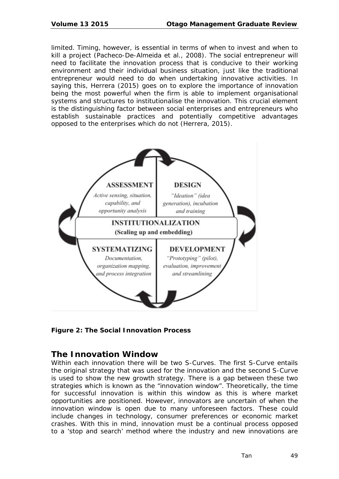limited. Timing, however, is essential in terms of when to invest and when to kill a project (Pacheco-De-Almeida et al., 2008). The social entrepreneur will need to facilitate the innovation process that is conducive to their working environment and their individual business situation, just like the traditional entrepreneur would need to do when undertaking innovative activities. In saying this, Herrera (2015) goes on to explore the importance of innovation being the most powerful when the firm is able to implement organisational systems and structures to institutionalise the innovation. This crucial element is the distinguishing factor between social enterprises and entrepreneurs who establish sustainable practices and potentially competitive advantages opposed to the enterprises which do not (Herrera, 2015).



**Figure 2: The Social Innovation Process**

# **The Innovation Window**

Within each innovation there will be two S-Curves. The first S-Curve entails the original strategy that was used for the innovation and the second S-Curve is used to show the new growth strategy. There is a gap between these two strategies which is known as the "innovation window". Theoretically, the time for successful innovation is within this window as this is where market opportunities are positioned. However, innovators are uncertain of when the innovation window is open due to many unforeseen factors. These could include changes in technology, consumer preferences or economic market crashes. With this in mind, innovation must be a continual process opposed to a 'stop and search' method where the industry and new innovations are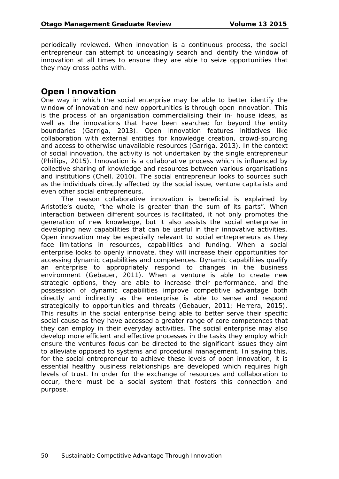periodically reviewed. When innovation is a continuous process, the social entrepreneur can attempt to unceasingly search and identify the window of innovation at all times to ensure they are able to seize opportunities that they may cross paths with.

# **Open Innovation**

One way in which the social enterprise may be able to better identify the window of innovation and new opportunities is through open innovation. This is the process of an organisation commercialising their in- house ideas, as well as the innovations that have been searched for beyond the entity boundaries (Garriga, 2013). Open innovation features initiatives like collaboration with external entities for knowledge creation, crowd-sourcing and access to otherwise unavailable resources (Garriga, 2013). In the context of social innovation, the activity is not undertaken by the single entrepreneur (Phillips, 2015). Innovation is a collaborative process which is influenced by collective sharing of knowledge and resources between various organisations and institutions (Chell, 2010). The social entrepreneur looks to sources such as the individuals directly affected by the social issue, venture capitalists and even other social entrepreneurs.

The reason collaborative innovation is beneficial is explained by Aristotle's quote, "the whole is greater than the sum of its parts". When interaction between different sources is facilitated, it not only promotes the generation of new knowledge, but it also assists the social enterprise in developing new capabilities that can be useful in their innovative activities. Open innovation may be especially relevant to social entrepreneurs as they face limitations in resources, capabilities and funding. When a social enterprise looks to openly innovate, they will increase their opportunities for accessing dynamic capabilities and competences. Dynamic capabilities qualify an enterprise to appropriately respond to changes in the business environment (Gebauer, 2011). When a venture is able to create new strategic options, they are able to increase their performance, and the possession of dynamic capabilities improve competitive advantage both directly and indirectly as the enterprise is able to sense and respond strategically to opportunities and threats (Gebauer, 2011; Herrera, 2015). This results in the social enterprise being able to better serve their specific social cause as they have accessed a greater range of core competences that they can employ in their everyday activities. The social enterprise may also develop more efficient and effective processes in the tasks they employ which ensure the ventures focus can be directed to the significant issues they aim to alleviate opposed to systems and procedural management. In saying this, for the social entrepreneur to achieve these levels of open innovation, it is essential healthy business relationships are developed which requires high levels of trust. In order for the exchange of resources and collaboration to occur, there must be a social system that fosters this connection and purpose.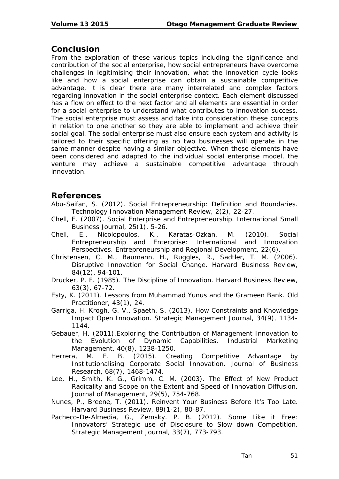## **Conclusion**

From the exploration of these various topics including the significance and contribution of the social enterprise, how social entrepreneurs have overcome challenges in legitimising their innovation, what the innovation cycle looks like and how a social enterprise can obtain a sustainable competitive advantage, it is clear there are many interrelated and complex factors regarding innovation in the social enterprise context. Each element discussed has a flow on effect to the next factor and all elements are essential in order for a social enterprise to understand what contributes to innovation success. The social enterprise must assess and take into consideration these concepts in relation to one another so they are able to implement and achieve their social goal. The social enterprise must also ensure each system and activity is tailored to their specific offering as no two businesses will operate in the same manner despite having a similar objective. When these elements have been considered and adapted to the individual social enterprise model, the venture may achieve a sustainable competitive advantage through innovation.

# **References**

- Abu-Saifan, S. (2012). Social Entrepreneurship: Definition and Boundaries. *Technology Innovation Management Review, 2*(2), 22-27.
- Chell, E. (2007). Social Enterprise and Entrepreneurship. International Small *Business Journal, 25*(1), 5-26.
- Chell, E., Nicolopoulos, K., Karatas-Ozkan, M. (2010). Social Entrepreneurship and Enterprise: International and Innovation Perspectives. *Entrepreneurship and Regional Development, 22*(6).
- Christensen, C. M., Baumann, H., Ruggles, R., Sadtler, T. M. (2006). Disruptive Innovation for Social Change. *Harvard Business Review, 84*(12), 94-101.
- Drucker, P. F. (1985). The Discipline of Innovation. *Harvard Business Review, 63*(3), 67-72.
- Esty, K. (2011). Lessons from Muhammad Yunus and the Grameen Bank. *Old Practitioner, 43*(1), 24.
- Garriga, H. Krogh, G. V., Spaeth, S. (2013). How Constraints and Knowledge Impact Open Innovation. *Strategic Management Journal, 34*(9), 1134- 1144.
- Gebauer, H. (2011).Exploring the Contribution of Management Innovation to the Evolution of Dynamic Capabilities. *Industrial Marketing Management, 40*(8), 1238-1250.
- Herrera, M. E. B. (2015). Creating Competitive Advantage by Institutionalising Corporate Social Innovation. *Journal of Business Research, 68*(7), 1468-1474.
- Lee, H., Smith, K. G., Grimm, C. M. (2003). The Effect of New Product Radicality and Scope on the Extent and Speed of Innovation Diffusion. *Journal of Management, 29*(5), 754-768.
- Nunes, P., Breene, T. (2011). Reinvent Your Business Before It's Too Late. *Harvard Business Review, 89*(1-2), 80-87.
- Pacheco-De-Almedia, G., Zemsky. P. B. (2012). Some Like it Free: Innovators' Strategic use of Disclosure to Slow down Competition. *Strategic Management Journal, 33*(7), 773-793.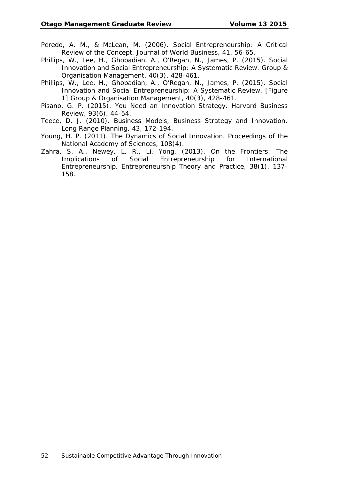- Peredo, A. M., & McLean, M. (2006). Social Entrepreneurship: A Critical Review of the Concept. *Journal of World Business, 41,* 56-65.
- Phillips, W., Lee, H., Ghobadian, A., O'Regan, N., James, P. (2015). Social Innovation and Social Entrepreneurship: A Systematic Review. *Group & Organisation Management, 40*(3), 428-461.
- Phillips, W., Lee, H., Ghobadian, A., O'Regan, N., James, P. (2015). Social Innovation and Social Entrepreneurship: A Systematic Review. [Figure 1] *Group & Organisation Management, 40*(3), 428-461.
- Pisano, G. P. (2015). You Need an Innovation Strategy. *Harvard Business Review, 93*(6), 44-54.
- Teece, D. J. (2010). Business Models, Business Strategy and Innovation. *Long Range Planning, 43,* 172-194.
- Young, H. P. (2011). The Dynamics of Social Innovation. *Proceedings of the National Academy of Sciences, 108*(4).
- Zahra, S. A., Newey, L. R., Li, Yong. (2013). On the Frontiers: The Implications of Social Entrepreneurship for International Entrepreneurship. *Entrepreneurship Theory and Practice, 38*(1), 137- 158.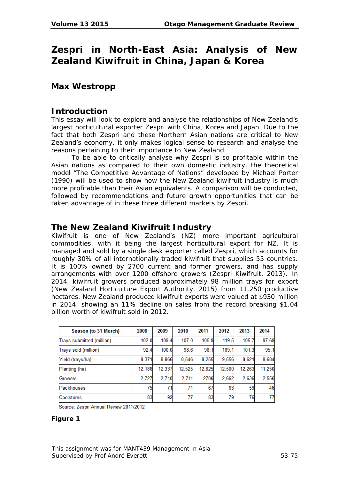# **Zespri in North-East Asia: Analysis of New Zealand Kiwifruit in China, Japan & Korea**

# **Max Westropp**

# **Introduction**

This essay will look to explore and analyse the relationships of New Zealand's largest horticultural exporter Zespri with China, Korea and Japan. Due to the fact that both Zespri and these Northern Asian nations are critical to New Zealand's economy, it only makes logical sense to research and analyse the reasons pertaining to their importance to New Zealand.

To be able to critically analyse why Zespri is so profitable within the Asian nations as compared to their own domestic industry, the theoretical model "The Competitive Advantage of Nations" developed by Michael Porter (1990) will be used to show how the New Zealand kiwifruit industry is much more profitable than their Asian equivalents. A comparison will be conducted, followed by recommendations and future growth opportunities that can be taken advantage of in these three different markets by Zespri.

# **The New Zealand Kiwifruit Industry**

Kiwifruit is one of New Zealand's (NZ) more important agricultural commodities, with it being the largest horticultural export for NZ. It is managed and sold by a single desk exporter called Zespri, which accounts for roughly 30% of all internationally traded kiwifruit that supplies 55 countries. It is 100% owned by 2700 current and former growers, and has supply arrangements with over 1200 offshore growers (Zespri Kiwifruit, 2013). In 2014, kiwifruit growers produced approximately 98 million trays for export (New Zealand Horticulture Export Authority, 2015) from 11,250 productive hectares. New Zealand produced kiwifruit exports were valued at \$930 million in 2014, showing an 11% decline on sales from the record breaking \$1.04 billion worth of kiwifruit sold in 2012.

| Season (to 31 March)      | 2008   | 2009   | 2010   | 2011   | 2012   | 2013   | 2014   |
|---------------------------|--------|--------|--------|--------|--------|--------|--------|
| Trays submitted (million) | 102.0  | 109.4  | 107.0  | 105.9  | 119.5  | 105.7  | 97.69  |
| Trays sold (million)      | 92.4   | 100.0  | 98.6   | 98.1   | 109.1  | 101.3  | 95.1   |
| Yield (trays/ha)          | 8.371  | 8.866  | 8.546  | 8.255  | 9.556  | 8,621  | 8,684  |
| Planting (ha)             | 12.186 | 12.337 | 12.525 | 12.825 | 12.500 | 12.263 | 11,250 |
| Growers                   | 2,727  | 2.710  | 2,711  | 2706   | 2.662  | 2.636  | 2,556  |
| Packhouses                | 75     | 71     | 71     | 67     | 63     | 59     | 46     |
| Coolstores                | 83     | 92     | 77     | 83     | 79     | 76     | 77     |

Source: Zespri Annual Review 2011/2012

### **Figure 1**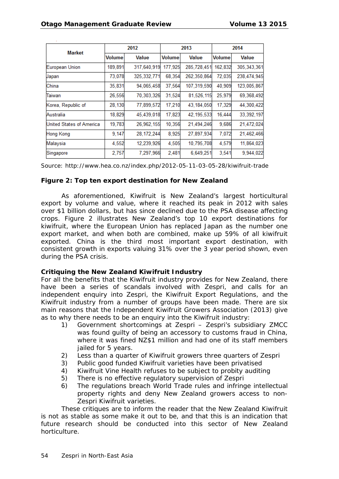| <b>Market</b>            | 2012          |               |               | 2013         | 2014          |               |
|--------------------------|---------------|---------------|---------------|--------------|---------------|---------------|
|                          | <b>Volume</b> | Value         | <b>Volume</b> | <b>Value</b> | <b>Volume</b> | Value         |
| European Union           | 189,891       | 317,640,919   | 177,925       | 285,728,451  | 162,832       | 305, 343, 361 |
| Japan                    | 73,078        | 325, 332, 771 | 68,354        | 262,350,864  | 72,035        | 238,474,945   |
| China                    | 35,831        | 94,065,458    | 37,564        | 107,319,590  | 40,909        | 123,005,867   |
| Taiwan                   | 26,556        | 70,303,326    | 31,524        | 81,526,115   | 25,979        | 69,368,492    |
| Korea, Republic of       | 28,130        | 77,899,572    | 17,210        | 43,184,050   | 17,329        | 44,300,422    |
| Australia                | 18,829        | 45,439,018    | 17,823        | 42, 195, 533 | 16,444        | 33,392,197    |
| United States of America | 19,783        | 26,962,155    | 10,356        | 21,494,246   | 9,686         | 21,472,024    |
| Hong Kong                | 9.147         | 28, 172, 244  | 8,925         | 27,897,934   | 7,072         | 21,462,466    |
| Malaysia                 | 4,552         | 12,239,926    | 4,505         | 10,795,708   | 4,579         | 11,864,023    |
| Singapore                | 2,757         | 7,297,966     | 2,481         | 6,649,251    | 3,541         | 9,944,022     |

Source: http://www.hea.co.nz/index.php/2012-05-11-03-05-28/kiwifruit-trade

### **Figure 2: Top ten export destination for New Zealand**

As aforementioned, Kiwifruit is New Zealand's largest horticultural export by volume and value, where it reached its peak in 2012 with sales over \$1 billion dollars, but has since declined due to the PSA disease affecting crops. Figure 2 illustrates New Zealand's top 10 export destinations for kiwifruit, where the European Union has replaced Japan as the number one export market, and when both are combined, make up 59% of all kiwifruit exported. China is the third most important export destination, with consistent growth in exports valuing 31% over the 3 year period shown, even during the PSA crisis.

#### **Critiquing the New Zealand Kiwifruit Industry**

For all the benefits that the Kiwifruit industry provides for New Zealand, there have been a series of scandals involved with Zespri, and calls for an independent enquiry into Zespri, the Kiwifruit Export Regulations, and the Kiwifruit industry from a number of groups have been made. There are six main reasons that the Independent Kiwifruit Growers Association (2013) give as to why there needs to be an enquiry into the Kiwifruit industry:

- 1) Government shortcomings at Zespri Zespri's subsidiary ZMCC was found guilty of being an accessory to customs fraud in China, where it was fined NZ\$1 million and had one of its staff members iailed for 5 years.
- 2) Less than a quarter of Kiwifruit growers three quarters of Zespri
- 3) Public good funded Kiwifruit varieties have been privatised
- 4) Kiwifruit Vine Health refuses to be subject to probity auditing
- 5) There is no effective regulatory supervision of Zespri
- 6) The regulations breach World Trade rules and infringe intellectual property rights and deny New Zealand growers access to non-Zespri Kiwifruit varieties.

These critiques are to inform the reader that the New Zealand Kiwifruit is not as stable as some make it out to be, and that this is an indication that future research should be conducted into this sector of New Zealand horticulture.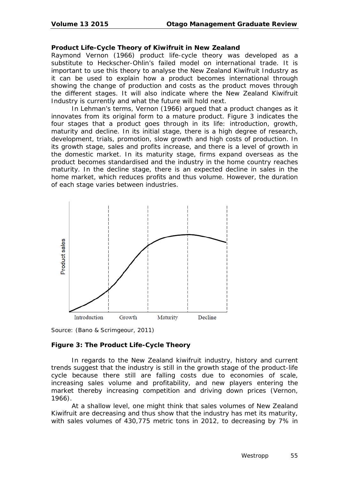### **Product Life-Cycle Theory of Kiwifruit in New Zealand**

Raymond Vernon (1966) product life-cycle theory was developed as a substitute to Heckscher-Ohlin's failed model on international trade. It is important to use this theory to analyse the New Zealand Kiwifruit Industry as it can be used to explain how a product becomes international through showing the change of production and costs as the product moves through the different stages. It will also indicate where the New Zealand Kiwifruit Industry is currently and what the future will hold next.

In Lehman's terms, Vernon (1966) argued that a product changes as it innovates from its original form to a mature product. Figure 3 indicates the four stages that a product goes through in its life: introduction, growth, maturity and decline. In its initial stage, there is a high degree of research, development, trials, promotion, slow growth and high costs of production. In its growth stage, sales and profits increase, and there is a level of growth in the domestic market. In its maturity stage, firms expand overseas as the product becomes standardised and the industry in the home country reaches maturity. In the decline stage, there is an expected decline in sales in the home market, which reduces profits and thus volume. However, the duration of each stage varies between industries.



Source: (Bano & Scrimgeour, 2011)

### **Figure 3: The Product Life-Cycle Theory**

In regards to the New Zealand kiwifruit industry, history and current trends suggest that the industry is still in the growth stage of the product-life cycle because there still are falling costs due to economies of scale, increasing sales volume and profitability, and new players entering the market thereby increasing competition and driving down prices (Vernon, 1966).

At a shallow level, one might think that sales volumes of New Zealand Kiwifruit are decreasing and thus show that the industry has met its maturity, with sales volumes of 430,775 metric tons in 2012, to decreasing by 7% in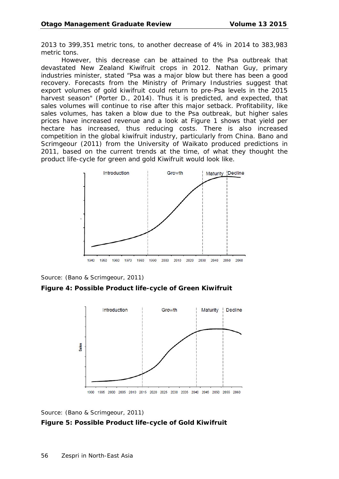2013 to 399,351 metric tons, to another decrease of 4% in 2014 to 383,983 metric tons.

However, this decrease can be attained to the Psa outbreak that devastated New Zealand Kiwifruit crops in 2012. Nathan Guy, primary industries minister, stated "Psa was a major blow but there has been a good recovery. Forecasts from the Ministry of Primary Industries suggest that export volumes of gold kiwifruit could return to pre-Psa levels in the 2015 harvest season" (Porter D., 2014). Thus it is predicted, and expected, that sales volumes will continue to rise after this major setback. Profitability, like sales volumes, has taken a blow due to the Psa outbreak, but higher sales prices have increased revenue and a look at Figure 1 shows that yield per hectare has increased, thus reducing costs. There is also increased competition in the global kiwifruit industry, particularly from China. Bano and Scrimgeour (2011) from the University of Waikato produced predictions in 2011, based on the current trends at the time, of what they thought the product life-cycle for green and gold Kiwifruit would look like.



Source: (Bano & Scrimgeour, 2011)

**Figure 4: Possible Product life-cycle of Green Kiwifruit**



Source: (Bano & Scrimgeour, 2011)

#### **Figure 5: Possible Product life-cycle of Gold Kiwifruit**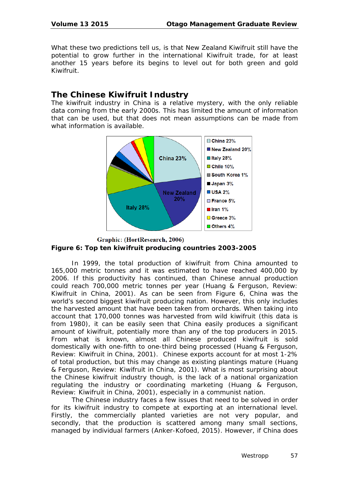What these two predictions tell us, is that New Zealand Kiwifruit still have the potential to grow further in the international Kiwifruit trade, for at least another 15 years before its begins to level out for both green and gold Kiwifruit.

# **The Chinese Kiwifruit Industry**

The kiwifruit industry in China is a relative mystery, with the only reliable data coming from the early 2000s. This has limited the amount of information that can be used, but that does not mean assumptions can be made from what information is available.



### Graphic: (HortResearch, 2006) **Figure 6: Top ten kiwifruit producing countries 2003-2005**

In 1999, the total production of kiwifruit from China amounted to 165,000 metric tonnes and it was estimated to have reached 400,000 by 2006. If this productivity has continued, than Chinese annual production could reach 700,000 metric tonnes per year (Huang & Ferguson, Review: Kiwifruit in China, 2001). As can be seen from Figure 6, China was the world's second biggest kiwifruit producing nation. However, this only includes the harvested amount that have been taken from orchards. When taking into account that 170,000 tonnes was harvested from wild kiwifruit (this data is from 1980), it can be easily seen that China easily produces a significant amount of kiwifruit, potentially more than any of the top producers in 2015. From what is known, almost all Chinese produced kiwifruit is sold domestically with one-fifth to one-third being processed (Huang & Ferguson, Review: Kiwifruit in China, 2001). Chinese exports account for at most 1-2% of total production, but this may change as existing plantings mature (Huang & Ferguson, Review: Kiwifruit in China, 2001). What is most surprising about the Chinese kiwifruit industry though, is the lack of a national organization regulating the industry or coordinating marketing (Huang & Ferguson, Review: Kiwifruit in China, 2001), especially in a communist nation.

The Chinese industry faces a few issues that need to be solved in order for its kiwifruit industry to compete at exporting at an international level. Firstly, the commercially planted varieties are not very popular, and secondly, that the production is scattered among many small sections, managed by individual farmers (Anker-Kofoed, 2015). However, if China does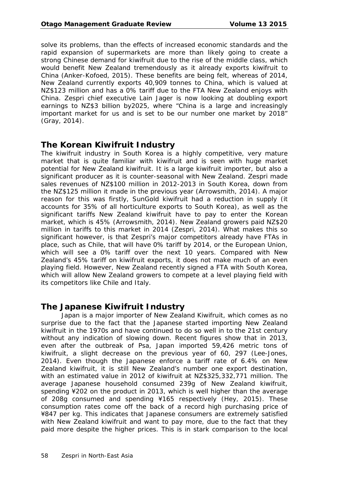solve its problems, than the effects of increased economic standards and the rapid expansion of supermarkets are more than likely going to create a strong Chinese demand for kiwifruit due to the rise of the middle class, which would benefit New Zealand tremendously as it already exports kiwifruit to China (Anker-Kofoed, 2015). These benefits are being felt, whereas of 2014, New Zealand currently exports 40,909 tonnes to China, which is valued at NZ\$123 million and has a 0% tariff due to the FTA New Zealand enjoys with China. Zespri chief executive Lain Jager is now looking at doubling export earnings to NZ\$3 billion by2025, where "China is a large and increasingly important market for us and is set to be our number one market by 2018" (Gray, 2014).

# **The Korean Kiwifruit Industry**

The kiwifruit industry in South Korea is a highly competitive, very mature market that is quite familiar with kiwifruit and is seen with huge market potential for New Zealand kiwifruit. It is a large kiwifruit importer, but also a significant producer as it is counter-seasonal with New Zealand. Zespri made sales revenues of NZ\$100 million in 2012-2013 in South Korea, down from the NZ\$125 million it made in the previous year (Arrowsmith, 2014). A major reason for this was firstly, SunGold kiwifruit had a reduction in supply (it accounts for 35% of all horticulture exports to South Korea), as well as the significant tariffs New Zealand kiwifruit have to pay to enter the Korean market, which is 45% (Arrowsmith, 2014). New Zealand growers paid NZ\$20 million in tariffs to this market in 2014 (Zespri, 2014). What makes this so significant however, is that Zespri's major competitors already have FTAs in place, such as Chile, that will have 0% tariff by 2014, or the European Union, which will see a 0% tariff over the next 10 years. Compared with New Zealand's 45% tariff on kiwifruit exports, it does not make much of an even playing field. However, New Zealand recently signed a FTA with South Korea, which will allow New Zealand growers to compete at a level playing field with its competitors like Chile and Italy.

# **The Japanese Kiwifruit Industry**

Japan is a major importer of New Zealand Kiwifruit, which comes as no surprise due to the fact that the Japanese started importing New Zealand kiwifruit in the 1970s and have continued to do so well in to the 21st century without any indication of slowing down. Recent figures show that in 2013, even after the outbreak of Psa, Japan imported 59,426 metric tons of kiwifruit, a slight decrease on the previous year of 60, 297 (Lee-Jones, 2014). Even though the Japanese enforce a tariff rate of 6.4% on New Zealand kiwifruit, it is still New Zealand's number one export destination, with an estimated value in 2012 of kiwifruit at NZ\$325,332,771 million. The average Japanese household consumed 239g of New Zealand kiwifruit, spending ¥202 on the product in 2013, which is well higher than the average of 208g consumed and spending ¥165 respectively (Hey, 2015). These consumption rates come off the back of a record high purchasing price of ¥847 per kg. This indicates that Japanese consumers are extremely satisfied with New Zealand kiwifruit and want to pay more, due to the fact that they paid more despite the higher prices. This is in stark comparison to the local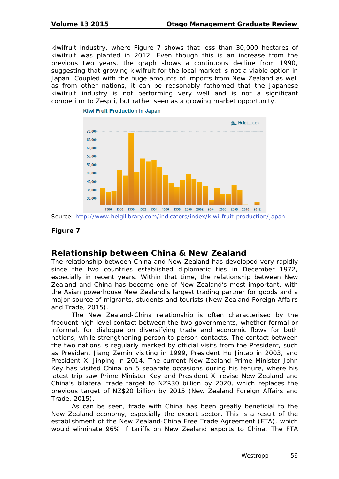kiwifruit industry, where Figure 7 shows that less than 30,000 hectares of kiwifruit was planted in 2012. Even though this is an increase from the previous two years, the graph shows a continuous decline from 1990, suggesting that growing kiwifruit for the local market is not a viable option in Japan. Coupled with the huge amounts of imports from New Zealand as well as from other nations, it can be reasonably fathomed that the Japanese kiwifruit industry is not performing very well and is not a significant competitor to Zespri, but rather seen as a growing market opportunity.



**Kiwi Fruit Production in Japan** 

Source:<http://www.helgilibrary.com/indicators/index/kiwi-fruit-production/japan>

### **Figure 7**

# **Relationship between China & New Zealand**

The relationship between China and New Zealand has developed very rapidly since the two countries established diplomatic ties in December 1972, especially in recent years. Within that time, the relationship between New Zealand and China has become one of New Zealand's most important, with the Asian powerhouse New Zealand's largest trading partner for goods and a major source of migrants, students and tourists (New Zealand Foreign Affairs and Trade, 2015).

The New Zealand-China relationship is often characterised by the frequent high level contact between the two governments, whether formal or informal, for dialogue on diversifying trade and economic flows for both nations, while strengthening person to person contacts. The contact between the two nations is regularly marked by official visits from the President, such as President Jiang Zemin visiting in 1999, President Hu Jintao in 2003, and President Xi Jinping in 2014. The current New Zealand Prime Minister John Key has visited China on 5 separate occasions during his tenure, where his latest trip saw Prime Minister Key and President Xi revise New Zealand and China's bilateral trade target to NZ\$30 billion by 2020, which replaces the previous target of NZ\$20 billion by 2015 (New Zealand Foreign Affairs and Trade, 2015).

As can be seen, trade with China has been greatly beneficial to the New Zealand economy, especially the export sector. This is a result of the establishment of the New Zealand-China Free Trade Agreement (FTA), which would eliminate 96% if tariffs on New Zealand exports to China. The FTA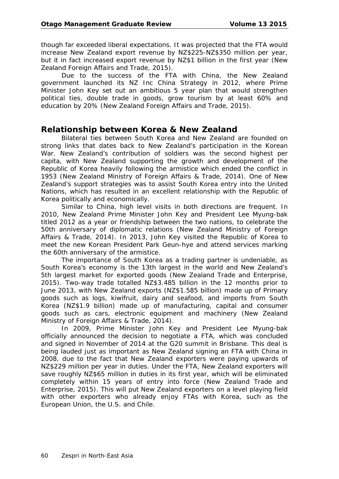though far exceeded liberal expectations. It was projected that the FTA would increase New Zealand export revenue by NZ\$225-NZ\$350 million per year, but it in fact increased export revenue by NZ\$1 billion in the first year (New Zealand Foreign Affairs and Trade, 2015).

Due to the success of the FTA with China, the New Zealand government launched its NZ Inc China Strategy in 2012, where Prime Minister John Key set out an ambitious 5 year plan that would strengthen political ties, double trade in goods, grow tourism by at least 60% and education by 20% (New Zealand Foreign Affairs and Trade, 2015).

## **Relationship between Korea & New Zealand**

Bilateral ties between South Korea and New Zealand are founded on strong links that dates back to New Zealand's participation in the Korean War. New Zealand's contribution of soldiers was the second highest per capita, with New Zealand supporting the growth and development of the Republic of Korea heavily following the armistice which ended the conflict in 1953 (New Zealand Ministry of Foreign Affairs & Trade, 2014). One of New Zealand's support strategies was to assist South Korea entry into the United Nations, which has resulted in an excellent relationship with the Republic of Korea politically and economically.

Similar to China, high level visits in both directions are frequent. In 2010, New Zealand Prime Minister John Key and President Lee Myung-bak titled 2012 as a year or friendship between the two nations, to celebrate the 50th anniversary of diplomatic relations (New Zealand Ministry of Foreign Affairs & Trade, 2014). In 2013, John Key visited the Republic of Korea to meet the new Korean President Park Geun-hye and attend services marking the 60th anniversary of the armistice.

The importance of South Korea as a trading partner is undeniable, as South Korea's economy is the 13th largest in the world and New Zealand's 5th largest market for exported goods (New Zealand Trade and Enterprise, 2015). Two-way trade totalled NZ\$3.485 billion in the 12 months prior to June 2013, with New Zealand exports (NZ\$1.585 billion) made up of Primary goods such as logs, kiwifruit, dairy and seafood, and imports from South Korea (NZ\$1.9 billion) made up of manufacturing, capital and consumer goods such as cars, electronic equipment and machinery (New Zealand Ministry of Foreign Affairs & Trade, 2014).

In 2009, Prime Minister John Key and President Lee Myung-bak officially announced the decision to negotiate a FTA, which was concluded and signed in November of 2014 at the G20 summit in Brisbane. This deal is being lauded just as important as New Zealand signing an FTA with China in 2008, due to the fact that New Zealand exporters were paying upwards of NZ\$229 million per year in duties. Under the FTA, New Zealand exporters will save roughly NZ\$65 million in duties in its first year, which will be eliminated completely within 15 years of entry into force (New Zealand Trade and Enterprise, 2015). This will put New Zealand exporters on a level playing field with other exporters who already enjoy FTAs with Korea, such as the European Union, the U.S. and Chile.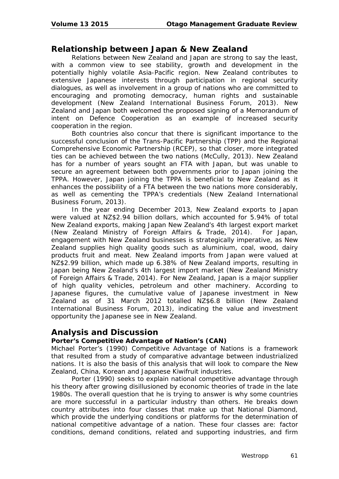# **Relationship between Japan & New Zealand**

Relations between New Zealand and Japan are strong to say the least, with a common view to see stability, growth and development in the potentially highly volatile Asia-Pacific region. New Zealand contributes to extensive Japanese interests through participation in regional security dialogues, as well as involvement in a group of nations who are committed to encouraging and promoting democracy, human rights and sustainable development (New Zealand International Business Forum, 2013). New Zealand and Japan both welcomed the proposed signing of a Memorandum of intent on Defence Cooperation as an example of increased security cooperation in the region.

Both countries also concur that there is significant importance to the successful conclusion of the Trans-Pacific Partnership (TPP) and the Regional Comprehensive Economic Partnership (RCEP), so that closer, more integrated ties can be achieved between the two nations (McCully, 2013). New Zealand has for a number of years sought an FTA with Japan, but was unable to secure an agreement between both governments prior to Japan joining the TPPA. However, Japan joining the TPPA is beneficial to New Zealand as it enhances the possibility of a FTA between the two nations more considerably, as well as cementing the TPPA's credentials (New Zealand International Business Forum, 2013).

In the year ending December 2013, New Zealand exports to Japan were valued at NZ\$2.94 billion dollars, which accounted for 5.94% of total New Zealand exports, making Japan New Zealand's 4th largest export market (New Zealand Ministry of Foreign Affairs & Trade, 2014). For Japan, engagement with New Zealand businesses is strategically imperative, as New Zealand supplies high quality goods such as aluminium, coal, wood, dairy products fruit and meat. New Zealand imports from Japan were valued at NZ\$2.99 billion, which made up 6.38% of New Zealand imports, resulting in Japan being New Zealand's 4th largest import market (New Zealand Ministry of Foreign Affairs & Trade, 2014). For New Zealand, Japan is a major supplier of high quality vehicles, petroleum and other machinery. According to Japanese figures, the cumulative value of Japanese investment in New Zealand as of 31 March 2012 totalled NZ\$6.8 billion (New Zealand International Business Forum, 2013), indicating the value and investment opportunity the Japanese see in New Zealand.

## **Analysis and Discussion**

### **Porter's Competitive Advantage of Nation's (CAN)**

Michael Porter's (1990) Competitive Advantage of Nations is a framework that resulted from a study of comparative advantage between industrialized nations. It is also the basis of this analysis that will look to compare the New Zealand, China, Korean and Japanese Kiwifruit industries.

Porter (1990) seeks to explain national competitive advantage through his theory after growing disillusioned by economic theories of trade in the late 1980s. The overall question that he is trying to answer is why some countries are more successful in a particular industry than others. He breaks down country attributes into four classes that make up that National Diamond, which provide the underlying conditions or platforms for the determination of national competitive advantage of a nation. These four classes are: factor conditions, demand conditions, related and supporting industries, and firm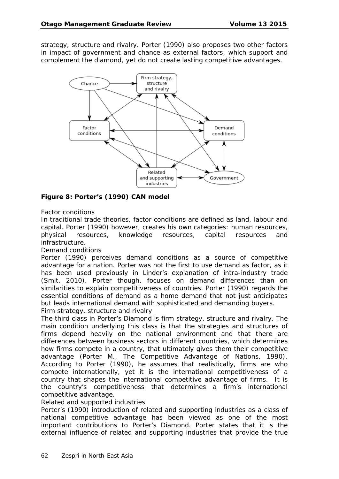strategy, structure and rivalry. Porter (1990) also proposes two other factors in impact of government and chance as external factors, which support and complement the diamond, yet do not create lasting competitive advantages.



**Figure 8: Porter's (1990) CAN model**

### *Factor conditions*

In traditional trade theories, factor conditions are defined as land, labour and capital. Porter (1990) however, creates his own categories: human resources, physical resources, knowledge resources, capital resources and infrastructure.

### *Demand conditions*

Porter (1990) perceives demand conditions as a source of competitive advantage for a nation. Porter was not the first to use demand as factor, as it has been used previously in Linder's explanation of intra-industry trade (Smit, 2010). Porter though, focuses on demand differences than on similarities to explain competitiveness of countries. Porter (1990) regards the essential conditions of demand as a home demand that not just anticipates but leads international demand with sophisticated and demanding buyers.

### *Firm strategy, structure and rivalry*

The third class in Porter's Diamond is firm strategy, structure and rivalry. The main condition underlying this class is that the strategies and structures of firms depend heavily on the national environment and that there are differences between business sectors in different countries, which determines how firms compete in a country, that ultimately gives them their competitive advantage (Porter M., The Competitive Advantage of Nations, 1990). According to Porter (1990), he assumes that realistically, firms are who compete internationally, yet it is the international competitiveness of a country that shapes the international competitive advantage of firms. It is the country's competitiveness that determines a firm's international competitive advantage.

### *Related and supported industries*

Porter's (1990) introduction of related and supporting industries as a class of national competitive advantage has been viewed as one of the most important contributions to Porter's Diamond. Porter states that it is the external influence of related and supporting industries that provide the true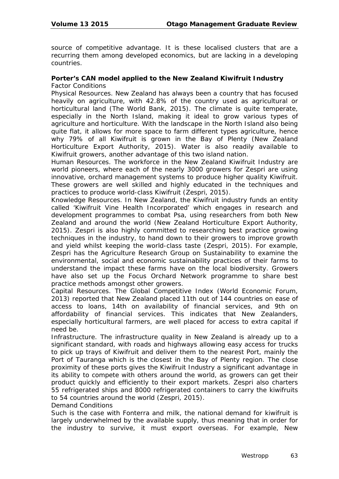source of competitive advantage. It is these localised clusters that are a recurring them among developed economics, but are lacking in a developing countries.

### **Porter's CAN model applied to the New Zealand Kiwifruit Industry** *Factor Conditions*

*Physical Resources.* New Zealand has always been a country that has focused heavily on agriculture, with 42.8% of the country used as agricultural or horticultural land (The World Bank, 2015). The climate is quite temperate, especially in the North Island, making it ideal to grow various types of agriculture and horticulture. With the landscape in the North Island also being quite flat, it allows for more space to farm different types agriculture, hence why 79% of all Kiwifruit is grown in the Bay of Plenty (New Zealand Horticulture Export Authority, 2015). Water is also readily available to Kiwifruit growers, another advantage of this two island nation.

*Human Resources.* The workforce in the New Zealand Kiwifruit Industry are world pioneers, where each of the nearly 3000 growers for Zespri are using innovative, orchard management systems to produce higher quality Kiwifruit. These growers are well skilled and highly educated in the techniques and practices to produce world-class Kiwifruit (Zespri, 2015).

*Knowledge Resources.* In New Zealand, the Kiwifruit industry funds an entity called 'Kiwifruit Vine Health Incorporated' which engages in research and development programmes to combat Psa, using researchers from both New Zealand and around the world (New Zealand Horticulture Export Authority, 2015). Zespri is also highly committed to researching best practice growing techniques in the industry, to hand down to their growers to improve growth and yield whilst keeping the world-class taste (Zespri, 2015). For example, Zespri has the Agriculture Research Group on Sustainability to examine the environmental, social and economic sustainability practices of their farms to understand the impact these farms have on the local biodiversity. Growers have also set up the Focus Orchard Network programme to share best practice methods amongst other growers.

*Capital Resources.* The Global Competitive Index (World Economic Forum, 2013) reported that New Zealand placed 11th out of 144 countries on ease of access to loans, 14th on availability of financial services, and 9th on affordability of financial services. This indicates that New Zealanders, especially horticultural farmers, are well placed for access to extra capital if need be.

*Infrastructure.* The infrastructure quality in New Zealand is already up to a significant standard, with roads and highways allowing easy access for trucks to pick up trays of Kiwifruit and deliver them to the nearest Port, mainly the Port of Tauranga which is the closest in the Bay of Plenty region. The close proximity of these ports gives the Kiwifruit Industry a significant advantage in its ability to compete with others around the world, as growers can get their product quickly and efficiently to their export markets. Zespri also charters 55 refrigerated ships and 8000 refrigerated containers to carry the kiwifruits to 54 countries around the world (Zespri, 2015).

*Demand Conditions* 

Such is the case with Fonterra and milk, the national demand for kiwifruit is largely underwhelmed by the available supply, thus meaning that in order for the industry to survive, it must export overseas. For example, New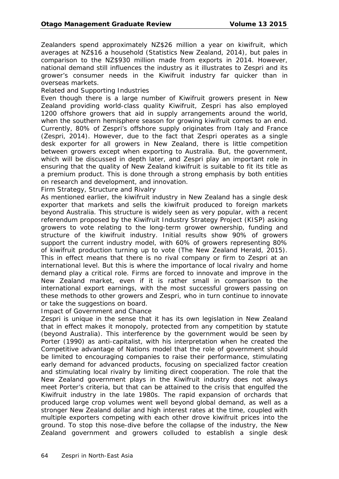Zealanders spend approximately NZ\$26 million a year on kiwifruit, which averages at NZ\$16 a household (Statistics New Zealand, 2014), but pales in comparison to the NZ\$930 million made from exports in 2014. However, national demand still influences the industry as it illustrates to Zespri and its grower's consumer needs in the Kiwifruit industry far quicker than in overseas markets.

### *Related and Supporting Industries*

Even though there is a large number of Kiwifruit growers present in New Zealand providing world-class quality Kiwifruit, Zespri has also employed 1200 offshore growers that aid in supply arrangements around the world, when the southern hemisphere season for growing kiwifruit comes to an end. Currently, 80% of Zespri's offshore supply originates from Italy and France (Zespri, 2014). However, due to the fact that Zespri operates as a single desk exporter for all growers in New Zealand, there is little competition between growers except when exporting to Australia. But, the government, which will be discussed in depth later, and Zespri play an important role in ensuring that the quality of New Zealand kiwifruit is suitable to fit its title as a premium product. This is done through a strong emphasis by both entities on research and development, and innovation.

#### *Firm Strategy, Structure and Rivalry*

As mentioned earlier, the kiwifruit industry in New Zealand has a single desk exporter that markets and sells the kiwifruit produced to foreign markets beyond Australia. This structure is widely seen as very popular, with a recent referendum proposed by the Kiwifruit Industry Strategy Project (KISP) asking growers to vote relating to the long-term grower ownership, funding and structure of the kiwifruit industry. Initial results show 90% of growers support the current industry model, with 60% of growers representing 80% of kiwifruit production turning up to vote (The New Zealand Herald, 2015). This in effect means that there is no rival company or firm to Zespri at an international level. But this is where the importance of local rivalry and home demand play a critical role. Firms are forced to innovate and improve in the New Zealand market, even if it is rather small in comparison to the international export earnings, with the most successful growers passing on these methods to other growers and Zespri, who in turn continue to innovate or take the suggestions on board.

#### *Impact of Government and Chance*

Zespri is unique in the sense that it has its own legislation in New Zealand that in effect makes it monopoly, protected from any competition by statute (beyond Australia). This interference by the government would be seen by Porter (1990) as anti-capitalist, with his interpretation when he created the Competitive advantage of Nations model that the role of government should be limited to encouraging companies to raise their performance, stimulating early demand for advanced products, focusing on specialized factor creation and stimulating local rivalry by limiting direct cooperation. The role that the New Zealand government plays in the Kiwifruit industry does not always meet Porter's criteria, but that can be attained to the crisis that engulfed the Kiwifruit industry in the late 1980s. The rapid expansion of orchards that produced large crop volumes went well beyond global demand, as well as a stronger New Zealand dollar and high interest rates at the time, coupled with multiple exporters competing with each other drove kiwifruit prices into the ground. To stop this nose-dive before the collapse of the industry, the New Zealand government and growers colluded to establish a single desk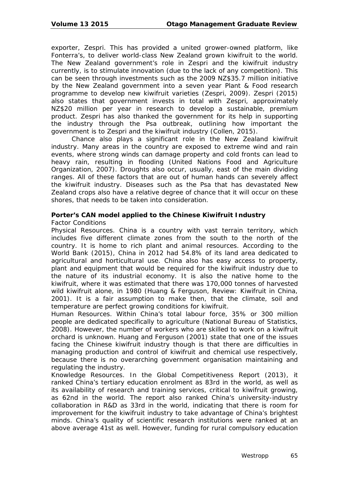exporter, Zespri. This has provided a united grower-owned platform, like Fonterra's, to deliver world-class New Zealand grown kiwifruit to the world. The New Zealand government's role in Zespri and the kiwifruit industry currently, is to stimulate innovation (due to the lack of any competition). This can be seen through investments such as the 2009 NZ\$35.7 million initiative by the New Zealand government into a seven year Plant & Food research programme to develop new kiwifruit varieties (Zespri, 2009). Zespri (2015) also states that government invests in total with Zespri, approximately NZ\$20 million per year in research to develop a sustainable, premium product. Zespri has also thanked the government for its help in supporting the industry through the Psa outbreak, outlining how important the government is to Zespri and the kiwifruit industry (Collen, 2015).

Chance also plays a significant role in the New Zealand kiwifruit industry. Many areas in the country are exposed to extreme wind and rain events, where strong winds can damage property and cold fronts can lead to heavy rain, resulting in flooding (United Nations Food and Agriculture Organization, 2007). Droughts also occur, usually, east of the main dividing ranges. All of these factors that are out of human hands can severely affect the kiwifruit industry. Diseases such as the Psa that has devastated New Zealand crops also have a relative degree of chance that it will occur on these shores, that needs to be taken into consideration.

### **Porter's CAN model applied to the Chinese Kiwifruit Industry**

#### *Factor Conditions*

*Physical Resources.* China is a country with vast terrain territory, which includes five different climate zones from the south to the north of the country. It is home to rich plant and animal resources. According to the World Bank (2015), China in 2012 had 54.8% of its land area dedicated to agricultural and horticultural use. China also has easy access to property, plant and equipment that would be required for the kiwifruit industry due to the nature of its industrial economy. It is also the native home to the kiwifruit, where it was estimated that there was 170,000 tonnes of harvested wild kiwifruit alone, in 1980 (Huang & Ferguson, Review: Kiwifruit in China, 2001). It is a fair assumption to make then, that the climate, soil and temperature are perfect growing conditions for kiwifruit.

*Human Resources.* Within China's total labour force, 35% or 300 million people are dedicated specifically to agriculture (National Bureau of Statistics, 2008). However, the number of workers who are skilled to work on a kiwifruit orchard is unknown. Huang and Ferguson (2001) state that one of the issues facing the Chinese kiwifruit industry though is that there are difficulties in managing production and control of kiwifruit and chemical use respectively, because there is no overarching government organisation maintaining and regulating the industry.

*Knowledge Resources.* In the Global Competitiveness Report (2013), it ranked China's tertiary education enrolment as 83rd in the world, as well as its availability of research and training services, critical to kiwifruit growing, as 62nd in the world. The report also ranked China's university-industry collaboration in R&D as 33rd in the world, indicating that there is room for improvement for the kiwifruit industry to take advantage of China's brightest minds. China's quality of scientific research institutions were ranked at an above average 41st as well. However, funding for rural compulsory education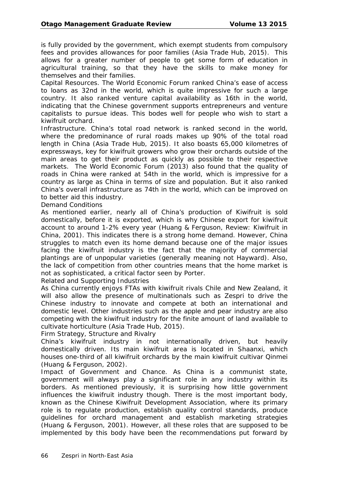is fully provided by the government, which exempt students from compulsory fees and provides allowances for poor families (Asia Trade Hub, 2015). This allows for a greater number of people to get some form of education in agricultural training, so that they have the skills to make money for themselves and their families.

*Capital Resources.* The World Economic Forum ranked China's ease of access to loans as 32nd in the world, which is quite impressive for such a large country. It also ranked venture capital availability as 16th in the world, indicating that the Chinese government supports entrepreneurs and venture capitalists to pursue ideas. This bodes well for people who wish to start a kiwifruit orchard.

*Infrastructure.* China's total road network is ranked second in the world, where the predominance of rural roads makes up 90% of the total road length in China (Asia Trade Hub, 2015). It also boasts 65,000 kilometres of expressways, key for kiwifruit growers who grow their orchards outside of the main areas to get their product as quickly as possible to their respective markets. The World Economic Forum (2013) also found that the quality of roads in China were ranked at 54th in the world, which is impressive for a country as large as China in terms of size and population. But it also ranked China's overall infrastructure as 74th in the world, which can be improved on to better aid this industry.

#### *Demand Conditions*

As mentioned earlier, nearly all of China's production of Kiwifruit is sold domestically, before it is exported, which is why Chinese export for kiwifruit account to around 1-2% every year (Huang & Ferguson, Review: Kiwifruit in China, 2001). This indicates there is a strong home demand. However, China struggles to match even its home demand because one of the major issues facing the kiwifruit industry is the fact that the majority of commercial plantings are of unpopular varieties (generally meaning not Hayward). Also, the lack of competition from other countries means that the home market is not as sophisticated, a critical factor seen by Porter.

#### *Related and Supporting Industries*

As China currently enjoys FTAs with kiwifruit rivals Chile and New Zealand, it will also allow the presence of multinationals such as Zespri to drive the Chinese industry to innovate and compete at both an international and domestic level. Other industries such as the apple and pear industry are also competing with the kiwifruit industry for the finite amount of land available to cultivate horticulture (Asia Trade Hub, 2015).

#### *Firm Strategy, Structure and Rivalry*

China's kiwifruit industry in not internationally driven, but heavily domestically driven. Its main kiwifruit area is located in Shaanxi, which houses one-third of all kiwifruit orchards by the main kiwifruit cultivar Qinmei (Huang & Ferguson, 2002).

*Impact of Government and Chance.* As China is a communist state, government will always play a significant role in any industry within its borders. As mentioned previously, it is surprising how little government influences the kiwifruit industry though. There is the most important body, known as the Chinese Kiwifruit Development Association, where its primary role is to regulate production, establish quality control standards, produce guidelines for orchard management and establish marketing strategies (Huang & Ferguson, 2001). However, all these roles that are supposed to be implemented by this body have been the recommendations put forward by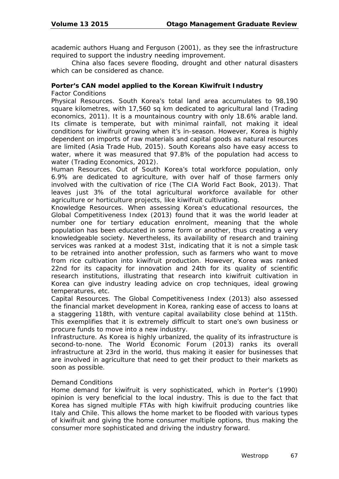academic authors Huang and Ferguson (2001), as they see the infrastructure required to support the industry needing improvement.

China also faces severe flooding, drought and other natural disasters which can be considered as chance.

### **Porter's CAN model applied to the Korean Kiwifruit Industry**

*Factor Conditions* 

*Physical Resources.* South Korea's total land area accumulates to 98,190 square kilometres, with 17,560 sq km dedicated to agricultural land (Trading economics, 2011). It is a mountainous country with only 18.6% arable land. Its climate is temperate, but with minimal rainfall, not making it ideal conditions for kiwifruit growing when it's in-season. However, Korea is highly dependent on imports of raw materials and capital goods as natural resources are limited (Asia Trade Hub, 2015). South Koreans also have easy access to water, where it was measured that 97.8% of the population had access to water (Trading Economics, 2012).

*Human Resources.* Out of South Korea's total workforce population, only 6.9% are dedicated to agriculture, with over half of those farmers only involved with the cultivation of rice (The CIA World Fact Book, 2013). That leaves just 3% of the total agricultural workforce available for other agriculture or horticulture projects, like kiwifruit cultivating.

*Knowledge Resources.* When assessing Korea's educational resources, the Global Competitiveness Index (2013) found that it was the world leader at number one for tertiary education enrolment, meaning that the whole population has been educated in some form or another, thus creating a very knowledgeable society. Nevertheless, its availability of research and training services was ranked at a modest 31st, indicating that it is not a simple task to be retrained into another profession, such as farmers who want to move from rice cultivation into kiwifruit production. However, Korea was ranked 22nd for its capacity for innovation and 24th for its quality of scientific research institutions, illustrating that research into kiwifruit cultivation in Korea can give industry leading advice on crop techniques, ideal growing temperatures, etc.

*Capital Resources.* The Global Competitiveness Index (2013) also assessed the financial market development in Korea, ranking ease of access to loans at a staggering 118th, with venture capital availability close behind at 115th. This exemplifies that it is extremely difficult to start one's own business or procure funds to move into a new industry.

*Infrastructure.* As Korea is highly urbanized, the quality of its infrastructure is second-to-none. The World Economic Forum (2013) ranks its overall infrastructure at 23rd in the world, thus making it easier for businesses that are involved in agriculture that need to get their product to their markets as soon as possible.

#### *Demand Conditions*

Home demand for kiwifruit is very sophisticated, which in Porter's (1990) opinion is very beneficial to the local industry. This is due to the fact that Korea has signed multiple FTAs with high kiwifruit producing countries like Italy and Chile. This allows the home market to be flooded with various types of kiwifruit and giving the home consumer multiple options, thus making the consumer more sophisticated and driving the industry forward.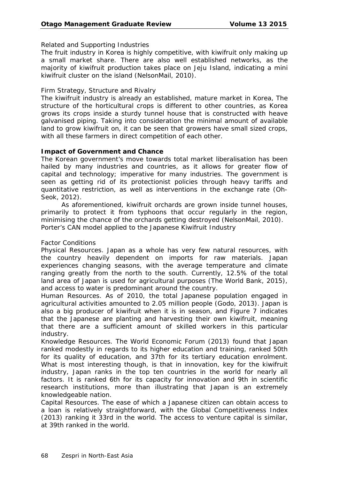### *Related and Supporting Industries*

The fruit industry in Korea is highly competitive, with kiwifruit only making up a small market share. There are also well established networks, as the majority of kiwifruit production takes place on Jeju Island, indicating a mini kiwifruit cluster on the island (NelsonMail, 2010).

### *Firm Strategy, Structure and Rivalry*

The kiwifruit industry is already an established, mature market in Korea, The structure of the horticultural crops is different to other countries, as Korea grows its crops inside a sturdy tunnel house that is constructed with heave galvanised piping. Taking into consideration the minimal amount of available land to grow kiwifruit on, it can be seen that growers have small sized crops, with all these farmers in direct competition of each other.

### **Impact of Government and Chance**

The Korean government's move towards total market liberalisation has been hailed by many industries and countries, as it allows for greater flow of capital and technology; imperative for many industries. The government is seen as getting rid of its protectionist policies through heavy tariffs and quantitative restriction, as well as interventions in the exchange rate (Oh-Seok, 2012).

As aforementioned, kiwifruit orchards are grown inside tunnel houses, primarily to protect it from typhoons that occur regularly in the region, minimising the chance of the orchards getting destroyed (NelsonMail, 2010). Porter's CAN model applied to the Japanese Kiwifruit Industry

### *Factor Conditions*

*Physical Resources.* Japan as a whole has very few natural resources, with the country heavily dependent on imports for raw materials. Japan experiences changing seasons, with the average temperature and climate ranging greatly from the north to the south. Currently, 12.5% of the total land area of Japan is used for agricultural purposes (The World Bank, 2015), and access to water is predominant around the country.

*Human Resources.* As of 2010, the total Japanese population engaged in agricultural activities amounted to 2.05 million people (Godo, 2013). Japan is also a big producer of kiwifruit when it is in season, and Figure 7 indicates that the Japanese are planting and harvesting their own kiwifruit, meaning that there are a sufficient amount of skilled workers in this particular industry.

*Knowledge Resources.* The World Economic Forum (2013) found that Japan ranked modestly in regards to its higher education and training, ranked 50th for its quality of education, and 37th for its tertiary education enrolment. What is most interesting though, is that in innovation, key for the kiwifruit industry, Japan ranks in the top ten countries in the world for nearly all factors. It is ranked 6th for its capacity for innovation and 9th in scientific research institutions, more than illustrating that Japan is an extremely knowledgeable nation.

*Capital Resources.* The ease of which a Japanese citizen can obtain access to a loan is relatively straightforward, with the Global Competitiveness Index (2013) ranking it 33rd in the world. The access to venture capital is similar, at 39th ranked in the world.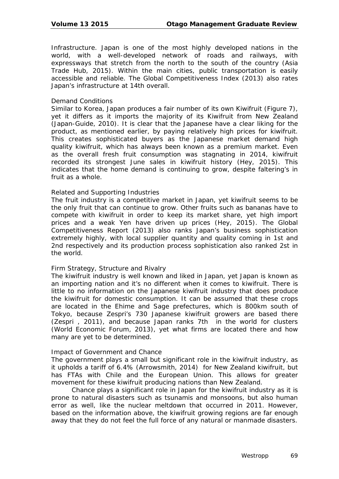*Infrastructure.* Japan is one of the most highly developed nations in the world, with a well-developed network of roads and railways, with expressways that stretch from the north to the south of the country (Asia Trade Hub, 2015). Within the main cities, public transportation is easily accessible and reliable. The Global Competitiveness Index (2013) also rates Japan's infrastructure at 14th overall.

#### *Demand Conditions*

Similar to Korea, Japan produces a fair number of its own Kiwifruit (Figure 7), yet it differs as it imports the majority of its Kiwifruit from New Zealand (Japan-Guide, 2010). It is clear that the Japanese have a clear liking for the product, as mentioned earlier, by paying relatively high prices for kiwifruit. This creates sophisticated buyers as the Japanese market demand high quality kiwifruit, which has always been known as a premium market. Even as the overall fresh fruit consumption was stagnating in 2014, kiwifruit recorded its strongest June sales in kiwifruit history (Hey, 2015). This indicates that the home demand is continuing to grow, despite faltering's in fruit as a whole.

#### *Related and Supporting Industries*

The fruit industry is a competitive market in Japan, yet kiwifruit seems to be the only fruit that can continue to grow. Other fruits such as bananas have to compete with kiwifruit in order to keep its market share, yet high import prices and a weak Yen have driven up prices (Hey, 2015). The Global Competitiveness Report (2013) also ranks Japan's business sophistication extremely highly, with local supplier quantity and quality coming in 1st and 2nd respectively and its production process sophistication also ranked 2st in the world.

#### *Firm Strategy, Structure and Rivalry*

The kiwifruit industry is well known and liked in Japan, yet Japan is known as an importing nation and it's no different when it comes to kiwifruit. There is little to no information on the Japanese kiwifruit industry that does produce the kiwifruit for domestic consumption. It can be assumed that these crops are located in the Ehime and Sage prefectures, which is 800km south of Tokyo, because Zespri's 730 Japanese kiwifruit growers are based there (Zespri , 2011), and because Japan ranks 7th in the world for clusters (World Economic Forum, 2013), yet what firms are located there and how many are yet to be determined.

#### *Impact of Government and Chance*

The government plays a small but significant role in the kiwifruit industry, as it upholds a tariff of 6.4% (Arrowsmith, 2014) for New Zealand kiwifruit, but has FTAs with Chile and the European Union. This allows for greater movement for these kiwifruit producing nations than New Zealand.

Chance plays a significant role in Japan for the kiwifruit industry as it is prone to natural disasters such as tsunamis and monsoons, but also human error as well, like the nuclear meltdown that occurred in 2011. However, based on the information above, the kiwifruit growing regions are far enough away that they do not feel the full force of any natural or manmade disasters.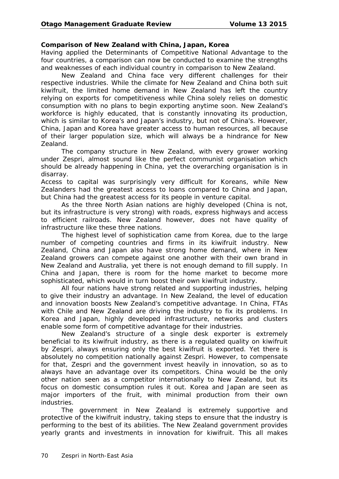### **Comparison of New Zealand with China, Japan, Korea**

Having applied the Determinants of Competitive National Advantage to the four countries, a comparison can now be conducted to examine the strengths and weaknesses of each individual country in comparison to New Zealand.

New Zealand and China face very different challenges for their respective industries. While the climate for New Zealand and China both suit kiwifruit, the limited home demand in New Zealand has left the country relying on exports for competitiveness while China solely relies on domestic consumption with no plans to begin exporting anytime soon. New Zealand's workforce is highly educated, that is constantly innovating its production, which is similar to Korea's and Japan's industry, but not of China's. However, China, Japan and Korea have greater access to human resources, all because of their larger population size, which will always be a hindrance for New Zealand.

The company structure in New Zealand, with every grower working under Zespri, almost sound like the perfect communist organisation which should be already happening in China, yet the overarching organisation is in disarray.

Access to capital was surprisingly very difficult for Koreans, while New Zealanders had the greatest access to loans compared to China and Japan, but China had the greatest access for its people in venture capital.

As the three North Asian nations are highly developed (China is not, but its infrastructure is very strong) with roads, express highways and access to efficient railroads. New Zealand however, does not have quality of infrastructure like these three nations.

The highest level of sophistication came from Korea, due to the large number of competing countries and firms in its kiwifruit industry. New Zealand, China and Japan also have strong home demand, where in New Zealand growers can compete against one another with their own brand in New Zealand and Australia, yet there is not enough demand to fill supply. In China and Japan, there is room for the home market to become more sophisticated, which would in turn boost their own kiwifruit industry.

All four nations have strong related and supporting industries, helping to give their industry an advantage. In New Zealand, the level of education and innovation boosts New Zealand's competitive advantage. In China, FTAs with Chile and New Zealand are driving the industry to fix its problems. In Korea and Japan, highly developed infrastructure, networks and clusters enable some form of competitive advantage for their industries.

New Zealand's structure of a single desk exporter is extremely beneficial to its kiwifruit industry, as there is a regulated quality on kiwifruit by Zespri, always ensuring only the best kiwifruit is exported. Yet there is absolutely no competition nationally against Zespri. However, to compensate for that, Zespri and the government invest heavily in innovation, so as to always have an advantage over its competitors. China would be the only other nation seen as a competitor internationally to New Zealand, but its focus on domestic consumption rules it out. Korea and Japan are seen as major importers of the fruit, with minimal production from their own industries.

The government in New Zealand is extremely supportive and protective of the kiwifruit industry, taking steps to ensure that the industry is performing to the best of its abilities. The New Zealand government provides yearly grants and investments in innovation for kiwifruit. This all makes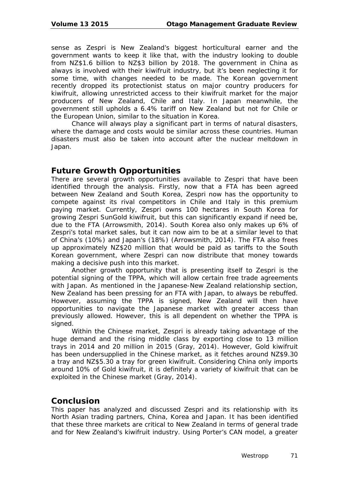sense as Zespri is New Zealand's biggest horticultural earner and the government wants to keep it like that, with the industry looking to double from NZ\$1.6 billion to NZ\$3 billion by 2018. The government in China as always is involved with their kiwifruit industry, but it's been neglecting it for some time, with changes needed to be made. The Korean government recently dropped its protectionist status on major country producers for kiwifruit, allowing unrestricted access to their kiwifruit market for the major producers of New Zealand, Chile and Italy. In Japan meanwhile, the government still upholds a 6.4% tariff on New Zealand but not for Chile or the European Union, similar to the situation in Korea.

Chance will always play a significant part in terms of natural disasters, where the damage and costs would be similar across these countries. Human disasters must also be taken into account after the nuclear meltdown in Japan.

# **Future Growth Opportunities**

There are several growth opportunities available to Zespri that have been identified through the analysis. Firstly, now that a FTA has been agreed between New Zealand and South Korea, Zespri now has the opportunity to compete against its rival competitors in Chile and Italy in this premium paying market. Currently, Zespri owns 100 hectares in South Korea for growing Zespri SunGold kiwifruit, but this can significantly expand if need be, due to the FTA (Arrowsmith, 2014). South Korea also only makes up 6% of Zespri's total market sales, but it can now aim to be at a similar level to that of China's (10%) and Japan's (18%) (Arrowsmith, 2014). The FTA also frees up approximately NZ\$20 million that would be paid as tariffs to the South Korean government, where Zespri can now distribute that money towards making a decisive push into this market.

Another growth opportunity that is presenting itself to Zespri is the potential signing of the TPPA, which will allow certain free trade agreements with Japan. As mentioned in the Japanese-New Zealand relationship section, New Zealand has been pressing for an FTA with Japan, to always be rebuffed. However, assuming the TPPA is signed, New Zealand will then have opportunities to navigate the Japanese market with greater access than previously allowed. However, this is all dependent on whether the TPPA is signed.

Within the Chinese market, Zespri is already taking advantage of the huge demand and the rising middle class by exporting close to 13 million trays in 2014 and 20 million in 2015 (Gray, 2014). However, Gold kiwifruit has been undersupplied in the Chinese market, as it fetches around NZ\$9.30 a tray and NZ\$5.30 a tray for green kiwifruit. Considering China only imports around 10% of Gold kiwifruit, it is definitely a variety of kiwifruit that can be exploited in the Chinese market (Gray, 2014).

# **Conclusion**

This paper has analyzed and discussed Zespri and its relationship with its North Asian trading partners, China, Korea and Japan. It has been identified that these three markets are critical to New Zealand in terms of general trade and for New Zealand's kiwifruit industry. Using Porter's CAN model, a greater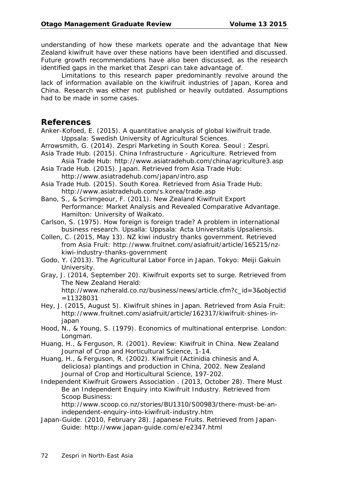understanding of how these markets operate and the advantage that New Zealand kiwifruit have over these nations have been identified and discussed. Future growth recommendations have also been discussed, as the research identified gaps in the market that Zespri can take advantage of.

Limitations to this research paper predominantly revolve around the lack of information available on the kiwifruit industries of Japan, Korea and China. Research was either not published or heavily outdated. Assumptions had to be made in some cases.

## **References**

Anker-Kofoed, E. (2015). *A quantitative analysis of global kiwifruit trade.*  Uppsala: Swedish University of Agricultural Sciences.

Arrowsmith, G. (2014). *Zespri Marketing in South Korea*. Seoul : Zespri.

- Asia Trade Hub. (2015). *China Infrastructure - Agriculture*. Retrieved from Asia Trade Hub: http://www.asiatradehub.com/china/agriculture3.asp
- Asia Trade Hub. (2015). *Japan.* Retrieved from Asia Trade Hub: http://www.asiatradehub.com/japan/intro.asp

Asia Trade Hub. (2015). *South Korea.* Retrieved from Asia Trade Hub: http://www.asiatradehub.com/s.korea/trade.asp

Bano, S., & Scrimgeour, F. (2011). *New Zealand Kiwifruit Export Performance: Market Analysis and Revealed Comparative Advantage.*  Hamilton: University of Waikato.

Carlson, S. (1975). *How foreign is foreign trade? A problem in international business research*. Upsalla: Uppsala: Acta Universitatis Upsaliensis.

- Collen, C. (2015, May 13). *NZ kiwi industry thanks government*. Retrieved from Asia Fruit: http://www.fruitnet.com/asiafruit/article/165215/nzkiwi-industry-thanks-government
- Godo, Y. (2013). *The Agricultural Labor Force in Japan*. Tokyo: Meiji Gakuin University.
- Gray, J. (2014, September 20). *Kiwifruit exports set to surge*. Retrieved from The New Zealand Herald: http://www.nzherald.co.nz/business/news/article.cfm?c\_id=3&objectid

- Hey, J. (2015, August 5). *Kiwifruit shines in Japan.* Retrieved from Asia Fruit: http://www.fruitnet.com/asiafruit/article/162317/kiwifruit-shines-injapan
- Hood, N., & Young, S. (1979). *Economics of multinational enterprise.* London: Longman.
- Huang, H., & Ferguson, R. (2001). Review: Kiwifruit in China. New Zealand *Journal of Crop and Horticultural Science,* 1-14.
- Huang, H., & Ferguson, R. (2002). Kiwifruit (Actinidia chinesis and A. deliciosa) plantings and production in China, 2002. New Zealand *Journal of Crop and Horticultural Science,* 197-202.
- Independent Kiwifruit Growers Association . (2013, October 28). *There Must Be an Independent Enquiry into Kiwifruit Industry.* Retrieved from Scoop Business:

http://www.scoop.co.nz/stories/BU1310/S00983/there-must-be-anindependent-enquiry-into-kiwifruit-industry.htm

Japan-Guide. (2010, February 28). J*apanese Fruits.* Retrieved from Japan-Guide: http://www.japan-guide.com/e/e2347.html

<sup>=11328031</sup>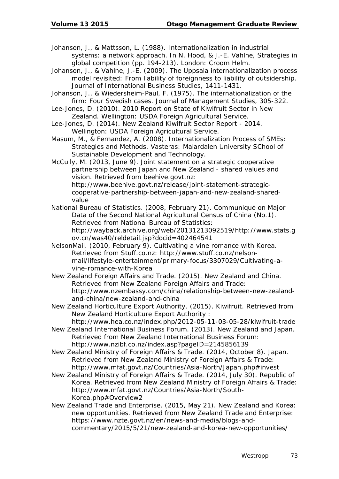- Johanson, J., & Mattsson, L. (1988). Internationalization in industrial systems: a network approach. In N. Hood, & J.-E. Vahlne, *Strategies in global competition* (pp. 194-213). London: Croom Helm.
- Johanson, J., & Vahlne, J.-E. (2009). The Uppsala internationalization process model revisited: From liability of foreignness to liability of outsidership. *Journal of International Business Studies,* 1411-1431.
- Johanson, J., & Wiedersheim-Paul, F. (1975). The internationalization of the firm: Four Swedish cases. *Journal of Management Studies*, 305-322.
- Lee-Jones, D. (2010). 2010 *Report on State of Kiwifruit Sector in New Zealand.* Wellington: USDA Foreign Agricultural Service.
- Lee-Jones, D. (2014). *New Zealand Kiwifruit Sector Report - 2014.*  Wellington: USDA Foreign Agricultural Service.
- Masum, M., & Fernandez, A. (2008). *Internationalization Process of SMEs: Strategies and Methods.* Vasteras: Malardalen University SChool of Sustainable Development and Technology.
- McCully, M. (2013, June 9). *Joint statement on a strategic cooperative partnership between Japan and New Zealand - shared values and vision.* Retrieved from beehive.govt.nz: http://www.beehive.govt.nz/release/joint-statement-strategiccooperative-partnership-between-japan-and-new-zealand-sharedvalue
- National Bureau of Statistics. (2008, February 21). *Communiqué on Major Data of the Second National Agricultural Census of China (No.1).*  Retrieved from National Bureau of Statistics: http://wayback.archive.org/web/20131213092519/http://www.stats.g ov.cn/was40/reldetail.jsp?docid=402464541
- NelsonMail. (2010, February 9). *Cultivating a vine romance with Korea.*  Retrieved from Stuff.co.nz: http://www.stuff.co.nz/nelsonmail/lifestyle-entertainment/primary-focus/3307029/Cultivating-avine-romance-with-Korea
- New Zealand Foreign Affairs and Trade. (2015). *New Zealand and China.*  Retrieved from New Zealand Foreign Affairs and Trade: http://www.nzembassy.com/china/relationship-between-new-zealandand-china/new-zealand-and-china
- New Zealand Horticulture Export Authority. (2015). *Kiwifruit.* Retrieved from New Zealand Horticulture Export Authority : http://www.hea.co.nz/index.php/2012-05-11-03-05-28/kiwifruit-trade
- New Zealand International Business Forum. (2013). *New Zealand and Japan.* Retrieved from New Zealand International Business Forum: http://www.nzibf.co.nz/index.asp?pageID=2145856139
- New Zealand Ministry of Foreign Affairs & Trade. (2014, October 8). *Japan.* Retrieved from New Zealand Ministry of Foreign Affairs & Trade: http://www.mfat.govt.nz/Countries/Asia-North/Japan.php#invest
- New Zealand Ministry of Foreign Affairs & Trade. (2014, July 30). *Republic of Korea.* Retrieved from New Zealand Ministry of Foreign Affairs & Trade: http://www.mfat.govt.nz/Countries/Asia-North/South-Korea.php#Overview2
- New Zealand Trade and Enterprise. (2015, May 21). *New Zealand and Korea: new opportunities.* Retrieved from New Zealand Trade and Enterprise: https://www.nzte.govt.nz/en/news-and-media/blogs-andcommentary/2015/5/21/new-zealand-and-korea-new-opportunities/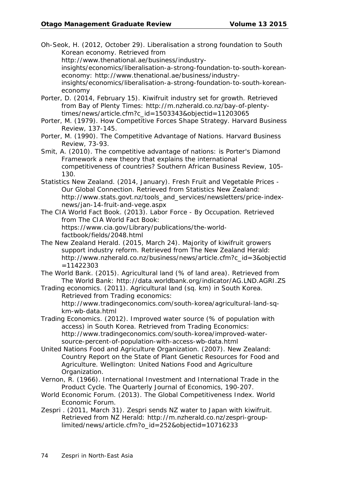Oh-Seok, H. (2012, October 29). *Liberalisation a strong foundation to South Korean economy.* Retrieved from

http://www.thenational.ae/business/industry-

insights/economics/liberalisation-a-strong-foundation-to-south-koreaneconomy: http://www.thenational.ae/business/industry-

insights/economics/liberalisation-a-strong-foundation-to-south-koreaneconomy

- Porter, D. (2014, February 15). Kiwifruit industry set for growth. Retrieved from Bay of Plenty Times: http://m.nzherald.co.nz/bay-of-plentytimes/news/article.cfm?c\_id=1503343&objectid=11203065
- Porter, M. (1979). *How Competitive Forces Shape Strategy*. Harvard Business Review, 137-145.
- Porter, M. (1990). *The Competitive Advantage of Nations*. Harvard Business Review, 73-93.

Smit, A. (2010). The competitive advantage of nations: is Porter's Diamond Framework a new theory that explains the international competitiveness of countries? *Southern African Business Review*, 105- 130.

Statistics New Zealand. (2014, January). *Fresh Fruit and Vegetable Prices - Our Global Connection*. Retrieved from Statistics New Zealand: http://www.stats.govt.nz/tools\_and\_services/newsletters/price-indexnews/jan-14-fruit-and-vege.aspx

The CIA World Fact Book. (2013). *Labor Force - By Occupation.* Retrieved from The CIA World Fact Book:

https://www.cia.gov/Library/publications/the-worldfactbook/fields/2048.html

The New Zealand Herald. (2015, March 24). *Majority of kiwifruit growers support industry reform.* Retrieved from The New Zealand Herald: http://www.nzherald.co.nz/business/news/article.cfm?c\_id=3&objectid  $=11422303$ 

The World Bank. (2015). *Agricultural land (% of land area)*. Retrieved from The World Bank: http://data.worldbank.org/indicator/AG.LND.AGRI.ZS

Trading economics. (2011). *Agricultural land (sq. km) in South Korea.*  Retrieved from Trading economics: http://www.tradingeconomics.com/south-korea/agricultural-land-sq-

km-wb-data.html Trading Economics. (2012). *Improved water source (% of population with access) in South Korea.* Retrieved from Trading Economics: http://www.tradingeconomics.com/south-korea/improved-watersource-percent-of-population-with-access-wb-data.html

United Nations Food and Agriculture Organization. (2007). *New Zealand: Country Report on the State of Plant Genetic Resources for Food and Agriculture.* Wellington: United Nations Food and Agriculture Organization.

Vernon, R. (1966). International Investment and International Trade in the Product Cycle. *The Quarterly Journal of Economics,* 190-207.

- World Economic Forum. (2013). *The Global Competitiveness Index*. World Economic Forum.
- Zespri . (2011, March 31). *Zespri sends NZ water to Japan with kiwifruit*. Retrieved from NZ Herald: http://m.nzherald.co.nz/zespri-grouplimited/news/article.cfm?o\_id=252&objectid=10716233